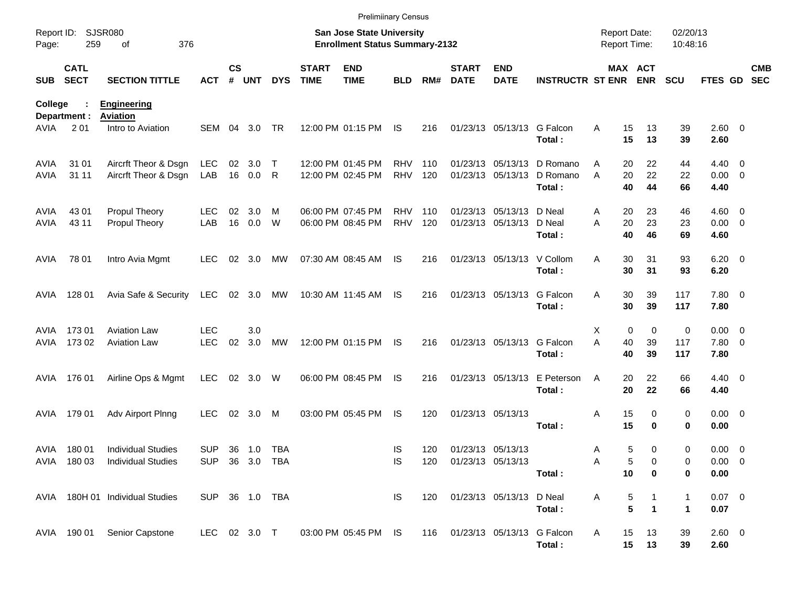|                |                            |                                       |                |                    |                |            |                             | <b>Prelimiinary Census</b>                                         |            |     |                             |                                |                         |                                            |                               |                      |                        |                          |
|----------------|----------------------------|---------------------------------------|----------------|--------------------|----------------|------------|-----------------------------|--------------------------------------------------------------------|------------|-----|-----------------------------|--------------------------------|-------------------------|--------------------------------------------|-------------------------------|----------------------|------------------------|--------------------------|
| Page:          | Report ID: SJSR080<br>259  | 376<br>of                             |                |                    |                |            |                             | San Jose State University<br><b>Enrollment Status Summary-2132</b> |            |     |                             |                                |                         | <b>Report Date:</b><br><b>Report Time:</b> |                               | 02/20/13<br>10:48:16 |                        |                          |
| <b>SUB</b>     | <b>CATL</b><br><b>SECT</b> | <b>SECTION TITTLE</b>                 | <b>ACT</b>     | $\mathsf{cs}$<br># | <b>UNT</b>     | <b>DYS</b> | <b>START</b><br><b>TIME</b> | <b>END</b><br><b>TIME</b>                                          | <b>BLD</b> | RM# | <b>START</b><br><b>DATE</b> | <b>END</b><br><b>DATE</b>      | <b>INSTRUCTR ST ENR</b> |                                            | MAX ACT<br><b>ENR</b>         | <b>SCU</b>           | <b>FTES GD</b>         | <b>CMB</b><br><b>SEC</b> |
| <b>College</b> | Department :               | <b>Engineering</b><br><b>Aviation</b> |                |                    |                |            |                             |                                                                    |            |     |                             |                                |                         |                                            |                               |                      |                        |                          |
| AVIA           | 2 0 1                      | Intro to Aviation                     | SEM            | 04                 | 3.0            | TR         |                             | 12:00 PM 01:15 PM                                                  | IS         | 216 |                             | 01/23/13 05/13/13              | G Falcon<br>Total:      | 15<br>A<br>15                              | 13<br>13                      | 39<br>39             | 2.60 0<br>2.60         |                          |
| AVIA           | 31 01                      | Aircrft Theor & Dsgn                  | <b>LEC</b>     | 02                 | 3.0            | $\top$     |                             | 12:00 PM 01:45 PM                                                  | <b>RHV</b> | 110 |                             | 01/23/13 05/13/13              | D Romano                | 20<br>Α                                    | 22                            | 44                   | $4.40 \ 0$             |                          |
| AVIA           | 31 11                      | Aircrft Theor & Dsgn                  | LAB            |                    | 16  0.0        | - R        |                             | 12:00 PM 02:45 PM                                                  | <b>RHV</b> | 120 |                             | 01/23/13 05/13/13              | D Romano<br>Total:      | 20<br>A                                    | 22<br>40<br>44                | 22<br>66             | $0.00 \t 0$<br>4.40    |                          |
| AVIA           | 43 01                      | Propul Theory                         | <b>LEC</b>     | 02                 | 3.0            | M          |                             | 06:00 PM 07:45 PM                                                  | <b>RHV</b> | 110 |                             | 01/23/13 05/13/13              | D Neal                  | 20<br>Α                                    | 23                            | 46                   | $4.60$ 0               |                          |
| AVIA           | 43 11                      | Propul Theory                         | LAB            | 16                 | 0.0            | W          |                             | 06:00 PM 08:45 PM                                                  | <b>RHV</b> | 120 |                             | 01/23/13 05/13/13              | D Neal<br>Total:        | A<br>20                                    | 23<br>46<br>40                | 23<br>69             | $0.00 \t 0$<br>4.60    |                          |
| AVIA           | 78 01                      | Intro Avia Mgmt                       | <b>LEC</b>     |                    | $02 \quad 3.0$ | МW         |                             | 07:30 AM 08:45 AM                                                  | IS         | 216 |                             | 01/23/13 05/13/13 V Collom     | Total:                  | A<br>30                                    | 30<br>31<br>31                | 93<br>93             | $6.20 \quad 0$<br>6.20 |                          |
| AVIA           | 128 01                     | Avia Safe & Security                  | <b>LEC</b>     |                    | 02 3.0         | МW         |                             | 10:30 AM 11:45 AM                                                  | IS         | 216 |                             | 01/23/13 05/13/13              | G Falcon<br>Total:      | 30<br>A<br>30                              | 39<br>39                      | 117<br>117           | 7.80 0<br>7.80         |                          |
| AVIA           | 17301                      | <b>Aviation Law</b>                   | <b>LEC</b>     |                    | 3.0            |            |                             |                                                                    |            |     |                             |                                |                         | X                                          | 0<br>$\mathbf 0$              | 0                    | $0.00 \t 0$            |                          |
| AVIA           | 173 02                     | <b>Aviation Law</b>                   | <b>LEC</b>     | 02                 | 3.0            | MW         |                             | 12:00 PM 01:15 PM                                                  | IS         | 216 |                             | 01/23/13 05/13/13              | G Falcon<br>Total:      | A<br>40<br>40                              | 39<br>39                      | 117<br>117           | 7.80 0<br>7.80         |                          |
| AVIA           | 176 01                     | Airline Ops & Mgmt                    | <b>LEC</b>     | 02                 | 3.0            | W          |                             | 06:00 PM 08:45 PM                                                  | IS         | 216 |                             | 01/23/13 05/13/13              | E Peterson<br>Total:    | A                                          | 22<br>20<br>20<br>22          | 66<br>66             | $4.40 \quad 0$<br>4.40 |                          |
| AVIA           | 179 01                     | Adv Airport Plnng                     | <b>LEC</b>     | 02                 | 3.0            | M          |                             | 03:00 PM 05:45 PM                                                  | IS         | 120 |                             | 01/23/13 05/13/13              | Total:                  | 15<br>Α<br>15                              | 0<br>0                        | 0<br>0               | $0.00 \t 0$<br>0.00    |                          |
| AVIA           | 18001                      | <b>Individual Studies</b>             | <b>SUP</b>     |                    | 36 1.0         | TBA        |                             |                                                                    | IS         | 120 |                             | 01/23/13 05/13/13              |                         | A                                          | 5<br>0                        | 0                    | $0.00 \t 0$            |                          |
|                |                            | AVIA 180 03 Individual Studies        | SUP 36 3.0 TBA |                    |                |            |                             |                                                                    | IS         |     | 120 01/23/13 05/13/13       |                                |                         |                                            | 5<br>0                        | 0                    | $0.00 \t 0$            |                          |
|                |                            |                                       |                |                    |                |            |                             |                                                                    |            |     |                             |                                | Total:                  |                                            | 10<br>0                       | 0                    | 0.00                   |                          |
|                |                            | AVIA 180H 01 Individual Studies       | SUP 36 1.0 TBA |                    |                |            |                             |                                                                    | IS         | 120 |                             | 01/23/13 05/13/13              | D Neal<br>Total:        | A                                          | $\frac{5}{5}$<br>$\mathbf{1}$ | 1<br>$\mathbf 1$     | $0.07$ 0<br>0.07       |                          |
|                |                            | AVIA 190 01 Senior Capstone           | LEC 02 3.0 T   |                    |                |            |                             | 03:00 PM 05:45 PM IS                                               |            |     |                             | 116 01/23/13 05/13/13 G Falcon | Total:                  | 15<br>A                                    | 13<br>15<br>13                | 39<br>39             | 2.60 0<br>2.60         |                          |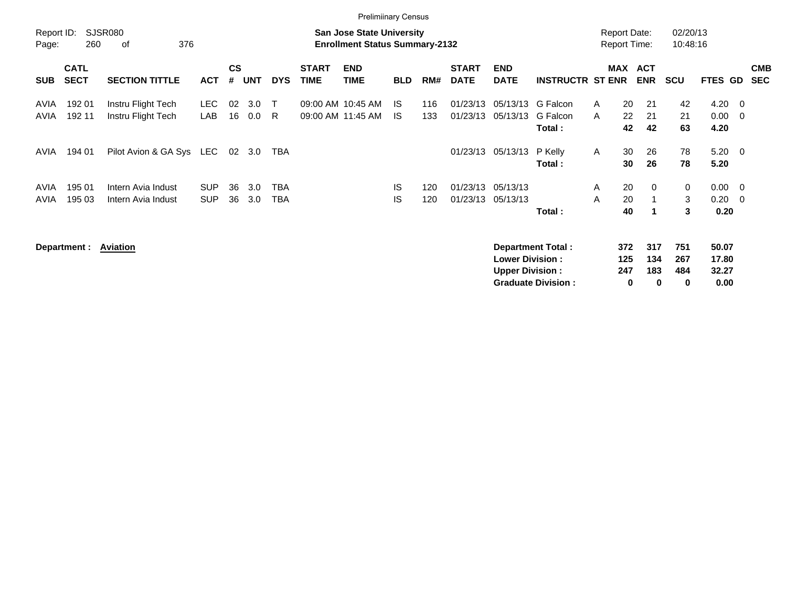|                     |                            |                                          |                          |                |            |              |                                        | <b>Prelimiinary Census</b>                                                |            |            |                             |                                                  |                                                       |                                            |                             |                        |                                 |                                            |                          |
|---------------------|----------------------------|------------------------------------------|--------------------------|----------------|------------|--------------|----------------------------------------|---------------------------------------------------------------------------|------------|------------|-----------------------------|--------------------------------------------------|-------------------------------------------------------|--------------------------------------------|-----------------------------|------------------------|---------------------------------|--------------------------------------------|--------------------------|
| Report ID:<br>Page: | 260                        | SJSR080<br>376<br>оf                     |                          |                |            |              |                                        | <b>San Jose State University</b><br><b>Enrollment Status Summary-2132</b> |            |            |                             |                                                  |                                                       | <b>Report Date:</b><br><b>Report Time:</b> |                             | 02/20/13<br>10:48:16   |                                 |                                            |                          |
| <b>SUB</b>          | <b>CATL</b><br><b>SECT</b> | <b>SECTION TITTLE</b>                    | <b>ACT</b>               | <b>CS</b><br># | <b>UNT</b> | <b>DYS</b>   | <b>START</b><br><b>TIME</b>            | <b>END</b><br>TIME                                                        | <b>BLD</b> | RM#        | <b>START</b><br><b>DATE</b> | <b>END</b><br><b>DATE</b>                        | <b>INSTRUCTR ST ENR</b>                               | MAX                                        | <b>ACT</b><br><b>ENR</b>    | <b>SCU</b>             | <b>FTES GD</b>                  |                                            | <b>CMB</b><br><b>SEC</b> |
| AVIA<br>AVIA        | 192 01<br>192 11           | Instru Flight Tech<br>Instru Flight Tech | <b>LEC</b><br>LAB        | 02<br>16       | 3.0<br>0.0 | $\top$<br>R. | 09:00 AM 10:45 AM<br>09:00 AM 11:45 AM |                                                                           | IS.<br>IS. | 116<br>133 | 01/23/13<br>01/23/13        | 05/13/13<br>05/13/13                             | G Falcon<br>G Falcon<br>Total:                        | 20<br>A<br>22<br>A<br>42                   | 21<br>21<br>42              | 42<br>21<br>63         | 4.20<br>0.00<br>4.20            | - 0<br>- 0                                 |                          |
| AVIA                | 194 01                     | Pilot Avion & GA Sys LEC                 |                          |                | 02 3.0     | TBA          |                                        |                                                                           |            |            | 01/23/13                    | 05/13/13                                         | P Kelly<br>Total:                                     | 30<br>A<br>30                              | 26<br>26                    | 78<br>78               | 5.20<br>5.20                    | - 0                                        |                          |
| AVIA<br>AVIA        | 195 01<br>195 03           | Intern Avia Indust<br>Intern Avia Indust | <b>SUP</b><br><b>SUP</b> | 36<br>36       | 3.0<br>3.0 | TBA<br>TBA   |                                        |                                                                           | IS<br>IS   | 120<br>120 | 01/23/13<br>01/23/13        | 05/13/13<br>05/13/13                             | Total:                                                | 20<br>A<br>20<br>A<br>40                   | 0<br>$\mathbf 1$            | 0<br>3<br>3            | 0.00<br>0.20<br>0.20            | $\overline{\phantom{0}}$<br>$\overline{0}$ |                          |
|                     | Department : Aviation      |                                          |                          |                |            |              |                                        |                                                                           |            |            |                             | <b>Lower Division:</b><br><b>Upper Division:</b> | <b>Department Total:</b><br><b>Graduate Division:</b> | 372<br>125<br>247                          | 317<br>134<br>183<br>0<br>0 | 751<br>267<br>484<br>0 | 50.07<br>17.80<br>32.27<br>0.00 |                                            |                          |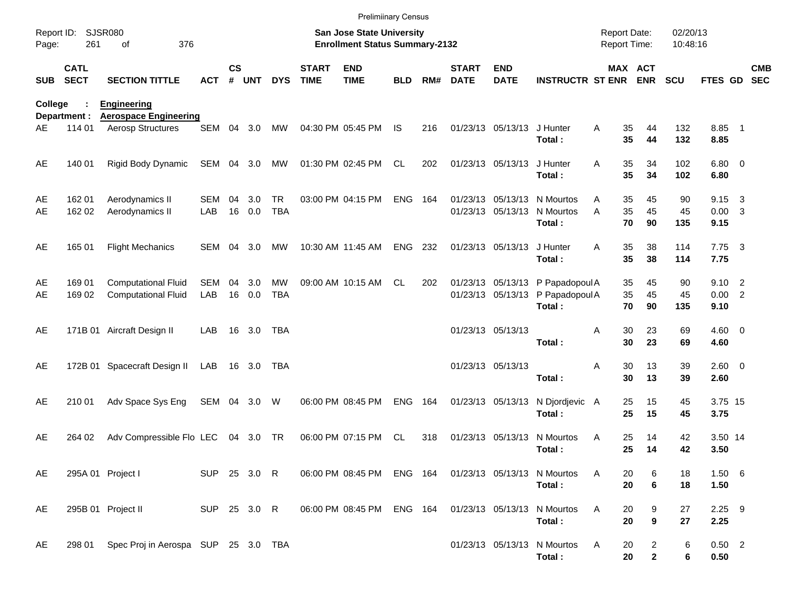|            |                            |                                                    |              |                    |            |                         |                             | <b>Prelimiinary Census</b>                                         |            |     |                             |                           |                                                            |                                     |                                            |                      |                        |                         |                          |
|------------|----------------------------|----------------------------------------------------|--------------|--------------------|------------|-------------------------|-----------------------------|--------------------------------------------------------------------|------------|-----|-----------------------------|---------------------------|------------------------------------------------------------|-------------------------------------|--------------------------------------------|----------------------|------------------------|-------------------------|--------------------------|
| Page:      | Report ID: SJSR080<br>261  | 376<br>οf                                          |              |                    |            |                         |                             | San Jose State University<br><b>Enrollment Status Summary-2132</b> |            |     |                             |                           |                                                            | <b>Report Date:</b><br>Report Time: |                                            | 02/20/13<br>10:48:16 |                        |                         |                          |
| <b>SUB</b> | <b>CATL</b><br><b>SECT</b> | <b>SECTION TITTLE</b>                              | <b>ACT</b>   | $\mathsf{cs}$<br># | <b>UNT</b> | <b>DYS</b>              | <b>START</b><br><b>TIME</b> | <b>END</b><br><b>TIME</b>                                          | <b>BLD</b> | RM# | <b>START</b><br><b>DATE</b> | <b>END</b><br><b>DATE</b> | <b>INSTRUCTR ST ENR ENR</b>                                |                                     | MAX ACT                                    | <b>SCU</b>           | <b>FTES GD</b>         |                         | <b>CMB</b><br><b>SEC</b> |
| College    | Department :               | <b>Engineering</b><br><b>Aerospace Engineering</b> |              |                    |            |                         |                             |                                                                    |            |     |                             |                           |                                                            |                                     |                                            |                      |                        |                         |                          |
| AE         | 114 01                     | Aerosp Structures                                  | SEM          |                    | 04 3.0     | MW                      |                             | 04:30 PM 05:45 PM                                                  | <b>IS</b>  | 216 |                             | 01/23/13 05/13/13         | J Hunter<br>Total:                                         | A                                   | 35<br>44<br>35<br>44                       | 132<br>132           | 8.85 1<br>8.85         |                         |                          |
| AE         | 140 01                     | Rigid Body Dynamic                                 | SEM 04 3.0   |                    |            | MW                      |                             | 01:30 PM 02:45 PM                                                  | CL         | 202 |                             | 01/23/13 05/13/13         | J Hunter<br>Total:                                         | A                                   | 35<br>34<br>35<br>34                       | 102<br>102           | $6.80$ 0<br>6.80       |                         |                          |
| AE<br>AE   | 162 01<br>162 02           | Aerodynamics II<br>Aerodynamics II                 | SEM<br>LAB   | 04<br>16           | 3.0<br>0.0 | <b>TR</b><br><b>TBA</b> |                             | 03:00 PM 04:15 PM                                                  | ENG        | 164 |                             |                           | 01/23/13 05/13/13 N Mourtos<br>01/23/13 05/13/13 N Mourtos | A<br>A                              | 35<br>45<br>35<br>45                       | 90<br>45             | 9.15<br>$0.00 \quad 3$ | $\overline{\mathbf{3}}$ |                          |
|            |                            |                                                    |              |                    |            |                         |                             |                                                                    |            |     |                             |                           | Total:                                                     |                                     | 70<br>90                                   | 135                  | 9.15                   |                         |                          |
| AE         | 165 01                     | <b>Flight Mechanics</b>                            | SEM          | - 04               | 3.0        | MW                      |                             | 10:30 AM 11:45 AM                                                  | ENG        | 232 |                             | 01/23/13 05/13/13         | J Hunter<br>Total:                                         | A                                   | 35<br>38<br>35<br>38                       | 114<br>114           | $7.75 \quad 3$<br>7.75 |                         |                          |
| AE         | 169 01                     | <b>Computational Fluid</b>                         | <b>SEM</b>   | 04                 | 3.0        | <b>MW</b>               |                             | 09:00 AM 10:15 AM                                                  | CL.        | 202 |                             |                           | 01/23/13 05/13/13 P Papadopoul A                           |                                     | 45<br>35                                   | 90                   | $9.10 \quad 2$         |                         |                          |
| AE         | 169 02                     | <b>Computational Fluid</b>                         | LAB          | 16                 | 0.0        | <b>TBA</b>              |                             |                                                                    |            |     |                             |                           | 01/23/13 05/13/13 P Papadopoul A<br>Total:                 |                                     | 35<br>45<br>70<br>90                       | 45<br>135            | 0.00 2<br>9.10         |                         |                          |
| AE         |                            | 171B 01 Aircraft Design II                         | LAB          |                    | 16 3.0     | TBA                     |                             |                                                                    |            |     |                             | 01/23/13 05/13/13         |                                                            | Α                                   | 30<br>23<br>30<br>23                       | 69                   | $4.60 \ 0$             |                         |                          |
|            |                            |                                                    |              |                    |            |                         |                             |                                                                    |            |     |                             |                           | Total:                                                     |                                     |                                            | 69                   | 4.60                   |                         |                          |
| AE         |                            | 172B 01 Spacecraft Design II                       | LAB          |                    | 16 3.0     | TBA                     |                             |                                                                    |            |     |                             | 01/23/13 05/13/13         | Total:                                                     | Α                                   | 30<br>13<br>13<br>30                       | 39<br>39             | $2.60 \t 0$<br>2.60    |                         |                          |
| AE         | 210 01                     | Adv Space Sys Eng                                  | SEM 04 3.0   |                    |            | W                       |                             | 06:00 PM 08:45 PM                                                  | <b>ENG</b> | 164 |                             | 01/23/13 05/13/13         | N Djordjevic A                                             |                                     | 15<br>25                                   | 45                   | 3.75 15                |                         |                          |
|            |                            |                                                    |              |                    |            |                         |                             |                                                                    |            |     |                             |                           | Total:                                                     |                                     | 25<br>15                                   | 45                   | 3.75                   |                         |                          |
| AE         | 264 02                     | Adv Compressible Flo LEC                           |              |                    | 04 3.0     | TR                      |                             | 06:00 PM 07:15 PM                                                  | <b>CL</b>  | 318 |                             | 01/23/13 05/13/13         | N Mourtos<br>Total:                                        | Α                                   | 25<br>14<br>25<br>14                       | 42<br>42             | 3.50 14<br>3.50        |                         |                          |
| AE         |                            | 295A 01 Project I                                  | SUP 25 3.0 R |                    |            |                         |                             | 06:00 PM 08:45 PM ENG 164 01/23/13 05/13/13 N Mourtos              |            |     |                             |                           | Total:                                                     | A                                   | 20<br>6<br>20<br>$6\phantom{1}6$           | 18<br>18             | 1.50 6<br>1.50         |                         |                          |
| AE         |                            | 295B 01 Project II                                 | SUP 25 3.0 R |                    |            |                         |                             | 06:00 PM 08:45 PM                                                  |            |     |                             |                           | ENG 164 01/23/13 05/13/13 N Mourtos                        | Α                                   | 20<br>9                                    | 27                   | $2.25$ 9               |                         |                          |
|            |                            |                                                    |              |                    |            |                         |                             |                                                                    |            |     |                             |                           | Total:                                                     |                                     | $\boldsymbol{9}$<br>20                     | 27                   | 2.25                   |                         |                          |
| AE         |                            | 298 01 Spec Proj in Aerospa SUP 25 3.0 TBA         |              |                    |            |                         |                             |                                                                    |            |     |                             |                           | 01/23/13 05/13/13 N Mourtos<br>Total:                      | A                                   | 20<br>$\overline{c}$<br>$\mathbf{2}$<br>20 | 6<br>6               | $0.50$ 2<br>0.50       |                         |                          |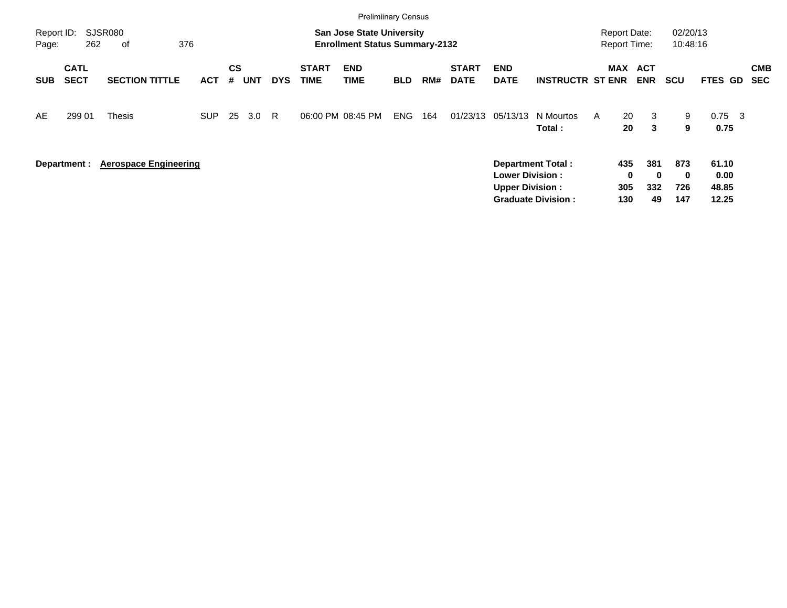|                     |                            |                              |            |                |            |            |                             | <b>Prelimiinary Census</b>                                                |            |     |                             |                                                  |                                                       |                                            |                              |                               |                                 |                          |
|---------------------|----------------------------|------------------------------|------------|----------------|------------|------------|-----------------------------|---------------------------------------------------------------------------|------------|-----|-----------------------------|--------------------------------------------------|-------------------------------------------------------|--------------------------------------------|------------------------------|-------------------------------|---------------------------------|--------------------------|
| Report ID:<br>Page: | 262                        | SJSR080<br>376<br>0f         |            |                |            |            |                             | <b>San Jose State University</b><br><b>Enrollment Status Summary-2132</b> |            |     |                             |                                                  |                                                       | <b>Report Date:</b><br><b>Report Time:</b> |                              | 02/20/13<br>10:48:16          |                                 |                          |
| <b>SUB</b>          | <b>CATL</b><br><b>SECT</b> | <b>SECTION TITTLE</b>        | <b>ACT</b> | <b>CS</b><br># | <b>UNT</b> | <b>DYS</b> | <b>START</b><br><b>TIME</b> | <b>END</b><br><b>TIME</b>                                                 | <b>BLD</b> | RM# | <b>START</b><br><b>DATE</b> | <b>END</b><br><b>DATE</b>                        | <b>INSTRUCTR ST ENR</b>                               | <b>MAX</b>                                 | <b>ACT</b><br><b>ENR</b>     | <b>SCU</b>                    | <b>FTES GD</b>                  | <b>CMB</b><br><b>SEC</b> |
| AE                  | 299 01                     | <b>Thesis</b>                | <b>SUP</b> | 25             | 3.0        | -R         |                             | 06:00 PM 08:45 PM                                                         | ENG.       | 164 | 01/23/13                    | 05/13/13                                         | N Mourtos<br>Total:                                   | 20<br>A<br>20                              | 3<br>3                       | 9<br>9                        | $0.75 \quad 3$<br>0.75          |                          |
|                     | Department :               | <b>Aerospace Engineering</b> |            |                |            |            |                             |                                                                           |            |     |                             | <b>Lower Division:</b><br><b>Upper Division:</b> | <b>Department Total:</b><br><b>Graduate Division:</b> | 435<br>$\bf{0}$<br>305<br>130              | 381<br>$\bf{0}$<br>332<br>49 | 873<br>$\bf{0}$<br>726<br>147 | 61.10<br>0.00<br>48.85<br>12.25 |                          |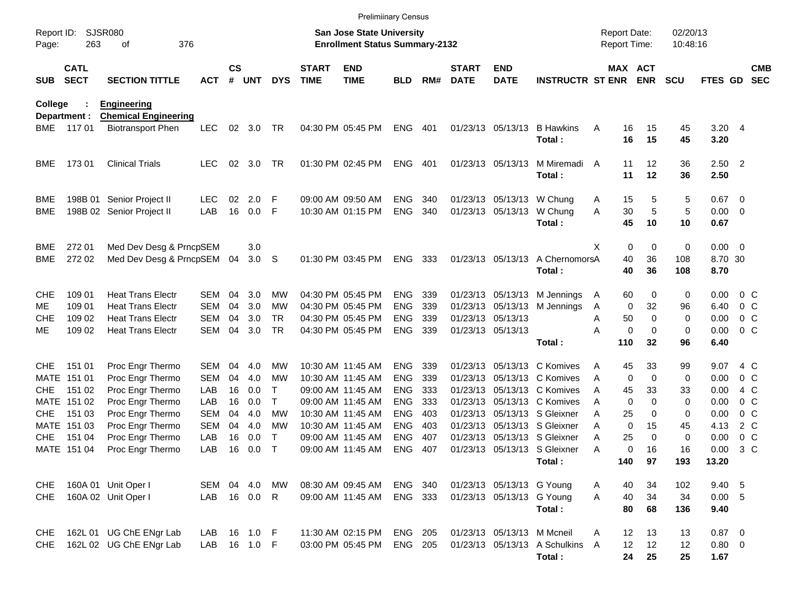|                     |                            |                             |              |               |       |             |                             | <b>Prelimiinary Census</b>                                                |                |     |                             |                            |                                 |                                            |             |                              |                      |                  |                         |                          |
|---------------------|----------------------------|-----------------------------|--------------|---------------|-------|-------------|-----------------------------|---------------------------------------------------------------------------|----------------|-----|-----------------------------|----------------------------|---------------------------------|--------------------------------------------|-------------|------------------------------|----------------------|------------------|-------------------------|--------------------------|
| Report ID:<br>Page: | 263                        | SJSR080<br>376<br>οf        |              |               |       |             |                             | <b>San Jose State University</b><br><b>Enrollment Status Summary-2132</b> |                |     |                             |                            |                                 | <b>Report Date:</b><br><b>Report Time:</b> |             |                              | 02/20/13<br>10:48:16 |                  |                         |                          |
| <b>SUB</b>          | <b>CATL</b><br><b>SECT</b> | <b>SECTION TITTLE</b>       | <b>ACT</b>   | $\mathsf{cs}$ | # UNT | <b>DYS</b>  | <b>START</b><br><b>TIME</b> | <b>END</b><br><b>TIME</b>                                                 | <b>BLD</b>     | RM# | <b>START</b><br><b>DATE</b> | <b>END</b><br><b>DATE</b>  | <b>INSTRUCTR ST ENR</b>         |                                            |             | <b>MAX ACT</b><br><b>ENR</b> | <b>SCU</b>           | FTES GD          |                         | <b>CMB</b><br><b>SEC</b> |
| College             |                            | <b>Engineering</b>          |              |               |       |             |                             |                                                                           |                |     |                             |                            |                                 |                                            |             |                              |                      |                  |                         |                          |
|                     | Department :               | <b>Chemical Engineering</b> |              |               |       |             |                             |                                                                           |                |     |                             |                            |                                 |                                            |             |                              |                      |                  |                         |                          |
| BME                 | 11701                      | <b>Biotransport Phen</b>    | <b>LEC</b>   | 02            | 3.0   | TR          |                             | 04:30 PM 05:45 PM                                                         | <b>ENG</b>     | 401 | 01/23/13 05/13/13           |                            | <b>B</b> Hawkins<br>Total:      | Α                                          | 16<br>16    | 15<br>15                     | 45<br>45             | $3.20$ 4<br>3.20 |                         |                          |
| <b>BME</b>          | 17301                      | <b>Clinical Trials</b>      | <b>LEC</b>   | 02            | 3.0   | TR          |                             | 01:30 PM 02:45 PM                                                         | <b>ENG</b>     | 401 | 01/23/13 05/13/13           |                            | M Miremadi                      | A                                          | 11          | 12                           | 36                   | $2.50$ 2         |                         |                          |
|                     |                            |                             |              |               |       |             |                             |                                                                           |                |     |                             |                            | Total:                          |                                            | 11          | 12                           | 36                   | 2.50             |                         |                          |
| BME                 |                            | 198B 01 Senior Project II   | <b>LEC</b>   | 02            | 2.0   | F           |                             | 09:00 AM 09:50 AM                                                         | <b>ENG</b>     | 340 |                             | 01/23/13 05/13/13          | W Chung                         | A                                          | 15          | 5                            | 5                    | 0.67             | $\overline{\mathbf{0}}$ |                          |
| BME                 |                            | 198B 02 Senior Project II   | LAB          | 16            | 0.0   | F           |                             | 10:30 AM 01:15 PM                                                         | <b>ENG</b>     | 340 | 01/23/13 05/13/13           |                            | W Chung                         | A                                          | 30          | 5                            | 5                    | 0.00             | 0                       |                          |
|                     |                            |                             |              |               |       |             |                             |                                                                           |                |     |                             |                            | Total:                          |                                            | 45          | 10                           | 10                   | 0.67             |                         |                          |
| BME                 | 272 01                     | Med Dev Desg & PrncpSEM     |              |               | 3.0   |             |                             |                                                                           |                |     |                             |                            |                                 | X                                          | 0           | 0                            | 0                    | 0.00             | $\overline{\mathbf{0}}$ |                          |
| <b>BME</b>          | 272 02                     | Med Dev Desg & PrncpSEM     |              | 04            | 3.0   | S           |                             | 01:30 PM 03:45 PM                                                         | <b>ENG</b>     | 333 |                             | 01/23/13 05/13/13          | A ChernomorsA                   |                                            | 40          | 36                           | 108                  | 8.70 30          |                         |                          |
|                     |                            |                             |              |               |       |             |                             |                                                                           |                |     |                             |                            | Total:                          |                                            | 40          | 36                           | 108                  | 8.70             |                         |                          |
| <b>CHE</b>          | 109 01                     | <b>Heat Trans Electr</b>    | SEM          | 04            | 3.0   | <b>MW</b>   |                             | 04:30 PM 05:45 PM                                                         | <b>ENG</b>     | 339 |                             | 01/23/13 05/13/13          | M Jennings                      | A                                          | 60          | 0                            | 0                    | 0.00             | 0 <sup>o</sup>          |                          |
| ME.                 | 109 01                     | <b>Heat Trans Electr</b>    | <b>SEM</b>   | 04            | 3.0   | <b>MW</b>   |                             | 04:30 PM 05:45 PM                                                         | <b>ENG</b>     | 339 |                             | 01/23/13 05/13/13          | M Jennings                      | A                                          | 0           | 32                           | 96                   | 6.40             | 0 <sup>C</sup>          |                          |
| <b>CHE</b>          | 109 02                     | <b>Heat Trans Electr</b>    | SEM          | 04            | 3.0   | TR          |                             | 04:30 PM 05:45 PM                                                         | <b>ENG</b>     | 339 | 01/23/13 05/13/13           |                            |                                 | Α                                          | 50          | 0                            | $\mathbf 0$          | 0.00             |                         | 0 <sup>C</sup>           |
| ME                  | 109 02                     | <b>Heat Trans Electr</b>    | <b>SEM</b>   | 04            | 3.0   | <b>TR</b>   |                             | 04:30 PM 05:45 PM                                                         | <b>ENG</b>     | 339 | 01/23/13 05/13/13           |                            |                                 | Α                                          | 0           | 0                            | $\mathbf 0$          | 0.00             | 0 <sup>C</sup>          |                          |
|                     |                            |                             |              |               |       |             |                             |                                                                           |                |     |                             |                            | Total:                          |                                            | 110         | 32                           | 96                   | 6.40             |                         |                          |
| <b>CHE</b>          | 151 01                     | Proc Engr Thermo            | SEM          | 04            | 4.0   | MW          |                             | 10:30 AM 11:45 AM                                                         | <b>ENG</b>     | 339 | 01/23/13                    | 05/13/13                   | C Komives                       | A                                          | 45          | 33                           | 99                   | 9.07             | 4 C                     |                          |
| MATE                | 151 01                     | Proc Engr Thermo            | <b>SEM</b>   | 04            | 4.0   | МW          |                             | 10:30 AM 11:45 AM                                                         | <b>ENG</b>     | 339 | 01/23/13                    | 05/13/13                   | C Komives                       | A                                          | 0           | 0                            | 0                    | 0.00             | 0 <sup>C</sup>          |                          |
| <b>CHE</b>          | 151 02                     | Proc Engr Thermo            | LAB          | 16            | 0.0   | т           |                             | 09:00 AM 11:45 AM                                                         | <b>ENG</b>     | 333 | 01/23/13                    |                            | 05/13/13 C Komives              | A                                          | 45          | 33                           | 33                   | 0.00             | 4 C                     |                          |
|                     | MATE 151 02                | Proc Engr Thermo            | LAB          | 16            | 0.0   | т           |                             | 09:00 AM 11:45 AM                                                         | <b>ENG</b>     | 333 | 01/23/13                    |                            | 05/13/13 C Komives              | A                                          | $\mathbf 0$ | $\Omega$                     | 0                    | 0.00             | 0 <sup>o</sup>          |                          |
| <b>CHE</b>          | 151 03                     | Proc Engr Thermo            | <b>SEM</b>   | 04            | 4.0   | <b>MW</b>   |                             | 10:30 AM 11:45 AM                                                         | <b>ENG</b>     | 403 | 01/23/13                    |                            | 05/13/13 S Gleixner             | Α                                          | 25          | 0                            | 0                    | 0.00             | 0 <sup>o</sup>          |                          |
|                     | MATE 151 03                | Proc Engr Thermo            | <b>SEM</b>   | 04            | 4.0   | МW          |                             | 10:30 AM 11:45 AM                                                         | <b>ENG</b>     | 403 | 01/23/13                    |                            | 05/13/13 S Gleixner             | Α                                          | 0           | 15                           | 45                   | 4.13             | 2 C                     |                          |
| <b>CHE</b>          | 151 04                     | Proc Engr Thermo            | LAB          | 16            | 0.0   | т           |                             | 09:00 AM 11:45 AM                                                         | <b>ENG</b>     | 407 | 01/23/13                    |                            | 05/13/13 S Gleixner             | Α                                          | 25          | $\Omega$                     | $\mathbf 0$          | 0.00             | 0 <sup>o</sup>          |                          |
|                     | MATE 151 04                | Proc Engr Thermo            | LAB          | 16            | 0.0   | $\mathsf T$ |                             | 09:00 AM 11:45 AM                                                         | <b>ENG</b>     | 407 |                             |                            | 01/23/13 05/13/13 S Gleixner    | Α                                          | $\Omega$    | 16                           | 16                   | 0.00             | 3 <sup>C</sup>          |                          |
|                     |                            |                             |              |               |       |             |                             |                                                                           |                |     |                             |                            | Total:                          |                                            | 140         | 97                           | 193                  | 13.20            |                         |                          |
| <b>CHE</b>          |                            | 160A 01 Unit Oper I         | SEM 04 4.0   |               |       | MW          |                             | 08:30 AM 09:45 AM                                                         | ENG 340        |     |                             | 01/23/13 05/13/13 G Young  |                                 | A                                          | 40          | 34                           | 102                  | 9.40 5           |                         |                          |
| <b>CHE</b>          |                            | 160A 02 Unit Oper I         | LAB 16 0.0 R |               |       |             |                             | 09:00 AM 11:45 AM                                                         | ENG 333        |     |                             | 01/23/13 05/13/13 G Young  |                                 | A                                          | 40          | 34                           | 34                   | 0.00 5           |                         |                          |
|                     |                            |                             |              |               |       |             |                             |                                                                           |                |     |                             |                            | Total:                          |                                            | 80          | 68                           | 136                  | 9.40             |                         |                          |
| <b>CHE</b>          |                            | 162L 01 UG ChE ENgr Lab     | LAB 16 1.0 F |               |       |             |                             | 11:30 AM 02:15 PM                                                         | <b>ENG 205</b> |     |                             | 01/23/13 05/13/13 M Mcneil |                                 | Α                                          | 12          | 13                           | 13                   | $0.87$ 0         |                         |                          |
| <b>CHE</b>          |                            | 162L 02 UG ChE ENgr Lab     | LAB 16 1.0 F |               |       |             |                             | 03:00 PM 05:45 PM                                                         | <b>ENG 205</b> |     |                             |                            | 01/23/13 05/13/13 A Schulkins A |                                            | 12          | 12                           | 12                   | $0.80 \ 0$       |                         |                          |
|                     |                            |                             |              |               |       |             |                             |                                                                           |                |     |                             |                            | Total:                          |                                            | 24          | 25                           | 25                   | 1.67             |                         |                          |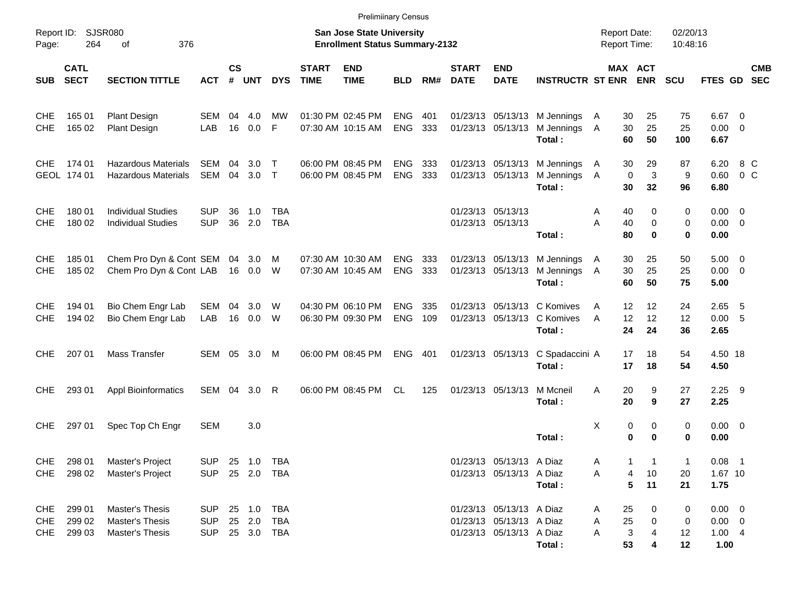|                                 |                            |                                                          |                                        |                    |                         |                            |                             | <b>Prelimiinary Census</b>                                         |                          |            |                             |                                                                                  |                                                                        |                                            |                               |                       |                                                      |                       |            |
|---------------------------------|----------------------------|----------------------------------------------------------|----------------------------------------|--------------------|-------------------------|----------------------------|-----------------------------|--------------------------------------------------------------------|--------------------------|------------|-----------------------------|----------------------------------------------------------------------------------|------------------------------------------------------------------------|--------------------------------------------|-------------------------------|-----------------------|------------------------------------------------------|-----------------------|------------|
| Report ID:<br>Page:             | 264                        | SJSR080<br>376<br>οf                                     |                                        |                    |                         |                            |                             | San Jose State University<br><b>Enrollment Status Summary-2132</b> |                          |            |                             |                                                                                  |                                                                        | <b>Report Date:</b><br><b>Report Time:</b> |                               | 02/20/13<br>10:48:16  |                                                      |                       |            |
| <b>SUB</b>                      | <b>CATL</b><br><b>SECT</b> | <b>SECTION TITTLE</b>                                    | <b>ACT</b>                             | $\mathsf{cs}$<br># | UNT                     | <b>DYS</b>                 | <b>START</b><br><b>TIME</b> | <b>END</b><br><b>TIME</b>                                          | <b>BLD</b>               | RM#        | <b>START</b><br><b>DATE</b> | <b>END</b><br><b>DATE</b>                                                        | <b>INSTRUCTR ST ENR ENR</b>                                            |                                            | MAX ACT                       | <b>SCU</b>            | FTES GD SEC                                          |                       | <b>CMB</b> |
| <b>CHE</b><br><b>CHE</b>        | 165 01<br>165 02           | <b>Plant Design</b><br><b>Plant Design</b>               | SEM<br>LAB                             | 04<br>16           | 4.0<br>0.0              | МW<br>F                    |                             | 01:30 PM 02:45 PM<br>07:30 AM 10:15 AM                             | <b>ENG</b><br><b>ENG</b> | 401<br>333 |                             |                                                                                  | 01/23/13 05/13/13 M Jennings<br>01/23/13 05/13/13 M Jennings<br>Total: | 30<br>A<br>30<br>A<br>60                   | 25<br>25<br>50                | 75<br>25<br>100       | $6.67$ 0<br>$0.00 \t 0$<br>6.67                      |                       |            |
| <b>CHE</b>                      | 174 01<br>GEOL 174 01      | <b>Hazardous Materials</b><br><b>Hazardous Materials</b> | <b>SEM</b><br>SEM                      | 04<br>04           | 3.0 <sub>2</sub><br>3.0 | $\top$<br>$\top$           |                             | 06:00 PM 08:45 PM<br>06:00 PM 08:45 PM                             | <b>ENG</b><br><b>ENG</b> | 333<br>333 |                             | 01/23/13 05/13/13                                                                | 01/23/13 05/13/13 M Jennings<br>M Jennings<br>Total:                   | 30<br>A<br>$\mathbf 0$<br>A<br>30          | 29<br>3<br>32                 | 87<br>9<br>96         | 6.20<br>0.60<br>6.80                                 | 8 C<br>0 <sup>o</sup> |            |
| <b>CHE</b><br><b>CHE</b>        | 180 01<br>180 02           | <b>Individual Studies</b><br><b>Individual Studies</b>   | <b>SUP</b><br><b>SUP</b>               | 36<br>36           | 1.0<br>2.0              | <b>TBA</b><br><b>TBA</b>   |                             |                                                                    |                          |            |                             | 01/23/13 05/13/13<br>01/23/13 05/13/13                                           | Total:                                                                 | 40<br>Α<br>A<br>40<br>80                   | 0<br>$\mathbf 0$<br>$\bf{0}$  | 0<br>$\mathbf 0$<br>0 | $0.00 \t 0$<br>$0.00 \ 0$<br>0.00                    |                       |            |
| <b>CHE</b><br><b>CHE</b>        | 185 01<br>185 02           | Chem Pro Dyn & Cont SEM 04<br>Chem Pro Dyn & Cont LAB    |                                        |                    | 3.0<br>16  0.0          | M<br>W                     |                             | 07:30 AM 10:30 AM<br>07:30 AM 10:45 AM                             | <b>ENG</b><br><b>ENG</b> | 333<br>333 |                             |                                                                                  | 01/23/13 05/13/13 M Jennings<br>01/23/13 05/13/13 M Jennings<br>Total: | 30<br>$\mathsf{A}$<br>30<br>A<br>60        | 25<br>25<br>50                | 50<br>25<br>75        | $5.00 \t 0$<br>$0.00 \t 0$<br>5.00                   |                       |            |
| <b>CHE</b><br><b>CHE</b>        | 194 01<br>194 02           | Bio Chem Engr Lab<br>Bio Chem Engr Lab                   | SEM<br>LAB                             | 04<br>16           | 3.0<br>0.0              | W<br>W                     |                             | 04:30 PM 06:10 PM<br>06:30 PM 09:30 PM                             | <b>ENG</b><br><b>ENG</b> | 335<br>109 |                             |                                                                                  | 01/23/13 05/13/13 C Komives<br>01/23/13 05/13/13 C Komives<br>Total:   | 12<br>A<br>12<br>A<br>24                   | 12<br>12<br>24                | 24<br>12<br>36        | $2.65$ 5<br>0.00 5<br>2.65                           |                       |            |
| <b>CHE</b>                      | 207 01                     | <b>Mass Transfer</b>                                     | SEM 05 3.0                             |                    |                         | M                          |                             | 06:00 PM 08:45 PM                                                  | <b>ENG</b>               | 401        |                             |                                                                                  | 01/23/13 05/13/13 C Spadaccini A<br>Total:                             | 17<br>17                                   | 18<br>18                      | 54<br>54              | 4.50 18<br>4.50                                      |                       |            |
| <b>CHE</b>                      | 293 01                     | <b>Appl Bioinformatics</b>                               | SEM                                    | 04                 | 3.0                     | R                          |                             | 06:00 PM 08:45 PM                                                  | CL.                      | 125        |                             | 01/23/13 05/13/13                                                                | M Mcneil<br>Total:                                                     | 20<br>A<br>20                              | 9<br>9                        | 27<br>27              | $2.25$ 9<br>2.25                                     |                       |            |
| <b>CHE</b>                      | 297 01                     | Spec Top Ch Engr                                         | SEM                                    |                    | 3.0                     |                            |                             |                                                                    |                          |            |                             |                                                                                  | Total:                                                                 | X                                          | 0<br>0<br>0<br>$\bf{0}$       | 0<br>0                | $0.00 \t 0$<br>0.00                                  |                       |            |
| CHE<br>CHE                      | 298 01<br>298 02           | Master's Project<br>Master's Project                     | <b>SUP</b><br><b>SUP</b>               |                    |                         | 25 1.0 TBA<br>25  2.0  TBA |                             |                                                                    |                          |            |                             | 01/23/13 05/13/13 A Diaz<br>01/23/13 05/13/13 A Diaz                             | Total:                                                                 | A<br>Α                                     | 1<br>-1<br>10<br>4<br>5<br>11 | 1<br>20<br>21         | $0.08$ 1<br>1.67 10<br>1.75                          |                       |            |
| <b>CHE</b><br><b>CHE</b><br>CHE | 299 01<br>299 02<br>299 03 | Master's Thesis<br>Master's Thesis<br>Master's Thesis    | <b>SUP</b><br><b>SUP</b><br><b>SUP</b> |                    | 25 1.0<br>25 2.0        | TBA<br>TBA<br>25 3.0 TBA   |                             |                                                                    |                          |            |                             | 01/23/13 05/13/13 A Diaz<br>01/23/13 05/13/13 A Diaz<br>01/23/13 05/13/13 A Diaz | Total :                                                                | 25<br>A<br>25<br>Α<br>3<br>Α<br>53         | 0<br>0<br>4<br>4              | 0<br>0<br>12<br>12    | $0.00 \t 0$<br>$0.00 \t 0$<br>$1.00 \quad 4$<br>1.00 |                       |            |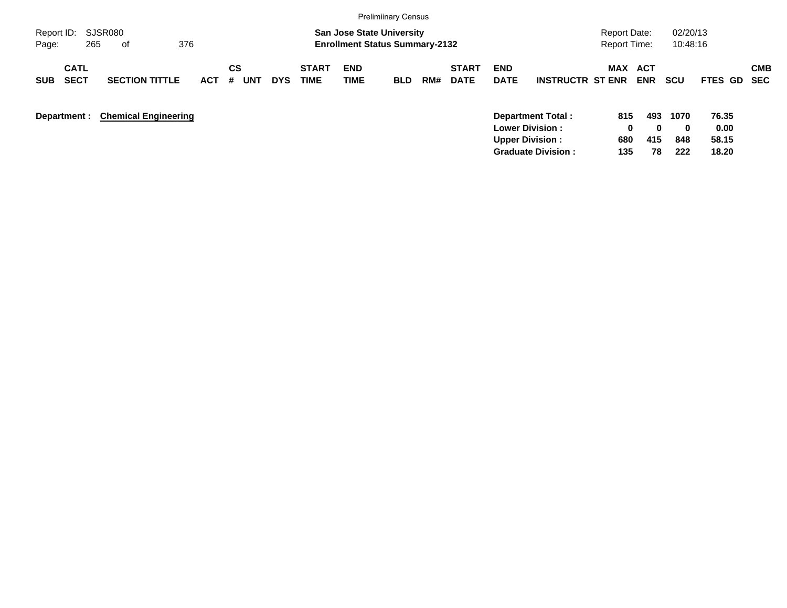|                                          |                             |            |                       |            |                      |                                                                           | <b>Prelimiinary Census</b> |     |                             |                           |                                                    |                                            |                 |                         |                        |            |
|------------------------------------------|-----------------------------|------------|-----------------------|------------|----------------------|---------------------------------------------------------------------------|----------------------------|-----|-----------------------------|---------------------------|----------------------------------------------------|--------------------------------------------|-----------------|-------------------------|------------------------|------------|
| Report ID:<br>265<br>Page:               | SJSR080<br>376<br>0f        |            |                       |            |                      | <b>San Jose State University</b><br><b>Enrollment Status Summary-2132</b> |                            |     |                             |                           |                                                    | <b>Report Date:</b><br><b>Report Time:</b> |                 | 02/20/13<br>10:48:16    |                        |            |
| <b>CATL</b><br><b>SECT</b><br><b>SUB</b> | <b>SECTION TITTLE</b>       | <b>ACT</b> | CS<br><b>UNT</b><br># | <b>DYS</b> | <b>START</b><br>TIME | <b>END</b><br>TIME                                                        | <b>BLD</b>                 | RM# | <b>START</b><br><b>DATE</b> | <b>END</b><br><b>DATE</b> | <b>INSTRUCTR ST ENR</b>                            | MAX ACT                                    | <b>ENR</b>      | <b>SCU</b>              | FTES GD SEC            | <b>CMB</b> |
| Department :                             | <b>Chemical Engineering</b> |            |                       |            |                      |                                                                           |                            |     |                             | <b>Upper Division:</b>    | <b>Department Total:</b><br><b>Lower Division:</b> | 815<br>0<br>680                            | 493<br>0<br>415 | 1070<br>$\bf{0}$<br>848 | 76.35<br>0.00<br>58.15 |            |

**Graduate Division : 135 78 222 18.20**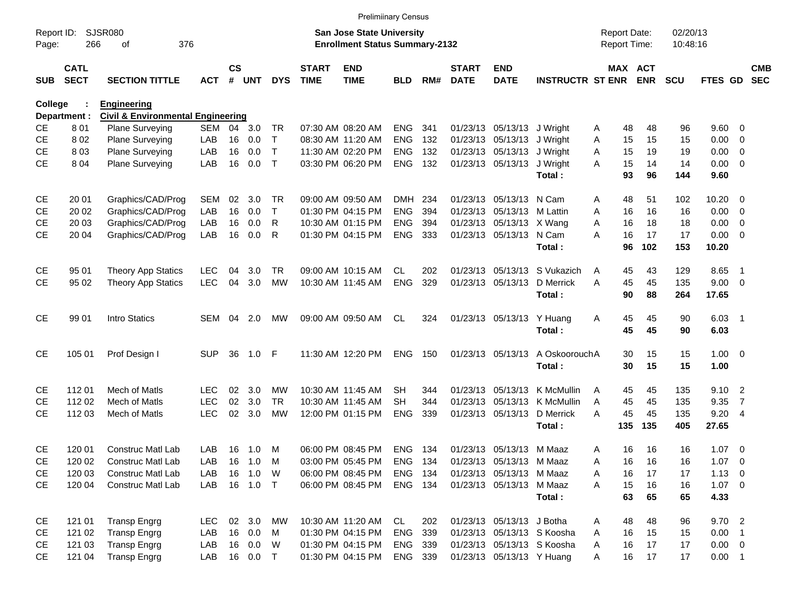|                     |                            |                                              |            |                |            |              |                             | <b>Prelimiinary Census</b>                                         |            |     |                             |                            |                            |   |                                     |            |                      |             |                          |                          |
|---------------------|----------------------------|----------------------------------------------|------------|----------------|------------|--------------|-----------------------------|--------------------------------------------------------------------|------------|-----|-----------------------------|----------------------------|----------------------------|---|-------------------------------------|------------|----------------------|-------------|--------------------------|--------------------------|
| Report ID:<br>Page: | 266                        | <b>SJSR080</b><br>376<br>of                  |            |                |            |              |                             | San Jose State University<br><b>Enrollment Status Summary-2132</b> |            |     |                             |                            |                            |   | <b>Report Date:</b><br>Report Time: |            | 02/20/13<br>10:48:16 |             |                          |                          |
| <b>SUB</b>          | <b>CATL</b><br><b>SECT</b> | <b>SECTION TITTLE</b>                        | <b>ACT</b> | <b>CS</b><br># | <b>UNT</b> | <b>DYS</b>   | <b>START</b><br><b>TIME</b> | <b>END</b><br><b>TIME</b>                                          | <b>BLD</b> | RM# | <b>START</b><br><b>DATE</b> | <b>END</b><br><b>DATE</b>  | <b>INSTRUCTR ST ENR</b>    |   | MAX ACT                             | <b>ENR</b> | <b>SCU</b>           | FTES GD     |                          | <b>CMB</b><br><b>SEC</b> |
| College             |                            | <b>Engineering</b>                           |            |                |            |              |                             |                                                                    |            |     |                             |                            |                            |   |                                     |            |                      |             |                          |                          |
|                     | Department :               | <b>Civil &amp; Environmental Engineering</b> |            |                |            |              |                             |                                                                    |            |     |                             |                            |                            |   |                                     |            |                      |             |                          |                          |
| <b>CE</b>           | 801                        | <b>Plane Surveying</b>                       | SEM        | 04             | 3.0        | TR.          |                             | 07:30 AM 08:20 AM                                                  | <b>ENG</b> | 341 |                             | 01/23/13 05/13/13 J Wright |                            | A | 48                                  | 48         | 96                   | 9.60        | - 0                      |                          |
| <b>CE</b>           | 802                        | Plane Surveying                              | LAB        | 16             | 0.0        | $\mathsf{T}$ |                             | 08:30 AM 11:20 AM                                                  | <b>ENG</b> | 132 |                             | 01/23/13 05/13/13 J Wright |                            | A | 15                                  | 15         | 15                   | 0.00        | 0                        |                          |
| <b>CE</b>           | 803                        | Plane Surveying                              | LAB        | 16             | 0.0        | $\mathsf{T}$ |                             | 11:30 AM 02:20 PM                                                  | <b>ENG</b> | 132 |                             | 01/23/13 05/13/13          | J Wright                   | A | 15                                  | 19         | 19                   | 0.00        | $\overline{\mathbf{0}}$  |                          |
| <b>CE</b>           | 8 0 4                      | Plane Surveying                              | LAB        | 16             | 0.0        | $\mathsf{T}$ |                             | 03:30 PM 06:20 PM                                                  | <b>ENG</b> | 132 |                             | 01/23/13 05/13/13          | J Wright                   | A | 15                                  | 14         | 14                   | 0.00        | $\overline{\phantom{0}}$ |                          |
|                     |                            |                                              |            |                |            |              |                             |                                                                    |            |     |                             |                            | Total:                     |   | 93                                  | 96         | 144                  | 9.60        |                          |                          |
| <b>CE</b>           | 20 01                      | Graphics/CAD/Prog                            | SEM        | 02             | 3.0        | TR           |                             | 09:00 AM 09:50 AM                                                  | DMH        | 234 |                             | 01/23/13 05/13/13 N Cam    |                            | A | 48                                  | 51         | 102                  | 10.20       | - 0                      |                          |
| <b>CE</b>           | 20 02                      | Graphics/CAD/Prog                            | LAB        | 16             | 0.0        | $\mathsf{T}$ |                             | 01:30 PM 04:15 PM                                                  | <b>ENG</b> | 394 |                             | 01/23/13 05/13/13 M Lattin |                            | A | 16                                  | 16         | 16                   | 0.00        | $\overline{\mathbf{0}}$  |                          |
| <b>CE</b>           | 20 03                      | Graphics/CAD/Prog                            | LAB        | 16             | 0.0        | R            |                             | 10:30 AM 01:15 PM                                                  | <b>ENG</b> | 394 |                             | 01/23/13 05/13/13 X Wang   |                            | A | 16                                  | 18         | 18                   | 0.00        | $\overline{\mathbf{0}}$  |                          |
| <b>CE</b>           | 20 04                      | Graphics/CAD/Prog                            | LAB        | 16             | 0.0        | R            |                             | 01:30 PM 04:15 PM                                                  | <b>ENG</b> | 333 |                             | 01/23/13 05/13/13 N Cam    |                            | A | 16                                  | 17         | 17                   | 0.00        | - 0                      |                          |
|                     |                            |                                              |            |                |            |              |                             |                                                                    |            |     |                             |                            | Total:                     |   | 96                                  | 102        | 153                  | 10.20       |                          |                          |
| <b>CE</b>           | 95 01                      | Theory App Statics                           | <b>LEC</b> | 04             | 3.0        | TR           |                             | 09:00 AM 10:15 AM                                                  | CL.        | 202 | 01/23/13                    | 05/13/13                   | S Vukazich                 | A | 45                                  | 43         | 129                  | 8.65        | $\overline{\phantom{1}}$ |                          |
| <b>CE</b>           | 95 02                      | <b>Theory App Statics</b>                    | <b>LEC</b> | 04             | 3.0        | <b>MW</b>    |                             | 10:30 AM 11:45 AM                                                  | <b>ENG</b> | 329 |                             | 01/23/13 05/13/13          | D Merrick                  | A | 45                                  | 45         | 135                  | 9.00 0      |                          |                          |
|                     |                            |                                              |            |                |            |              |                             |                                                                    |            |     |                             |                            | Total:                     |   | 90                                  | 88         | 264                  | 17.65       |                          |                          |
| <b>CE</b>           | 99 01                      | Intro Statics                                | SEM        | 04             | 2.0        | MW           |                             | 09:00 AM 09:50 AM                                                  | CL.        | 324 |                             | 01/23/13 05/13/13          | Y Huang                    | Α | 45                                  | 45         | 90                   | $6.03$ 1    |                          |                          |
|                     |                            |                                              |            |                |            |              |                             |                                                                    |            |     |                             |                            | Total:                     |   | 45                                  | 45         | 90                   | 6.03        |                          |                          |
| <b>CE</b>           | 105 01                     | Prof Design I                                | <b>SUP</b> | 36             | 1.0        | F            |                             | 11:30 AM 12:20 PM                                                  | <b>ENG</b> | 150 |                             | 01/23/13 05/13/13          | A OskoorouchA              |   | 30                                  | 15         | 15                   | $1.00 \t 0$ |                          |                          |
|                     |                            |                                              |            |                |            |              |                             |                                                                    |            |     |                             |                            | Total:                     |   | 30                                  | 15         | 15                   | 1.00        |                          |                          |
| <b>CE</b>           | 11201                      | Mech of Matls                                | <b>LEC</b> | 02             | 3.0        | МW           |                             | 10:30 AM 11:45 AM                                                  | <b>SH</b>  | 344 |                             | 01/23/13 05/13/13          | K McMullin                 | A | 45                                  | 45         | 135                  | $9.10$ 2    |                          |                          |
| <b>CE</b>           | 112 02                     | Mech of Matls                                | <b>LEC</b> | 02             | 3.0        | <b>TR</b>    |                             | 10:30 AM 11:45 AM                                                  | <b>SH</b>  | 344 | 01/23/13                    | 05/13/13                   | K McMullin                 | A | 45                                  | 45         | 135                  | 9.35        | $\overline{7}$           |                          |
| <b>CE</b>           | 112 03                     | Mech of Matls                                | <b>LEC</b> | 02             | 3.0        | <b>MW</b>    |                             | 12:00 PM 01:15 PM                                                  | <b>ENG</b> | 339 |                             | 01/23/13 05/13/13          | D Merrick                  | A | 45                                  | 45         | 135                  | 9.20        | $\overline{4}$           |                          |
|                     |                            |                                              |            |                |            |              |                             |                                                                    |            |     |                             |                            | Total:                     |   | 135                                 | 135        | 405                  | 27.65       |                          |                          |
| <b>CE</b>           | 120 01                     | <b>Construc Matl Lab</b>                     | LAB        |                | 16 1.0     | M            |                             | 06:00 PM 08:45 PM                                                  | <b>ENG</b> | 134 |                             | 01/23/13 05/13/13 M Maaz   |                            | A | 16                                  | 16         | 16                   | $1.07 \t 0$ |                          |                          |
| <b>CE</b>           | 120 02                     | Construc Matl Lab                            | LAB        | 16             | 1.0        | M            |                             | 03:00 PM 05:45 PM                                                  | ENG        | 134 |                             | 01/23/13 05/13/13 M Maaz   |                            | A | 16                                  | 16         | 16                   | 1.07        | $\overline{\mathbf{0}}$  |                          |
| <b>CE</b>           | 120 03                     | Construc Matl Lab                            | LAB        | 16             | 1.0        | W            |                             | 06:00 PM 08:45 PM                                                  | ENG        | 134 |                             | 01/23/13 05/13/13 M Maaz   |                            | Α | 16                                  | 17         | 17                   | $1.13 \ 0$  |                          |                          |
| <b>CE</b>           | 120 04                     | <b>Construc Matl Lab</b>                     | LAB        |                | 16  1.0  T |              |                             | 06:00 PM 08:45 PM                                                  | ENG 134    |     |                             | 01/23/13 05/13/13 M Maaz   |                            | A | 15                                  | 16         | 16                   | $1.07 \t 0$ |                          |                          |
|                     |                            |                                              |            |                |            |              |                             |                                                                    |            |     |                             |                            | Total:                     |   | 63                                  | 65         | 65                   | 4.33        |                          |                          |
| CE                  | 121 01                     | <b>Transp Engrg</b>                          | LEC.       |                | 02 3.0     | MW           |                             | 10:30 AM 11:20 AM                                                  | CL         | 202 |                             | 01/23/13 05/13/13 J Botha  |                            | A | 48                                  | 48         | 96                   | 9.702       |                          |                          |
| CE                  | 121 02                     | <b>Transp Engrg</b>                          | LAB        |                | 16 0.0     | M            |                             | 01:30 PM 04:15 PM                                                  | <b>ENG</b> | 339 |                             |                            | 01/23/13 05/13/13 S Koosha | Α | 16                                  | 15         | 15                   | $0.00$ 1    |                          |                          |
| CE                  | 121 03                     | <b>Transp Engrg</b>                          | LAB        |                | 16 0.0     | W            |                             | 01:30 PM 04:15 PM                                                  | ENG 339    |     |                             |                            | 01/23/13 05/13/13 S Koosha | Α | 16                                  | 17         | 17                   | $0.00 \t 0$ |                          |                          |
| CE                  | 121 04                     | <b>Transp Engrg</b>                          | LAB        |                | 16  0.0  T |              |                             | 01:30 PM 04:15 PM                                                  | ENG 339    |     |                             | 01/23/13 05/13/13 Y Huang  |                            | A | 16                                  | 17         | 17                   | $0.00$ 1    |                          |                          |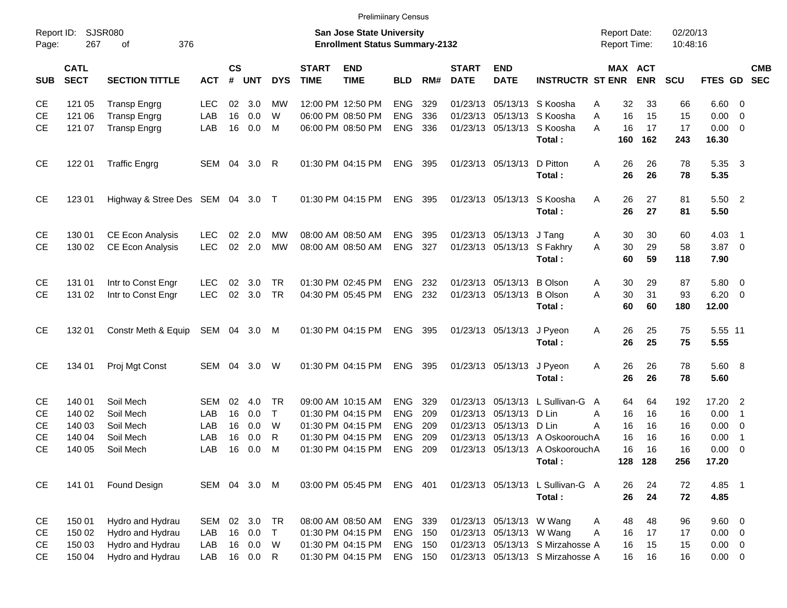| <b>Prelimiinary Census</b> |  |
|----------------------------|--|
|----------------------------|--|

|                     |                            |                                  |              |                |            |              |                             | <b>Prelimiinary Census</b>                                         |                |     |                             |                            |                                  |                                            |                       |                      |                |                          |            |
|---------------------|----------------------------|----------------------------------|--------------|----------------|------------|--------------|-----------------------------|--------------------------------------------------------------------|----------------|-----|-----------------------------|----------------------------|----------------------------------|--------------------------------------------|-----------------------|----------------------|----------------|--------------------------|------------|
| Report ID:<br>Page: | 267                        | <b>SJSR080</b><br>376<br>οf      |              |                |            |              |                             | San Jose State University<br><b>Enrollment Status Summary-2132</b> |                |     |                             |                            |                                  | <b>Report Date:</b><br><b>Report Time:</b> |                       | 02/20/13<br>10:48:16 |                |                          |            |
| <b>SUB</b>          | <b>CATL</b><br><b>SECT</b> | <b>SECTION TITTLE</b>            | <b>ACT</b>   | <b>CS</b><br># | <b>UNT</b> | <b>DYS</b>   | <b>START</b><br><b>TIME</b> | <b>END</b><br><b>TIME</b>                                          | <b>BLD</b>     | RM# | <b>START</b><br><b>DATE</b> | <b>END</b><br><b>DATE</b>  | <b>INSTRUCTR ST ENR</b>          |                                            | MAX ACT<br><b>ENR</b> | SCU                  | FTES GD SEC    |                          | <b>CMB</b> |
| <b>CE</b>           | 121 05                     | <b>Transp Engrg</b>              | LEC          | 02             | 3.0        | MW           |                             | 12:00 PM 12:50 PM                                                  | <b>ENG</b>     | 329 |                             | 01/23/13 05/13/13          | S Koosha                         | 32<br>Α                                    | 33                    | 66                   | $6.60$ 0       |                          |            |
| <b>CE</b>           | 121 06                     | <b>Transp Engrg</b>              | LAB          | 16             | 0.0        | W            |                             | 06:00 PM 08:50 PM                                                  | ENG            | 336 |                             | 01/23/13 05/13/13          | S Koosha                         | 16<br>A                                    | 15                    | 15                   | $0.00 \t 0$    |                          |            |
| <b>CE</b>           | 121 07                     | <b>Transp Engrg</b>              | LAB          | 16             | 0.0        | M            |                             | 06:00 PM 08:50 PM                                                  | <b>ENG</b>     | 336 |                             | 01/23/13 05/13/13          | S Koosha                         | 16<br>A                                    | 17                    | 17                   | $0.00 \t 0$    |                          |            |
|                     |                            |                                  |              |                |            |              |                             |                                                                    |                |     |                             |                            | Total:                           | 160                                        | 162                   | 243                  | 16.30          |                          |            |
| <b>CE</b>           | 122 01                     | <b>Traffic Engrg</b>             | SEM 04       |                | 3.0        | R            |                             | 01:30 PM 04:15 PM                                                  | ENG            | 395 |                             | 01/23/13 05/13/13          | D Pitton                         | 26<br>A                                    | 26                    | 78                   | 5.35           | $\overline{\mathbf{3}}$  |            |
|                     |                            |                                  |              |                |            |              |                             |                                                                    |                |     |                             |                            | Total:                           | 26                                         | 26                    | 78                   | 5.35           |                          |            |
| <b>CE</b>           | 123 01                     | Highway & Stree Des SEM 04 3.0 T |              |                |            |              |                             | 01:30 PM 04:15 PM                                                  | <b>ENG 395</b> |     |                             | 01/23/13 05/13/13          | S Koosha                         | 26<br>A                                    | 27                    | 81                   | 5.50 2         |                          |            |
|                     |                            |                                  |              |                |            |              |                             |                                                                    |                |     |                             |                            | Total:                           | 26                                         | 27                    | 81                   | 5.50           |                          |            |
| <b>CE</b>           | 130 01                     | <b>CE Econ Analysis</b>          | <b>LEC</b>   | 02             | 2.0        | MW           |                             | 08:00 AM 08:50 AM                                                  | <b>ENG</b>     | 395 |                             | 01/23/13 05/13/13          | J Tang                           | 30<br>A                                    | 30                    | 60                   | $4.03$ 1       |                          |            |
| <b>CE</b>           | 130 02                     | <b>CE Econ Analysis</b>          | <b>LEC</b>   |                | $02$ 2.0   | <b>MW</b>    |                             | 08:00 AM 08:50 AM                                                  | <b>ENG</b>     | 327 |                             | 01/23/13 05/13/13 S Fakhry |                                  | 30<br>A                                    | 29                    | 58                   | $3.87$ 0       |                          |            |
|                     |                            |                                  |              |                |            |              |                             |                                                                    |                |     |                             |                            | Total:                           | 60                                         | 59                    | 118                  | 7.90           |                          |            |
| <b>CE</b>           | 131 01                     | Intr to Const Engr               | <b>LEC</b>   | 02             | 3.0        | <b>TR</b>    |                             | 01:30 PM 02:45 PM                                                  | <b>ENG</b>     | 232 |                             | 01/23/13 05/13/13          | <b>B</b> Olson                   | Α<br>30                                    | 29                    | 87                   | 5.80 0         |                          |            |
| <b>CE</b>           | 131 02                     | Intr to Const Engr               | <b>LEC</b>   |                | 02 3.0     | <b>TR</b>    |                             | 04:30 PM 05:45 PM                                                  | <b>ENG 232</b> |     |                             | 01/23/13 05/13/13 B Olson  |                                  | A<br>30                                    | 31                    | 93                   | $6.20 \quad 0$ |                          |            |
|                     |                            |                                  |              |                |            |              |                             |                                                                    |                |     |                             |                            | Total:                           | 60                                         | 60                    | 180                  | 12.00          |                          |            |
| <b>CE</b>           | 132 01                     | Constr Meth & Equip              | SEM 04 3.0   |                |            | M            |                             | 01:30 PM 04:15 PM                                                  | <b>ENG 395</b> |     |                             | 01/23/13 05/13/13          | J Pyeon                          | 26<br>A                                    | 25                    | 75                   | 5.55 11        |                          |            |
|                     |                            |                                  |              |                |            |              |                             |                                                                    |                |     |                             |                            | Total:                           | 26                                         | 25                    | 75                   | 5.55           |                          |            |
| <b>CE</b>           | 134 01                     | Proj Mgt Const                   | SEM 04       |                | 3.0        | W            |                             | 01:30 PM 04:15 PM                                                  | ENG 395        |     |                             | 01/23/13 05/13/13          | J Pyeon                          | 26<br>A                                    | 26                    | 78                   | 5.60 8         |                          |            |
|                     |                            |                                  |              |                |            |              |                             |                                                                    |                |     |                             |                            | Total:                           | 26                                         | 26                    | 78                   | 5.60           |                          |            |
| <b>CE</b>           | 140 01                     | Soil Mech                        | SEM          | 02             | 4.0        | TR           |                             | 09:00 AM 10:15 AM                                                  | <b>ENG</b>     | 329 |                             |                            | 01/23/13 05/13/13 L Sullivan-G   | 64<br>A                                    | 64                    | 192                  | 17.20 2        |                          |            |
| <b>CE</b>           | 140 02                     | Soil Mech                        | LAB          | 16             | 0.0        | $\top$       |                             | 01:30 PM 04:15 PM                                                  | <b>ENG</b>     | 209 |                             | 01/23/13 05/13/13          | D Lin                            | 16<br>A                                    | 16                    | 16                   | $0.00$ 1       |                          |            |
| <b>CE</b>           | 140 03                     | Soil Mech                        | LAB          | 16             | 0.0        | W            |                             | 01:30 PM 04:15 PM                                                  | <b>ENG</b>     | 209 |                             | 01/23/13 05/13/13 D Lin    |                                  | Α<br>16                                    | 16                    | 16                   | $0.00 \t 0$    |                          |            |
| <b>CE</b>           | 140 04                     | Soil Mech                        | LAB          | 16             | 0.0        | R            |                             | 01:30 PM 04:15 PM                                                  | <b>ENG</b>     | 209 |                             |                            | 01/23/13 05/13/13 A OskoorouchA  | 16                                         | 16                    | 16                   | 0.00           | $\overline{\phantom{0}}$ |            |
| <b>CE</b>           | 140 05                     | Soil Mech                        | LAB          | 16             | 0.0        | м            |                             | 01:30 PM 04:15 PM                                                  | <b>ENG</b>     | 209 |                             |                            | 01/23/13 05/13/13 A OskoorouchA  | 16                                         | 16                    | 16                   | 0.00           | $\overline{\phantom{0}}$ |            |
|                     |                            |                                  |              |                |            |              |                             |                                                                    |                |     |                             |                            | Total:                           |                                            | 128 128               | 256                  | 17.20          |                          |            |
| <b>CE</b>           | 141 01                     | Found Design                     | SEM 04 3.0 M |                |            |              |                             | 03:00 PM 05:45 PM                                                  | ENG 401        |     |                             |                            | 01/23/13 05/13/13 L Sullivan-G A | 26                                         | 24                    | 72                   | 4.85 1         |                          |            |
|                     |                            |                                  |              |                |            |              |                             |                                                                    |                |     |                             |                            | Total:                           | 26                                         | 24                    | 72                   | 4.85           |                          |            |
| CE                  | 150 01                     | Hydro and Hydrau                 | SEM          |                | 02 3.0     | TR           |                             | 08:00 AM 08:50 AM                                                  | ENG 339        |     |                             | 01/23/13 05/13/13 W Wang   |                                  | 48<br>A                                    | 48                    | 96                   | 9.60 0         |                          |            |
| CE                  | 150 02                     | Hydro and Hydrau                 | LAB          |                | 16 0.0     | T            |                             | 01:30 PM 04:15 PM                                                  | <b>ENG 150</b> |     |                             | 01/23/13 05/13/13 W Wang   |                                  | Α<br>16                                    | 17                    | 17                   | $0.00 \t 0$    |                          |            |
| CE                  | 150 03                     | Hydro and Hydrau                 | LAB          |                | 16 0.0     | W            |                             | 01:30 PM 04:15 PM                                                  | <b>ENG 150</b> |     |                             |                            | 01/23/13 05/13/13 S Mirzahosse A | 16                                         | 15                    | 15                   | $0.00 \t 0$    |                          |            |
| CE                  | 150 04                     | Hydro and Hydrau                 | LAB          |                | 16 0.0     | $\mathsf{R}$ |                             | 01:30 PM 04:15 PM                                                  | ENG 150        |     |                             |                            | 01/23/13 05/13/13 S Mirzahosse A | 16                                         | 16                    | 16                   | $0.00 \t 0$    |                          |            |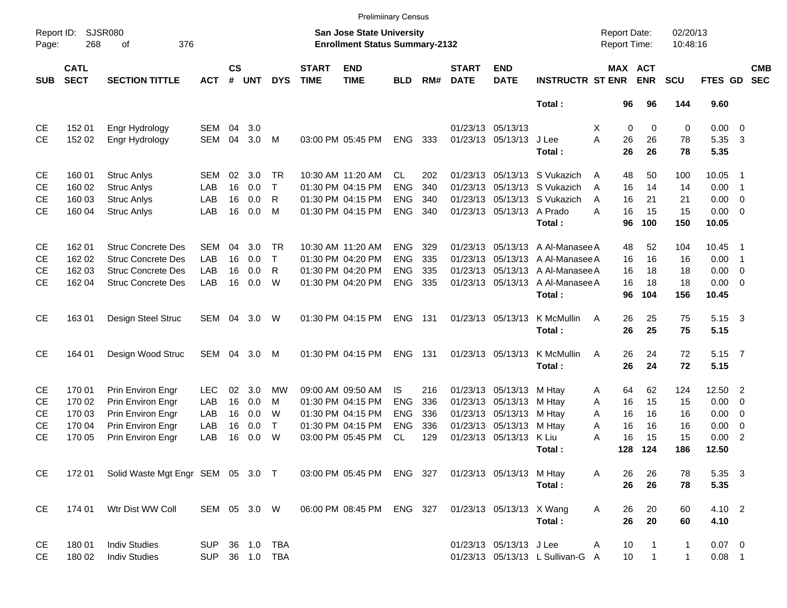|                     |                            |                                          |              |                    |            |              |                             | <b>Prelimiinary Census</b>                                         |            |       |                             |                           |                                  |                                            |                              |                      |             |                          |                          |
|---------------------|----------------------------|------------------------------------------|--------------|--------------------|------------|--------------|-----------------------------|--------------------------------------------------------------------|------------|-------|-----------------------------|---------------------------|----------------------------------|--------------------------------------------|------------------------------|----------------------|-------------|--------------------------|--------------------------|
| Report ID:<br>Page: | 268                        | <b>SJSR080</b><br>376<br>of              |              |                    |            |              |                             | San Jose State University<br><b>Enrollment Status Summary-2132</b> |            |       |                             |                           |                                  | <b>Report Date:</b><br><b>Report Time:</b> |                              | 02/20/13<br>10:48:16 |             |                          |                          |
| <b>SUB</b>          | <b>CATL</b><br><b>SECT</b> | <b>SECTION TITTLE</b>                    | <b>ACT</b>   | $\mathsf{cs}$<br># | <b>UNT</b> | <b>DYS</b>   | <b>START</b><br><b>TIME</b> | <b>END</b><br><b>TIME</b>                                          | <b>BLD</b> | RM#   | <b>START</b><br><b>DATE</b> | <b>END</b><br><b>DATE</b> | <b>INSTRUCTR ST ENR</b>          |                                            | <b>MAX ACT</b><br><b>ENR</b> | <b>SCU</b>           | FTES GD     |                          | <b>CMB</b><br><b>SEC</b> |
|                     |                            |                                          |              |                    |            |              |                             |                                                                    |            |       |                             |                           | Total:                           | 96                                         | 96                           | 144                  | 9.60        |                          |                          |
| CE                  | 152 01                     | Engr Hydrology                           | SEM          | 04                 | 3.0        |              |                             |                                                                    |            |       |                             | 01/23/13 05/13/13         |                                  | $\mathbf 0$<br>X                           | 0                            | 0                    | $0.00 \t 0$ |                          |                          |
| <b>CE</b>           | 152 02                     | Engr Hydrology                           | <b>SEM</b>   | 04                 | 3.0        | M            |                             | 03:00 PM 05:45 PM                                                  | <b>ENG</b> | 333   |                             | 01/23/13 05/13/13 J Lee   |                                  | A<br>26                                    | 26                           | 78                   | 5.35        | $\overline{\mathbf{3}}$  |                          |
|                     |                            |                                          |              |                    |            |              |                             |                                                                    |            |       |                             |                           | Total:                           | 26                                         | 26                           | 78                   | 5.35        |                          |                          |
| CE                  | 160 01                     | <b>Struc Anlys</b>                       | SEM          | 02                 | 3.0        | TR.          |                             | 10:30 AM 11:20 AM                                                  | <b>CL</b>  | 202   |                             |                           | 01/23/13 05/13/13 S Vukazich     | 48<br>A                                    | 50                           | 100                  | 10.05       | - 1                      |                          |
| <b>CE</b>           | 160 02                     | <b>Struc Anlys</b>                       | LAB          | 16                 | 0.0        | $\mathsf{T}$ |                             | 01:30 PM 04:15 PM                                                  | <b>ENG</b> | 340   |                             |                           | 01/23/13 05/13/13 S Vukazich     | A<br>16                                    | 14                           | 14                   | 0.00        | $\overline{\phantom{1}}$ |                          |
| <b>CE</b>           | 160 03                     | <b>Struc Anlys</b>                       | LAB          | 16                 | 0.0        | R            |                             | 01:30 PM 04:15 PM                                                  | <b>ENG</b> | 340   |                             |                           | 01/23/13 05/13/13 S Vukazich     | 16<br>A                                    | 21                           | 21                   | 0.00        | $\overline{\phantom{0}}$ |                          |
| <b>CE</b>           | 160 04                     | <b>Struc Anlys</b>                       | LAB          | 16                 | 0.0        | M            |                             | 01:30 PM 04:15 PM                                                  | <b>ENG</b> | 340   |                             | 01/23/13 05/13/13 A Prado |                                  | 16<br>А                                    | 15                           | 15                   | $0.00 \t 0$ |                          |                          |
|                     |                            |                                          |              |                    |            |              |                             |                                                                    |            |       |                             |                           | Total:                           | 96                                         | 100                          | 150                  | 10.05       |                          |                          |
| CE                  | 162 01                     | <b>Struc Concrete Des</b>                | SEM          | 04                 | 3.0        | TR.          |                             | 10:30 AM 11:20 AM                                                  | <b>ENG</b> | 329   |                             |                           | 01/23/13 05/13/13 A Al-Manasee A | 48                                         | 52                           | 104                  | 10.45       | - 1                      |                          |
| <b>CE</b>           | 162 02                     | <b>Struc Concrete Des</b>                | LAB          | 16                 | 0.0        | $\mathsf{T}$ |                             | 01:30 PM 04:20 PM                                                  | <b>ENG</b> | 335   |                             |                           | 01/23/13 05/13/13 A Al-Manasee A | 16                                         | 16                           | 16                   | 0.00        | $\overline{\phantom{1}}$ |                          |
| <b>CE</b>           | 162 03                     | <b>Struc Concrete Des</b>                | LAB          | 16                 | 0.0        | R            |                             | 01:30 PM 04:20 PM                                                  | <b>ENG</b> | 335   |                             |                           | 01/23/13 05/13/13 A Al-Manasee A | 16                                         | 18                           | 18                   | 0.00        | $\overline{\phantom{0}}$ |                          |
| <b>CE</b>           | 162 04                     | <b>Struc Concrete Des</b>                | LAB          | 16                 | 0.0        | W            |                             | 01:30 PM 04:20 PM                                                  | <b>ENG</b> | 335   |                             | 01/23/13 05/13/13         | A Al-Manasee A                   | 16                                         | 18                           | 18                   | $0.00 \t 0$ |                          |                          |
|                     |                            |                                          |              |                    |            |              |                             |                                                                    |            |       |                             |                           | Total:                           | 96                                         | 104                          | 156                  | 10.45       |                          |                          |
| <b>CE</b>           | 16301                      | Design Steel Struc                       | SEM          | 04                 | 3.0        | W            |                             | 01:30 PM 04:15 PM                                                  | <b>ENG</b> | - 131 |                             | 01/23/13 05/13/13         | K McMullin                       | 26<br>A                                    | 25                           | 75                   | 5.15 3      |                          |                          |
|                     |                            |                                          |              |                    |            |              |                             |                                                                    |            |       |                             |                           | Total:                           | 26                                         | 25                           | 75                   | 5.15        |                          |                          |
| <b>CE</b>           | 164 01                     | Design Wood Struc                        | SEM          | 04                 | 3.0        | M            |                             | 01:30 PM 04:15 PM                                                  | <b>ENG</b> | - 131 |                             | 01/23/13 05/13/13         | K McMullin                       | 26<br>A                                    | 24                           | 72                   | 5.15 7      |                          |                          |
|                     |                            |                                          |              |                    |            |              |                             |                                                                    |            |       |                             |                           | Total:                           | 26                                         | 24                           | 72                   | 5.15        |                          |                          |
| CE                  | 170 01                     | Prin Environ Engr                        | LEC.         | 02                 | 3.0        | MW           |                             | 09:00 AM 09:50 AM                                                  | IS.        | 216   |                             | 01/23/13 05/13/13         | M Htay                           | 64<br>A                                    | 62                           | 124                  | 12.50 2     |                          |                          |
| <b>CE</b>           | 170 02                     | Prin Environ Engr                        | LAB          | 16                 | 0.0        | M            |                             | 01:30 PM 04:15 PM                                                  | <b>ENG</b> | 336   |                             | 01/23/13 05/13/13         | M Htay                           | A<br>16                                    | 15                           | 15                   | 0.00        | $\overline{\phantom{0}}$ |                          |
| <b>CE</b>           | 170 03                     | Prin Environ Engr                        | LAB          | 16                 | 0.0        | W            |                             | 01:30 PM 04:15 PM                                                  | <b>ENG</b> | 336   |                             | 01/23/13 05/13/13         | M Htay                           | A<br>16                                    | 16                           | 16                   | 0.00        | $\overline{\phantom{0}}$ |                          |
| <b>CE</b>           | 170 04                     | Prin Environ Engr                        | LAB          | 16                 | 0.0        | $\top$       |                             | 01:30 PM 04:15 PM                                                  | <b>ENG</b> | 336   |                             | 01/23/13 05/13/13 M Htay  |                                  | A<br>16                                    | 16                           | 16                   | 0.00        | $\overline{\mathbf{0}}$  |                          |
| <b>CE</b>           | 170 05                     | Prin Environ Engr                        | LAB          | 16                 | 0.0        | W            |                             | 03:00 PM 05:45 PM                                                  | <b>CL</b>  | 129   |                             | 01/23/13 05/13/13 K Liu   |                                  | А<br>16                                    | 15                           | 15                   | 0.00        | $\overline{2}$           |                          |
|                     |                            |                                          |              |                    |            |              |                             |                                                                    |            |       |                             |                           | Total:                           | 128                                        | 124                          | 186                  | 12.50       |                          |                          |
| CE                  |                            | 172 01 Solid Waste Mgt Engr SEM 05 3.0 T |              |                    |            |              |                             | 03:00 PM 05:45 PM ENG 327                                          |            |       |                             | 01/23/13 05/13/13 M Htay  |                                  | 26<br>A                                    | 26                           | 78                   | 5.35 3      |                          |                          |
|                     |                            |                                          |              |                    |            |              |                             |                                                                    |            |       |                             |                           | Total:                           | 26                                         | 26                           | 78                   | 5.35        |                          |                          |
| <b>CE</b>           | 174 01                     | Wtr Dist WW Coll                         | SEM 05 3.0 W |                    |            |              |                             | 06:00 PM 08:45 PM ENG 327                                          |            |       |                             | 01/23/13 05/13/13 X Wang  |                                  | 26<br>Α                                    | 20                           | 60                   | 4.10 2      |                          |                          |
|                     |                            |                                          |              |                    |            |              |                             |                                                                    |            |       |                             |                           | Total:                           | 26                                         | 20                           | 60                   | 4.10        |                          |                          |
| CE                  | 180 01                     | <b>Indiv Studies</b>                     | SUP          |                    |            | 36 1.0 TBA   |                             |                                                                    |            |       |                             | 01/23/13 05/13/13 J Lee   |                                  | 10<br>Α                                    | 1                            | 1                    | $0.07$ 0    |                          |                          |
| CE                  | 180 02                     | <b>Indiv Studies</b>                     | SUP          |                    |            | 36 1.0 TBA   |                             |                                                                    |            |       |                             |                           | 01/23/13 05/13/13 L Sullivan-G A | 10                                         | $\mathbf{1}$                 | $\mathbf{1}$         | $0.08$ 1    |                          |                          |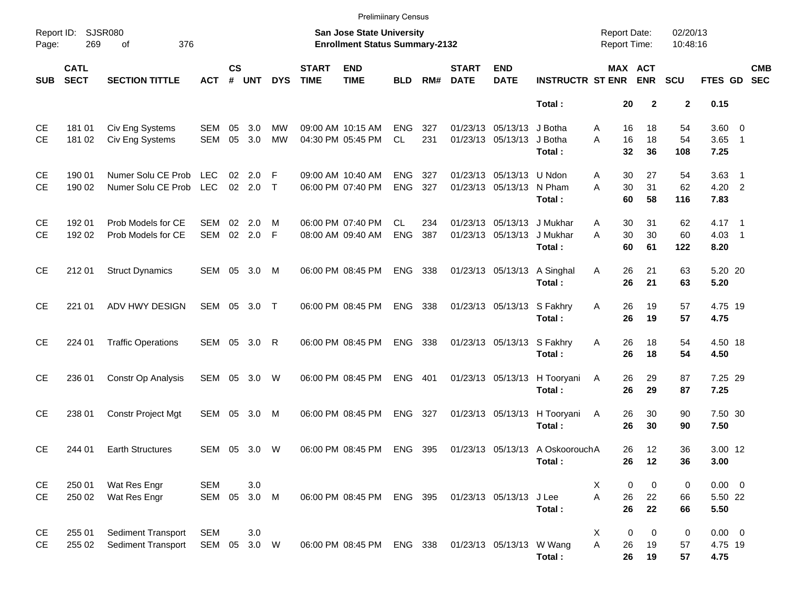|                        |                            |                                                        |                            |                |                 |                 |                             | <b>Prelimiinary Census</b>                                         |                          |            |                             |                                               |                                           |                                            |                       |                      |                                |                          |                          |
|------------------------|----------------------------|--------------------------------------------------------|----------------------------|----------------|-----------------|-----------------|-----------------------------|--------------------------------------------------------------------|--------------------------|------------|-----------------------------|-----------------------------------------------|-------------------------------------------|--------------------------------------------|-----------------------|----------------------|--------------------------------|--------------------------|--------------------------|
| Report ID:<br>Page:    | 269                        | SJSR080<br>376<br>οf                                   |                            |                |                 |                 |                             | San Jose State University<br><b>Enrollment Status Summary-2132</b> |                          |            |                             |                                               |                                           | <b>Report Date:</b><br><b>Report Time:</b> |                       | 02/20/13<br>10:48:16 |                                |                          |                          |
| <b>SUB</b>             | <b>CATL</b><br><b>SECT</b> | <b>SECTION TITTLE</b>                                  | <b>ACT</b>                 | <b>CS</b><br># | <b>UNT</b>      | <b>DYS</b>      | <b>START</b><br><b>TIME</b> | <b>END</b><br><b>TIME</b>                                          | <b>BLD</b>               | RM#        | <b>START</b><br><b>DATE</b> | <b>END</b><br><b>DATE</b>                     | <b>INSTRUCTR ST ENR</b>                   |                                            | MAX ACT<br><b>ENR</b> | <b>SCU</b>           | FTES GD                        |                          | <b>CMB</b><br><b>SEC</b> |
|                        |                            |                                                        |                            |                |                 |                 |                             |                                                                    |                          |            |                             |                                               | Total:                                    | 20                                         | $\mathbf{2}$          | $\mathbf{2}$         | 0.15                           |                          |                          |
| СE<br><b>CE</b>        | 181 01<br>181 02           | Civ Eng Systems<br>Civ Eng Systems                     | SEM<br>SEM                 | 05<br>05       | 3.0<br>3.0      | MW<br><b>MW</b> |                             | 09:00 AM 10:15 AM<br>04:30 PM 05:45 PM                             | <b>ENG</b><br>CL         | 327<br>231 |                             | 01/23/13 05/13/13<br>01/23/13 05/13/13        | J Botha<br>J Botha<br>Total:              | 16<br>A<br>16<br>A<br>32                   | 18<br>18<br>36        | 54<br>54<br>108      | $3.60 \ 0$<br>3.65<br>7.25     | $\overline{\phantom{1}}$ |                          |
| <b>CE</b><br><b>CE</b> | 190 01<br>190 02           | Numer Solu CE Prob<br>Numer Solu CE Prob LEC           | <b>LEC</b>                 | 02             | 2.0<br>02 2.0 T | F               |                             | 09:00 AM 10:40 AM<br>06:00 PM 07:40 PM                             | <b>ENG</b><br><b>ENG</b> | 327<br>327 |                             | 01/23/13 05/13/13 U Ndon<br>01/23/13 05/13/13 | N Pham<br>Total:                          | 30<br>A<br>30<br>A<br>60                   | 27<br>31<br>58        | 54<br>62<br>116      | $3.63$ 1<br>4.20 2<br>7.83     |                          |                          |
| <b>CE</b><br><b>CE</b> | 192 01<br>192 02           | Prob Models for CE<br>Prob Models for CE               | <b>SEM</b><br>SEM          | 02             | 2.0<br>02 2.0   | м<br>F          |                             | 06:00 PM 07:40 PM<br>08:00 AM 09:40 AM                             | CL.<br><b>ENG</b>        | 234<br>387 |                             | 01/23/13 05/13/13<br>01/23/13 05/13/13        | J Mukhar<br>J Mukhar<br>Total:            | 30<br>A<br>30<br>A<br>60                   | 31<br>30<br>61        | 62<br>60<br>122      | $4.17 \quad 1$<br>4.03<br>8.20 | $\overline{\phantom{1}}$ |                          |
| CE                     | 212 01                     | <b>Struct Dynamics</b>                                 | SEM 05 3.0                 |                |                 | M               |                             | 06:00 PM 08:45 PM                                                  | ENG 338                  |            |                             | 01/23/13 05/13/13                             | A Singhal<br>Total:                       | 26<br>Α<br>26                              | 21<br>21              | 63<br>63             | 5.20 20<br>5.20                |                          |                          |
| CE                     | 221 01                     | ADV HWY DESIGN                                         | SEM 05 3.0 T               |                |                 |                 |                             | 06:00 PM 08:45 PM                                                  | <b>ENG</b>               | 338        |                             | 01/23/13 05/13/13 S Fakhry                    | Total:                                    | 26<br>Α<br>26                              | 19<br>19              | 57<br>57             | 4.75 19<br>4.75                |                          |                          |
| CE                     | 224 01                     | <b>Traffic Operations</b>                              | SEM 05 3.0                 |                |                 | R               |                             | 06:00 PM 08:45 PM                                                  | <b>ENG</b>               | 338        |                             | 01/23/13 05/13/13 S Fakhry                    | Total:                                    | 26<br>Α<br>26                              | 18<br>18              | 54<br>54             | 4.50 18<br>4.50                |                          |                          |
| <b>CE</b>              | 236 01                     | Constr Op Analysis                                     | SEM 05 3.0                 |                |                 | W               |                             | 06:00 PM 08:45 PM                                                  | <b>ENG</b>               | 401        |                             | 01/23/13 05/13/13                             | H Tooryani<br>Total:                      | 26<br>A<br>26                              | 29<br>29              | 87<br>87             | 7.25 29<br>7.25                |                          |                          |
| <b>CE</b>              | 238 01                     | Constr Project Mgt                                     | SEM 05                     |                | 3.0             | M               |                             | 06:00 PM 08:45 PM                                                  | <b>ENG</b>               | 327        |                             | 01/23/13 05/13/13                             | H Tooryani<br>Total:                      | 26<br>A<br>26                              | 30<br>30              | 90<br>90             | 7.50 30<br>7.50                |                          |                          |
| <b>CE</b>              | 244 01                     | <b>Earth Structures</b>                                | SEM 05                     |                | 3.0             | W               |                             | 06:00 PM 08:45 PM                                                  | <b>ENG</b>               | 395        |                             |                                               | 01/23/13 05/13/13 A OskoorouchA<br>Total: | 26<br>26                                   | 12<br>12              | 36<br>36             | 3.00 12<br>3.00                |                          |                          |
| CE<br>CE               | 250 01<br>250 02           | Wat Res Engr<br>Wat Res Engr                           | <b>SEM</b><br>SEM 05 3.0 M |                | 3.0             |                 |                             | 06:00 PM 08:45 PM ENG 395                                          |                          |            |                             | 01/23/13 05/13/13 J Lee                       | Total:                                    | X<br>0<br>Α<br>26<br>26                    | 0<br>22<br>22         | 0<br>66<br>66        | $0.00 \t 0$<br>5.50 22<br>5.50 |                          |                          |
| CE<br>CE               | 255 01<br>255 02           | <b>Sediment Transport</b><br><b>Sediment Transport</b> | <b>SEM</b><br>SEM 05 3.0 W |                | 3.0             |                 |                             | 06:00 PM 08:45 PM ENG 338                                          |                          |            |                             | 01/23/13 05/13/13 W Wang                      | Total:                                    | X<br>0<br>A<br>26<br>26                    | 0<br>19<br>19         | 0<br>57<br>57        | $0.00 \t 0$<br>4.75 19<br>4.75 |                          |                          |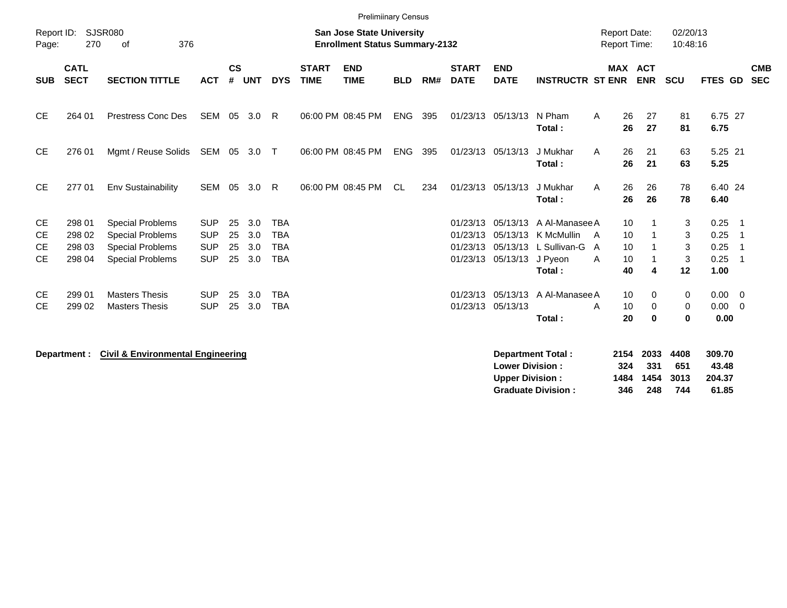|                                      | 0f                                                                                                       |                                                      |                      |                          |                                                      |                             |                           |                                                             |     |                                                                |                                       |                                                                                                                                                    |                   |                                                                  |                                                                                                                                                  |                                      |                      |                                                                                |
|--------------------------------------|----------------------------------------------------------------------------------------------------------|------------------------------------------------------|----------------------|--------------------------|------------------------------------------------------|-----------------------------|---------------------------|-------------------------------------------------------------|-----|----------------------------------------------------------------|---------------------------------------|----------------------------------------------------------------------------------------------------------------------------------------------------|-------------------|------------------------------------------------------------------|--------------------------------------------------------------------------------------------------------------------------------------------------|--------------------------------------|----------------------|--------------------------------------------------------------------------------|
| <b>CATL</b><br><b>SECT</b>           | <b>SECTION TITTLE</b>                                                                                    | <b>ACT</b>                                           | $\mathsf{cs}$<br>#   |                          | <b>DYS</b>                                           | <b>START</b><br><b>TIME</b> | <b>END</b><br><b>TIME</b> | <b>BLD</b>                                                  | RM# | <b>START</b><br><b>DATE</b>                                    | <b>END</b><br><b>DATE</b>             |                                                                                                                                                    |                   | <b>ENR</b>                                                       | <b>SCU</b>                                                                                                                                       |                                      |                      | <b>CMB</b><br><b>SEC</b>                                                       |
| 264 01                               | <b>Prestress Conc Des</b>                                                                                | SEM                                                  |                      |                          | R                                                    |                             |                           | <b>ENG</b>                                                  | 395 |                                                                |                                       | N Pham<br>Total:                                                                                                                                   | A                 | 27<br>27                                                         | 81<br>81                                                                                                                                         | 6.75                                 |                      |                                                                                |
| 276 01                               | Mgmt / Reuse Solids                                                                                      |                                                      |                      |                          | $\top$                                               |                             |                           | <b>ENG</b>                                                  | 395 |                                                                |                                       | J Mukhar<br>Total:                                                                                                                                 | A                 | 21<br>21                                                         | 63<br>63                                                                                                                                         | 5.25                                 |                      |                                                                                |
| 277 01                               | Env Sustainability                                                                                       | <b>SEM</b>                                           | 05                   | 3.0                      | R                                                    |                             |                           | <b>CL</b>                                                   | 234 |                                                                |                                       | J Mukhar<br>Total:                                                                                                                                 | A                 | 26<br>26                                                         | 78<br>78                                                                                                                                         | 6.40                                 |                      |                                                                                |
| 298 01<br>298 02<br>298 03<br>298 04 | <b>Special Problems</b><br><b>Special Problems</b><br><b>Special Problems</b><br><b>Special Problems</b> | <b>SUP</b><br><b>SUP</b><br><b>SUP</b><br><b>SUP</b> | 25<br>25<br>25<br>25 | 3.0<br>3.0<br>3.0<br>3.0 | <b>TBA</b><br><b>TBA</b><br><b>TBA</b><br><b>TBA</b> |                             |                           |                                                             |     |                                                                | 05/13/13<br>05/13/13                  | K McMullin<br>L Sullivan-G<br>J Pyeon<br>Total:                                                                                                    | A<br>A            | 4                                                                | 3<br>3<br>$\mathbf{3}$<br>3<br>12                                                                                                                | 0.25<br>0.25<br>0.25<br>0.25<br>1.00 | - 1<br>-1<br>- 1     |                                                                                |
| 299 01<br>299 02                     | <b>Masters Thesis</b><br><b>Masters Thesis</b>                                                           | <b>SUP</b><br><b>SUP</b>                             | 25<br>25             | 3.0<br>3.0               | <b>TBA</b><br><b>TBA</b>                             |                             |                           |                                                             |     |                                                                |                                       | Total:                                                                                                                                             | A                 | 0<br>0<br>$\mathbf 0$                                            | 0<br>0<br>$\mathbf 0$                                                                                                                            |                                      |                      |                                                                                |
| <b>SUB</b>                           | Report ID:<br>Page:                                                                                      | <b>SJSR080</b><br>270                                | 376                  |                          | <b>UNT</b><br>05 3.0<br>SEM 05 3.0                   |                             |                           | 06:00 PM 08:45 PM<br>06:00 PM 08:45 PM<br>06:00 PM 08:45 PM |     | <b>Prelimiinary Census</b><br><b>San Jose State University</b> | <b>Enrollment Status Summary-2132</b> | 01/23/13 05/13/13<br>01/23/13 05/13/13<br>01/23/13 05/13/13<br>01/23/13<br>01/23/13 05/13/13<br>01/23/13<br>01/23/13 05/13/13<br>01/23/13 05/13/13 | 01/23/13 05/13/13 | <b>INSTRUCTR ST ENR</b><br>A Al-Manasee A<br>A<br>A Al-Manasee A | <b>Report Date:</b><br><b>Report Time:</b><br><b>MAX ACT</b><br>26<br>26<br>26<br>26<br>26<br>26<br>10<br>10<br>10<br>10<br>40<br>10<br>10<br>20 |                                      | 02/20/13<br>10:48:16 | FTES GD<br>6.75 27<br>5.25 21<br>6.40 24<br>$0.00 \t 0$<br>$0.00 \t 0$<br>0.00 |

**Department : Civil & Environmental Engineering** 

| Department Total:         |     | 2154 2033      | 4408 | 309.70 |
|---------------------------|-----|----------------|------|--------|
| <b>Lower Division:</b>    | 324 | -331           | 651  | 43.48  |
| Upper Division:           |     | 1484 1454 3013 |      | 204.37 |
| <b>Graduate Division:</b> | 346 | 248            | 744  | 61.85  |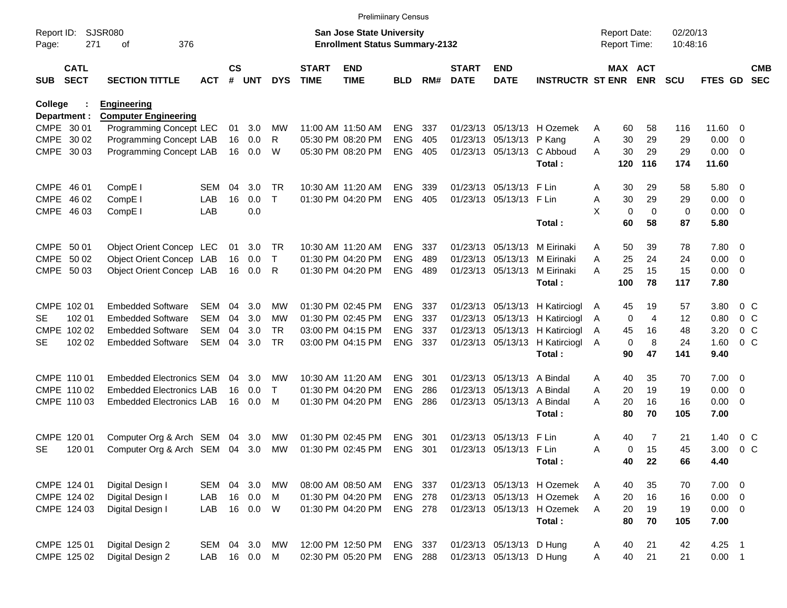|                |              |                                 |            |               |            |              |              | <b>Prelimiinary Census</b>            |                |     |              |                            |                                |   |             |                     |            |                |                          |                |
|----------------|--------------|---------------------------------|------------|---------------|------------|--------------|--------------|---------------------------------------|----------------|-----|--------------|----------------------------|--------------------------------|---|-------------|---------------------|------------|----------------|--------------------------|----------------|
| Report ID:     |              | <b>SJSR080</b>                  |            |               |            |              |              | <b>San Jose State University</b>      |                |     |              |                            |                                |   |             | <b>Report Date:</b> | 02/20/13   |                |                          |                |
| Page:          | 271          | 376<br>οf                       |            |               |            |              |              | <b>Enrollment Status Summary-2132</b> |                |     |              |                            |                                |   |             | Report Time:        | 10:48:16   |                |                          |                |
|                | <b>CATL</b>  |                                 |            | $\mathsf{cs}$ |            |              | <b>START</b> | <b>END</b>                            |                |     | <b>START</b> | <b>END</b>                 |                                |   |             | MAX ACT             |            |                |                          | <b>CMB</b>     |
| SUB            | <b>SECT</b>  | <b>SECTION TITTLE</b>           | <b>ACT</b> | #             | <b>UNT</b> | <b>DYS</b>   | <b>TIME</b>  | <b>TIME</b>                           | <b>BLD</b>     | RM# | <b>DATE</b>  | <b>DATE</b>                | <b>INSTRUCTR ST ENR</b>        |   |             | <b>ENR</b>          | <b>SCU</b> | <b>FTES GD</b> |                          | <b>SEC</b>     |
| <b>College</b> |              | <b>Engineering</b>              |            |               |            |              |              |                                       |                |     |              |                            |                                |   |             |                     |            |                |                          |                |
|                | Department : | <b>Computer Engineering</b>     |            |               |            |              |              |                                       |                |     |              |                            |                                |   |             |                     |            |                |                          |                |
|                | CMPE 30 01   | Programming Concept LEC         |            | 01            | 3.0        | MW           |              | 11:00 AM 11:50 AM                     | <b>ENG</b>     | 337 |              |                            | 01/23/13 05/13/13 H Ozemek     | Α | 60          | 58                  | 116        | 11.60 0        |                          |                |
|                | CMPE 30 02   | Programming Concept LAB         |            | 16            | 0.0        | R            |              | 05:30 PM 08:20 PM                     | <b>ENG</b>     | 405 |              | 01/23/13 05/13/13 P Kang   |                                | Α | 30          | 29                  | 29         | 0.00           | $\overline{\phantom{0}}$ |                |
|                | CMPE 30 03   | Programming Concept LAB         |            | 16            | 0.0        | W            |              | 05:30 PM 08:20 PM                     | <b>ENG</b>     | 405 |              |                            | 01/23/13 05/13/13 C Abboud     | A | 30          | 29                  | 29         | $0.00 \t 0$    |                          |                |
|                |              |                                 |            |               |            |              |              |                                       |                |     |              |                            | Total:                         |   | 120         | 116                 | 174        | 11.60          |                          |                |
|                | CMPE 46 01   | CompE <sub>I</sub>              | SEM        | 04            | 3.0        | TR           |              | 10:30 AM 11:20 AM                     | <b>ENG</b>     | 339 |              | 01/23/13 05/13/13 F Lin    |                                | Α | 30          | 29                  | 58         | 5.80 0         |                          |                |
|                | CMPE 46 02   | CompE <sub>I</sub>              | LAB        | 16            | 0.0        | $\mathsf{T}$ |              | 01:30 PM 04:20 PM                     | <b>ENG</b>     | 405 |              | 01/23/13 05/13/13 F Lin    |                                | Α | 30          | 29                  | 29         | $0.00 \t 0$    |                          |                |
|                | CMPE 46 03   | CompE I                         | LAB        |               | 0.0        |              |              |                                       |                |     |              |                            |                                | X | $\mathbf 0$ | $\mathbf 0$         | 0          | $0.00 \t 0$    |                          |                |
|                |              |                                 |            |               |            |              |              |                                       |                |     |              |                            | Total:                         |   | 60          | 58                  | 87         | 5.80           |                          |                |
|                | CMPE 50 01   | Object Orient Concep LEC        |            | 01            | 3.0        | TR           |              | 10:30 AM 11:20 AM                     | <b>ENG</b>     | 337 |              | 01/23/13 05/13/13          | M Eirinaki                     | Α | 50          | 39                  | 78         | 7.80 0         |                          |                |
|                | CMPE 50 02   | Object Orient Concep LAB        |            | 16            | 0.0        | $\mathsf{T}$ |              | 01:30 PM 04:20 PM                     | <b>ENG</b>     | 489 |              |                            | 01/23/13 05/13/13 M Eirinaki   | A | 25          | 24                  | 24         | $0.00 \t 0$    |                          |                |
|                | CMPE 50 03   | Object Orient Concep LAB        |            | 16            | 0.0        | R            |              | 01:30 PM 04:20 PM                     | <b>ENG</b>     | 489 |              | 01/23/13 05/13/13          | M Eirinaki                     | А | 25          | 15                  | 15         | $0.00 \t 0$    |                          |                |
|                |              |                                 |            |               |            |              |              |                                       |                |     |              |                            | Total:                         |   | 100         | 78                  | 117        | 7.80           |                          |                |
|                | CMPE 102 01  | <b>Embedded Software</b>        | SEM        | 04            | 3.0        | MW           |              | 01:30 PM 02:45 PM                     | <b>ENG</b>     | 337 |              |                            | 01/23/13 05/13/13 H Katirciogl | A | 45          | 19                  | 57         | 3.80           | 0 <sup>o</sup>           |                |
| SE.            | 102 01       | <b>Embedded Software</b>        | <b>SEM</b> | 04            | 3.0        | MW           |              | 01:30 PM 02:45 PM                     | <b>ENG</b>     | 337 |              |                            | 01/23/13 05/13/13 H Katirciogl | A | $\mathbf 0$ | $\overline{4}$      | 12         | 0.80           |                          | 0 <sup>o</sup> |
|                | CMPE 102 02  | <b>Embedded Software</b>        | <b>SEM</b> | 04            | 3.0        | <b>TR</b>    |              | 03:00 PM 04:15 PM                     | <b>ENG</b>     | 337 |              |                            | 01/23/13 05/13/13 H Katirciogl | A | 45          | 16                  | 48         | 3.20           |                          | $0\,C$         |
| SE             | 102 02       | <b>Embedded Software</b>        | <b>SEM</b> | 04            | 3.0        | <b>TR</b>    |              | 03:00 PM 04:15 PM                     | ENG 337        |     |              |                            | 01/23/13 05/13/13 H Katirciogl | A | $\mathbf 0$ | 8                   | 24         | 1.60           |                          | 0 <sup>o</sup> |
|                |              |                                 |            |               |            |              |              |                                       |                |     |              |                            | Total:                         |   | 90          | 47                  | 141        | 9.40           |                          |                |
|                | CMPE 110 01  | <b>Embedded Electronics SEM</b> |            | 04            | 3.0        | МW           |              | 10:30 AM 11:20 AM                     | <b>ENG</b>     | 301 |              | 01/23/13 05/13/13 A Bindal |                                | Α | 40          | 35                  | 70         | $7.00 \t 0$    |                          |                |
|                | CMPE 110 02  | <b>Embedded Electronics LAB</b> |            | 16            | 0.0        | Т            |              | 01:30 PM 04:20 PM                     | <b>ENG</b>     | 286 |              | 01/23/13 05/13/13 A Bindal |                                | Α | 20          | 19                  | 19         | $0.00 \t 0$    |                          |                |
|                | CMPE 110 03  | <b>Embedded Electronics LAB</b> |            | 16            | 0.0        | M            |              | 01:30 PM 04:20 PM                     | <b>ENG</b>     | 286 |              | 01/23/13 05/13/13 A Bindal |                                | А | 20          | 16                  | 16         | $0.00 \ 0$     |                          |                |
|                |              |                                 |            |               |            |              |              |                                       |                |     |              |                            | Total:                         |   | 80          | 70                  | 105        | 7.00           |                          |                |
|                | CMPE 120 01  | Computer Org & Arch SEM         |            | 04            | 3.0        | MW           |              | 01:30 PM 02:45 PM                     | <b>ENG</b>     | 301 |              | 01/23/13 05/13/13          | F Lin                          | Α | 40          | 7                   | 21         | 1.40           |                          | $0\,$ C        |
| <b>SE</b>      | 120 01       | Computer Org & Arch SEM 04 3.0  |            |               |            | MW           |              | 01:30 PM 02:45 PM                     | <b>ENG</b>     | 301 |              | 01/23/13 05/13/13 F Lin    |                                | Α | 0           | 15                  | 45         | 3.00           | 0 <sup>o</sup>           |                |
|                |              |                                 |            |               |            |              |              |                                       |                |     |              |                            | Total:                         |   | 40          | 22                  | 66         | 4.40           |                          |                |
|                | CMPE 124 01  | Digital Design I                | SEM        |               | 04 3.0     | MW           |              | 08:00 AM 08:50 AM                     | ENG 337        |     |              |                            | 01/23/13 05/13/13 H Ozemek     | A | 40          | 35                  | 70         | $7.00 \t 0$    |                          |                |
|                | CMPE 124 02  | Digital Design I                | LAB        | 16            | 0.0        | M            |              | 01:30 PM 04:20 PM                     | <b>ENG 278</b> |     |              |                            | 01/23/13 05/13/13 H Ozemek     | Α | 20          | 16                  | 16         | $0.00 \t 0$    |                          |                |
|                | CMPE 124 03  | Digital Design I                | LAB        |               | 16 0.0     | W            |              | 01:30 PM 04:20 PM                     | ENG 278        |     |              |                            | 01/23/13 05/13/13 H Ozemek     | A | 20          | 19                  | 19         | $0.00 \t 0$    |                          |                |
|                |              |                                 |            |               |            |              |              |                                       |                |     |              |                            | Total :                        |   | 80          | 70                  | 105        | 7.00           |                          |                |
|                | CMPE 125 01  | Digital Design 2                | SEM        |               | 04 3.0     | MW           |              | 12:00 PM 12:50 PM                     | ENG 337        |     |              | 01/23/13 05/13/13 D Hung   |                                | A | 40          | 21                  | 42         | $4.25$ 1       |                          |                |
|                | CMPE 125 02  | Digital Design 2                | LAB        |               | 16  0.0    | M            |              | 02:30 PM 05:20 PM                     | ENG 288        |     |              | 01/23/13 05/13/13 D Hung   |                                | A | 40          | 21                  | 21         | $0.00$ 1       |                          |                |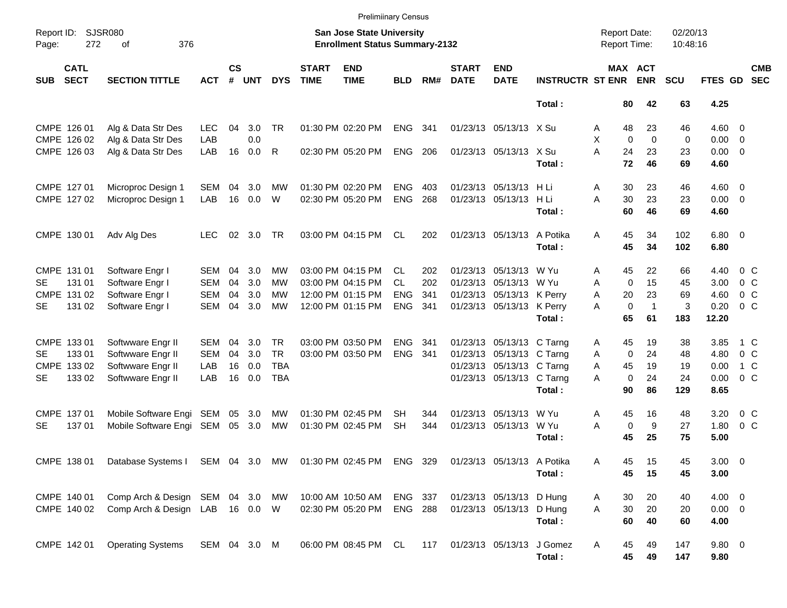|            |                            |                                                                        |              |                    |            |            |                                                                    | <b>Prelimiinary Census</b> |                |       |                             |                            |                                            |         |                             |            |             |         |                          |
|------------|----------------------------|------------------------------------------------------------------------|--------------|--------------------|------------|------------|--------------------------------------------------------------------|----------------------------|----------------|-------|-----------------------------|----------------------------|--------------------------------------------|---------|-----------------------------|------------|-------------|---------|--------------------------|
| Page:      | Report ID: SJSR080<br>272  |                                                                        |              |                    |            |            | San Jose State University<br><b>Enrollment Status Summary-2132</b> |                            |                |       |                             |                            | <b>Report Date:</b><br><b>Report Time:</b> |         | 02/20/13<br>10:48:16        |            |             |         |                          |
| <b>SUB</b> | <b>CATL</b><br><b>SECT</b> | <b>SECTION TITTLE</b>                                                  | <b>ACT</b>   | $\mathsf{cs}$<br># | <b>UNT</b> | <b>DYS</b> | <b>START</b><br><b>TIME</b>                                        | <b>END</b><br><b>TIME</b>  | <b>BLD</b>     | RM#   | <b>START</b><br><b>DATE</b> | <b>END</b><br><b>DATE</b>  | <b>INSTRUCTR ST ENR</b>                    |         | MAX ACT<br><b>ENR</b>       | <b>SCU</b> | FTES GD     |         | <b>CMB</b><br><b>SEC</b> |
|            |                            |                                                                        |              |                    |            |            |                                                                    |                            |                |       |                             |                            | Total:                                     | 80      | 42                          | 63         | 4.25        |         |                          |
|            | CMPE 126 01                | Alg & Data Str Des                                                     | <b>LEC</b>   | 04                 | 3.0        | TR.        |                                                                    | 01:30 PM 02:20 PM          | <b>ENG</b>     | 341   |                             | 01/23/13 05/13/13 X Su     |                                            | 48<br>A | 23                          | 46         | $4.60 \ 0$  |         |                          |
|            | CMPE 126 02                | Alg & Data Str Des                                                     | LAB          |                    | 0.0        |            |                                                                    |                            |                |       |                             |                            |                                            | X       | $\Omega$<br>$\mathbf 0$     | 0          | $0.00 \ 0$  |         |                          |
|            | CMPE 126 03                | Alg & Data Str Des                                                     | LAB          | 16                 | 0.0        | R          |                                                                    | 02:30 PM 05:20 PM          | <b>ENG</b>     | - 206 |                             | 01/23/13 05/13/13 X Su     |                                            | A<br>24 | 23                          | 23         | $0.00 \t 0$ |         |                          |
|            |                            |                                                                        |              |                    |            |            |                                                                    |                            |                |       |                             |                            | Total:                                     | 72      | 46                          | 69         | 4.60        |         |                          |
|            | CMPE 127 01                | Microproc Design 1                                                     | SEM          | 04                 | 3.0        | MW         |                                                                    | 01:30 PM 02:20 PM          | <b>ENG</b>     | 403   |                             | 01/23/13 05/13/13 H Li     |                                            | Α<br>30 | 23                          | 46         | $4.60 \ 0$  |         |                          |
|            | CMPE 127 02                | Microproc Design 1                                                     | LAB          | 16                 | 0.0        | W          |                                                                    | 02:30 PM 05:20 PM          | <b>ENG</b>     | 268   |                             | 01/23/13 05/13/13          | HLi                                        | A<br>30 | 23                          | 23         | $0.00 \t 0$ |         |                          |
|            |                            |                                                                        |              |                    |            |            |                                                                    |                            |                |       |                             |                            | Total:                                     | 60      | 46                          | 69         | 4.60        |         |                          |
|            | CMPE 130 01                | Adv Alg Des                                                            | <b>LEC</b>   | 02                 | 3.0        | TR.        |                                                                    | 03:00 PM 04:15 PM          | CL             | 202   |                             | 01/23/13 05/13/13          | A Potika                                   | 45<br>A | 34                          | 102        | $6.80$ 0    |         |                          |
|            |                            |                                                                        |              |                    |            |            |                                                                    |                            |                |       |                             |                            | Total:                                     | 45      | 34                          | 102        | 6.80        |         |                          |
|            | CMPE 131 01                | Software Engr I                                                        | <b>SEM</b>   | 04                 | 3.0        | <b>MW</b>  |                                                                    | 03:00 PM 04:15 PM          | CL.            | 202   |                             | 01/23/13 05/13/13          | W Yu                                       | 45<br>A | 22                          | 66         | 4.40        | $0\,$ C |                          |
| SE.        | 131 01                     | Software Engr I                                                        | <b>SEM</b>   | 04                 | 3.0        | МW         |                                                                    | 03:00 PM 04:15 PM          | <b>CL</b>      | 202   |                             | 01/23/13 05/13/13 W Yu     |                                            | A       | 15<br>$\mathbf 0$           | 45         | 3.00        | $0\,C$  |                          |
|            | CMPE 131 02                | Software Engr I                                                        | <b>SEM</b>   | 04                 | 3.0        | MW         |                                                                    | 12:00 PM 01:15 PM          | <b>ENG</b>     | 341   |                             | 01/23/13 05/13/13 K Perry  |                                            | A<br>20 | 23                          | 69         | 4.60        | $0\,C$  |                          |
| <b>SE</b>  | 131 02                     | Software Engr I                                                        | <b>SEM</b>   | 04                 | 3.0        | MW         |                                                                    | 12:00 PM 01:15 PM          | <b>ENG</b>     | 341   |                             | 01/23/13 05/13/13 K Perry  |                                            | A       | $\mathbf 0$<br>$\mathbf{1}$ | 3          | 0.20        | $0\,C$  |                          |
|            |                            |                                                                        |              |                    |            |            |                                                                    |                            |                |       |                             |                            | Total:                                     | 65      | 61                          | 183        | 12.20       |         |                          |
|            | CMPE 133 01                | Softwware Engr II                                                      | SEM          | 04                 | 3.0        | TR.        |                                                                    | 03:00 PM 03:50 PM          | <b>ENG</b>     | 341   |                             | 01/23/13 05/13/13 C Tarng  |                                            | 45<br>A | 19                          | 38         | 3.85        | 1 C     |                          |
| SE.        | 133 01                     | Softwware Engr II                                                      | <b>SEM</b>   | 04                 | 3.0        | <b>TR</b>  |                                                                    | 03:00 PM 03:50 PM          | <b>ENG</b>     | - 341 |                             | 01/23/13 05/13/13 C Tarng  |                                            | A       | $\mathbf 0$<br>24           | 48         | 4.80        | $0\,C$  |                          |
|            | CMPE 133 02                | Softwware Engr II                                                      | LAB          | 16                 | 0.0        | <b>TBA</b> |                                                                    |                            |                |       |                             | 01/23/13 05/13/13 C Tarng  |                                            | A<br>45 | 19                          | 19         | 0.00        | 1 C     |                          |
| <b>SE</b>  | 133 02                     | Softwware Engr II                                                      | LAB          | 16                 | 0.0        | <b>TBA</b> |                                                                    |                            |                |       |                             | 01/23/13 05/13/13 C Tarng  |                                            | A       | $\mathbf 0$<br>24           | 24         | 0.00        | 0 C     |                          |
|            |                            |                                                                        |              |                    |            |            |                                                                    |                            |                |       |                             |                            | Total:                                     | 90      | 86                          | 129        | 8.65        |         |                          |
|            | CMPE 137 01                | Mobile Software Engi SEM                                               |              | 05                 | 3.0        | MW         |                                                                    | 01:30 PM 02:45 PM          | <b>SH</b>      | 344   |                             | 01/23/13 05/13/13          | W Yu                                       | 45<br>A | 16                          | 48         | 3.20        | $0\,C$  |                          |
| <b>SE</b>  | 137 01                     | Mobile Software Engi SEM                                               |              |                    | 05 3.0     | MW         |                                                                    | 01:30 PM 02:45 PM          | <b>SH</b>      | 344   |                             | 01/23/13 05/13/13 W Yu     |                                            | A       | 9<br>0                      | 27         | 1.80        | 0 C     |                          |
|            |                            |                                                                        |              |                    |            |            |                                                                    |                            |                |       |                             |                            | Total:                                     | 45      | 25                          | 75         | 5.00        |         |                          |
|            |                            | CMPE 138 01 Database Systems I SEM 04 3.0 MW 01:30 PM 02:45 PM ENG 329 |              |                    |            |            |                                                                    |                            |                |       |                             | 01/23/13 05/13/13 A Potika |                                            | Α<br>45 | 15                          | 45         | $3.00 \ 0$  |         |                          |
|            |                            |                                                                        |              |                    |            |            |                                                                    |                            |                |       |                             |                            | Total:                                     | 45      | 15                          | 45         | 3.00        |         |                          |
|            | CMPE 140 01                | Comp Arch & Design SEM 04 3.0 MW                                       |              |                    |            |            |                                                                    | 10:00 AM 10:50 AM          | ENG 337        |       |                             | 01/23/13 05/13/13 D Hung   |                                            | 30<br>A | 20                          | 40         | $4.00 \ 0$  |         |                          |
|            | CMPE 140 02                | Comp Arch & Design LAB 16 0.0 W                                        |              |                    |            |            |                                                                    | 02:30 PM 05:20 PM          | <b>ENG 288</b> |       |                             | 01/23/13 05/13/13 D Hung   |                                            | 30<br>A | 20                          | 20         | $0.00 \t 0$ |         |                          |
|            |                            |                                                                        |              |                    |            |            |                                                                    |                            |                |       |                             |                            | Total:                                     | 60      | 40                          | 60         | 4.00        |         |                          |
|            | CMPE 142 01                | <b>Operating Systems</b>                                               | SEM 04 3.0 M |                    |            |            |                                                                    | 06:00 PM 08:45 PM CL       |                | 117   |                             | 01/23/13 05/13/13 J Gomez  |                                            | 45<br>A | 49                          | 147        | 9.80 0      |         |                          |
|            |                            |                                                                        |              |                    |            |            |                                                                    |                            |                |       |                             |                            | Total:                                     | 45      | 49                          | 147        | 9.80        |         |                          |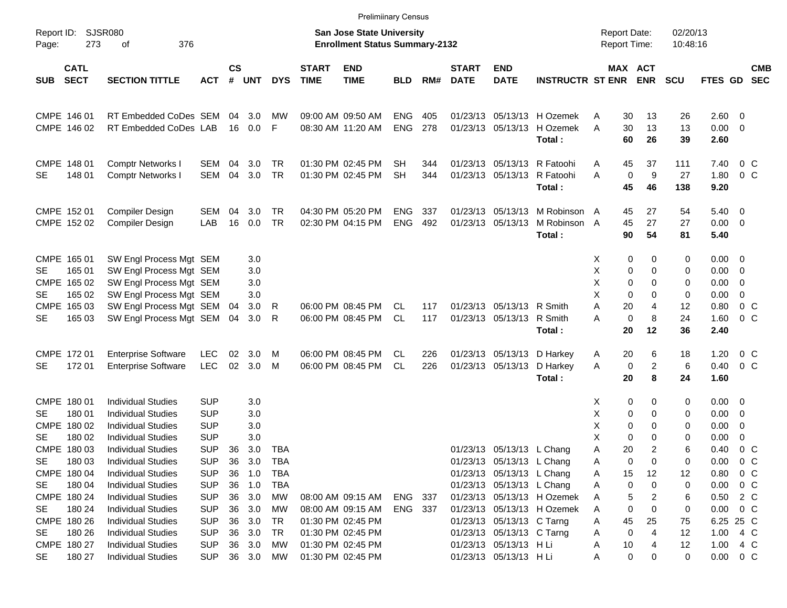|                                                              |                                                                                                                  |                                                      |                      |                          |                                 |                             | <b>Prelimiinary Census</b>                                                       |                          |            |                             |                                                                                                                  |                                                          |                                                |                                       |                      |                                   |                                                               |                          |
|--------------------------------------------------------------|------------------------------------------------------------------------------------------------------------------|------------------------------------------------------|----------------------|--------------------------|---------------------------------|-----------------------------|----------------------------------------------------------------------------------|--------------------------|------------|-----------------------------|------------------------------------------------------------------------------------------------------------------|----------------------------------------------------------|------------------------------------------------|---------------------------------------|----------------------|-----------------------------------|---------------------------------------------------------------|--------------------------|
| Report ID:<br>273<br>Page:                                   | <b>SJSR080</b><br>376<br>οf                                                                                      |                                                      |                      |                          |                                 |                             | <b>San Jose State University</b><br><b>Enrollment Status Summary-2132</b>        |                          |            |                             |                                                                                                                  |                                                          | <b>Report Date:</b><br>Report Time:            |                                       | 02/20/13<br>10:48:16 |                                   |                                                               |                          |
| <b>CATL</b><br><b>SECT</b><br><b>SUB</b>                     | <b>SECTION TITTLE</b>                                                                                            | <b>ACT</b>                                           | $\mathsf{cs}$<br>#   | UNT                      | <b>DYS</b>                      | <b>START</b><br><b>TIME</b> | <b>END</b><br><b>TIME</b>                                                        | <b>BLD</b>               | RM#        | <b>START</b><br><b>DATE</b> | <b>END</b><br><b>DATE</b>                                                                                        | <b>INSTRUCTR ST ENR</b>                                  |                                                | MAX ACT<br><b>ENR</b>                 | <b>SCU</b>           | FTES GD                           |                                                               | <b>CMB</b><br><b>SEC</b> |
| CMPE 146 01<br>CMPE 146 02                                   | RT Embedded CoDes SEM<br>RT Embedded CoDes LAB                                                                   |                                                      | 04<br>16             | 3.0<br>0.0               | МW<br>-F                        |                             | 09:00 AM 09:50 AM<br>08:30 AM 11:20 AM                                           | <b>ENG</b><br><b>ENG</b> | 405<br>278 |                             | 01/23/13 05/13/13<br>01/23/13 05/13/13                                                                           | H Ozemek<br>H Ozemek<br>Total:                           | 30<br>Α<br>A<br>30<br>60                       | 13<br>13<br>26                        | 26<br>13<br>39       | 2.60<br>0.00<br>2.60              | $\overline{0}$<br>$\overline{\mathbf{0}}$                     |                          |
| CMPE 148 01<br>148 01<br><b>SE</b>                           | <b>Comptr Networks I</b><br><b>Comptr Networks I</b>                                                             | SEM<br><b>SEM</b>                                    | 04<br>04             | 3.0<br>3.0               | TR<br><b>TR</b>                 |                             | 01:30 PM 02:45 PM<br>01:30 PM 02:45 PM                                           | SН<br><b>SH</b>          | 344<br>344 |                             | 01/23/13 05/13/13                                                                                                | 01/23/13 05/13/13 R Fatoohi<br>R Fatoohi<br>Total:       | 45<br>Α<br>A<br>0<br>45                        | 37<br>9<br>46                         | 111<br>27<br>138     | 7.40<br>1.80<br>9.20              | 0 <sup>o</sup><br>0 <sup>o</sup>                              |                          |
| CMPE 152 01<br>CMPE 152 02                                   | <b>Compiler Design</b><br><b>Compiler Design</b>                                                                 | SEM<br>LAB                                           | 04<br>16             | 3.0<br>0.0               | TR<br><b>TR</b>                 |                             | 04:30 PM 05:20 PM<br>02:30 PM 04:15 PM                                           | <b>ENG</b><br><b>ENG</b> | 337<br>492 |                             | 01/23/13 05/13/13<br>01/23/13 05/13/13                                                                           | M Robinson A<br>M Robinson A<br>Total:                   | 45<br>45<br>90                                 | 27<br>27<br>54                        | 54<br>27<br>81       | 5.40<br>0.00<br>5.40              | $\overline{0}$<br>$\overline{\mathbf{0}}$                     |                          |
| CMPE 165 01<br>165 01<br>SE.<br>CMPE 165 02<br>165 02<br>SE. | SW Engl Process Mgt SEM<br>SW Engl Process Mgt SEM<br>SW Engl Process Mgt SEM<br>SW Engl Process Mgt SEM         |                                                      |                      | 3.0<br>3.0<br>3.0<br>3.0 |                                 |                             |                                                                                  |                          |            |                             |                                                                                                                  |                                                          | 0<br>X<br>Χ<br>0<br>Χ<br>0<br>X<br>$\Omega$    | 0<br>$\Omega$<br>$\Omega$<br>$\Omega$ | 0<br>0<br>0<br>0     | 0.00<br>0.00<br>0.00<br>0.00      | $\overline{\mathbf{0}}$<br>$\overline{0}$<br>0<br>$\mathbf 0$ |                          |
| <b>CMPE</b><br>165 03<br><b>SE</b><br>165 03                 | SW Engl Process Mgt SEM<br>SW Engl Process Mgt SEM                                                               |                                                      | 04<br>04             | 3.0<br>3.0               | R<br>R                          |                             | 06:00 PM 08:45 PM<br>06:00 PM 08:45 PM                                           | CL.<br><b>CL</b>         | 117<br>117 |                             | 01/23/13 05/13/13 R Smith<br>01/23/13 05/13/13 R Smith                                                           | Total:                                                   | A<br>20<br>$\mathbf 0$<br>A<br>20              | 4<br>8<br>12                          | 12<br>24<br>36       | 0.80<br>1.60<br>2.40              | 0 <sup>o</sup><br>0 <sup>o</sup>                              |                          |
| CMPE 172 01<br>17201<br><b>SE</b>                            | <b>Enterprise Software</b><br><b>Enterprise Software</b>                                                         | <b>LEC</b><br>LEC                                    | 02<br>02             | 3.0<br>3.0               | M<br>M                          |                             | 06:00 PM 08:45 PM<br>06:00 PM 08:45 PM                                           | CL.<br><b>CL</b>         | 226<br>226 |                             | 01/23/13 05/13/13<br>01/23/13 05/13/13                                                                           | D Harkey<br>D Harkey<br>Total:                           | 20<br>A<br>A<br>0<br>20                        | 6<br>$\overline{c}$<br>8              | 18<br>6<br>24        | 1.20<br>0.40<br>1.60              | 0 <sup>o</sup><br>0 <sup>o</sup>                              |                          |
| CMPE 180 01<br>180 01<br>SE.<br>CMPE 180 02<br>180 02<br>SE  | <b>Individual Studies</b><br><b>Individual Studies</b><br><b>Individual Studies</b><br><b>Individual Studies</b> | <b>SUP</b><br><b>SUP</b><br><b>SUP</b><br><b>SUP</b> |                      | 3.0<br>3.0<br>3.0<br>3.0 |                                 |                             |                                                                                  |                          |            |                             |                                                                                                                  |                                                          | 0<br>X<br>х<br>0<br>Χ<br>0<br>X<br>$\mathbf 0$ | 0<br>$\mathbf 0$<br>0<br>$\Omega$     | 0<br>0<br>0<br>0     | 0.00<br>0.00<br>0.00<br>0.00      | $\overline{\mathbf{0}}$<br>0<br>0<br>0                        |                          |
| CMPE 180 03<br>180 03<br>SE<br>CMPE 180 04<br>180 04<br>SE   | <b>Individual Studies</b><br><b>Individual Studies</b><br><b>Individual Studies</b><br><b>Individual Studies</b> | <b>SUP</b><br><b>SUP</b><br><b>SUP</b><br><b>SUP</b> | 36<br>36<br>36<br>36 | 3.0<br>3.0<br>1.0<br>1.0 | TBA<br><b>TBA</b><br>TBA<br>TBA |                             |                                                                                  |                          |            |                             | 01/23/13 05/13/13 L Chang<br>01/23/13 05/13/13 L Chang<br>01/23/13 05/13/13 L Chang<br>01/23/13 05/13/13 L Chang |                                                          | Α<br>20<br>0<br>Α<br>Α<br>15<br>0<br>Α         | $\overline{2}$<br>0<br>12<br>0        | 6<br>0<br>12<br>0    | 0.40<br>0.00<br>0.80<br>0.00      | $0\,C$<br>$0\,$ C<br>$0\,$ C<br>$0\,$ C                       |                          |
| CMPE 180 24<br>180 24<br>SE<br>CMPE 180 26<br>SE<br>180 26   | <b>Individual Studies</b><br><b>Individual Studies</b><br><b>Individual Studies</b><br><b>Individual Studies</b> | <b>SUP</b><br><b>SUP</b><br><b>SUP</b><br><b>SUP</b> | 36<br>36<br>36<br>36 | 3.0<br>3.0<br>3.0<br>3.0 | МW<br>MW<br>TR<br>TR            |                             | 08:00 AM 09:15 AM<br>08:00 AM 09:15 AM<br>01:30 PM 02:45 PM<br>01:30 PM 02:45 PM | ENG<br>ENG 337           | -337       |                             | 01/23/13 05/13/13 C Tarng<br>01/23/13 05/13/13 C Tarng                                                           | 01/23/13 05/13/13 H Ozemek<br>01/23/13 05/13/13 H Ozemek | 5<br>Α<br>0<br>Α<br>45<br>Α<br>0<br>Α          | 2<br>0<br>25<br>4                     | 6<br>0<br>75<br>12   | 0.50<br>0.00<br>6.25 25 C<br>1.00 | 2 C<br>$0\,$ C<br>4 C                                         |                          |
| CMPE 180 27<br>SE<br>180 27                                  | <b>Individual Studies</b><br><b>Individual Studies</b>                                                           | <b>SUP</b><br><b>SUP</b>                             | 36                   | 3.0<br>36 3.0            | MW<br>MW                        |                             | 01:30 PM 02:45 PM<br>01:30 PM 02:45 PM                                           |                          |            |                             | 01/23/13 05/13/13 H Li<br>01/23/13 05/13/13 H Li                                                                 |                                                          | 10<br>Α<br>0<br>Α                              | 4<br>0                                | 12<br>0              | $1.00 \t 4 \t C$<br>$0.00 \t 0 C$ |                                                               |                          |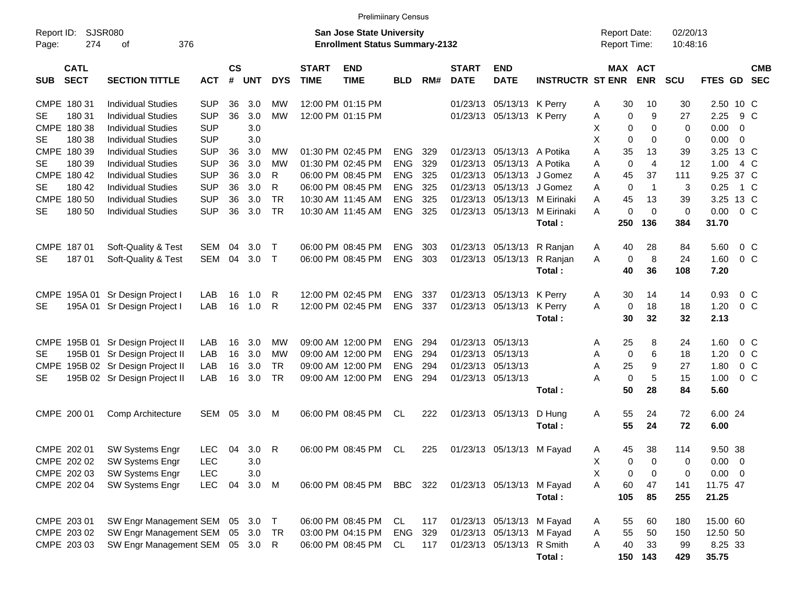|                     |                            |                                                                     |            |           |       |            |                             | <b>Prelimiinary Census</b>                                         |            |            |                             |                                                        |                              |                                            |                       |                      |                |                |                          |
|---------------------|----------------------------|---------------------------------------------------------------------|------------|-----------|-------|------------|-----------------------------|--------------------------------------------------------------------|------------|------------|-----------------------------|--------------------------------------------------------|------------------------------|--------------------------------------------|-----------------------|----------------------|----------------|----------------|--------------------------|
| Report ID:<br>Page: | 274                        | <b>SJSR080</b><br>376<br>οf                                         |            |           |       |            |                             | San Jose State University<br><b>Enrollment Status Summary-2132</b> |            |            |                             |                                                        |                              | <b>Report Date:</b><br><b>Report Time:</b> |                       | 02/20/13<br>10:48:16 |                |                |                          |
| <b>SUB</b>          | <b>CATL</b><br><b>SECT</b> | <b>SECTION TITTLE</b>                                               | <b>ACT</b> | <b>CS</b> | # UNT | <b>DYS</b> | <b>START</b><br><b>TIME</b> | <b>END</b><br><b>TIME</b>                                          | <b>BLD</b> | RM#        | <b>START</b><br><b>DATE</b> | <b>END</b><br><b>DATE</b>                              | <b>INSTRUCTR ST ENR</b>      |                                            | MAX ACT<br><b>ENR</b> | <b>SCU</b>           | <b>FTES GD</b> |                | <b>CMB</b><br><b>SEC</b> |
| CMPE 180 31         |                            | <b>Individual Studies</b>                                           | <b>SUP</b> | 36        | 3.0   | МW         |                             | 12:00 PM 01:15 PM                                                  |            |            | 01/23/13                    | 05/13/13 K Perry                                       |                              | 30<br>A                                    | 10                    | 30                   | 2.50 10 C      |                |                          |
| <b>SE</b>           | 180 31                     | <b>Individual Studies</b>                                           | <b>SUP</b> | 36        | 3.0   | <b>MW</b>  |                             | 12:00 PM 01:15 PM                                                  |            |            |                             | 01/23/13 05/13/13 K Perry                              |                              | 0<br>Α                                     | 9                     | 27                   | 2.25           | 9 C            |                          |
|                     | CMPE 180 38                | <b>Individual Studies</b>                                           | <b>SUP</b> |           | 3.0   |            |                             |                                                                    |            |            |                             |                                                        |                              | 0<br>X                                     | $\Omega$              | 0                    | 0.00           | - 0            |                          |
| <b>SE</b>           | 180 38                     | <b>Individual Studies</b>                                           | <b>SUP</b> |           | 3.0   |            |                             |                                                                    |            |            |                             |                                                        |                              | X<br>$\mathbf 0$                           | 0                     | 0                    | 0.00           | $\overline{0}$ |                          |
|                     | CMPE 180 39                | <b>Individual Studies</b>                                           | <b>SUP</b> | 36        | 3.0   | МW         |                             | 01:30 PM 02:45 PM                                                  | ENG.       | 329        | 01/23/13                    | 05/13/13 A Potika                                      |                              | A<br>35                                    | 13                    | 39                   | 3.25 13 C      |                |                          |
| <b>SE</b>           | 180 39                     | <b>Individual Studies</b>                                           | <b>SUP</b> | 36        | 3.0   | <b>MW</b>  |                             | 01:30 PM 02:45 PM                                                  | <b>ENG</b> | 329        | 01/23/13                    | 05/13/13 A Potika                                      |                              | $\mathbf 0$<br>A                           | 4                     | 12                   | 1.00           | 4 C            |                          |
|                     | CMPE 180 42                | <b>Individual Studies</b>                                           | <b>SUP</b> | 36        | 3.0   | R          |                             | 06:00 PM 08:45 PM                                                  | ENG.       | 325        | 01/23/13                    |                                                        | 05/13/13 J Gomez             | A<br>45                                    | 37                    | 111                  | 9.25 37 C      |                |                          |
| <b>SE</b>           | 180 42                     | <b>Individual Studies</b>                                           | <b>SUP</b> | 36        | 3.0   | R          |                             | 06:00 PM 08:45 PM                                                  | <b>ENG</b> | 325        | 01/23/13                    |                                                        | 05/13/13 J Gomez             | $\mathbf 0$<br>A                           | $\mathbf{1}$          | 3                    | 0.25           | 1 C            |                          |
|                     | CMPE 180 50                | <b>Individual Studies</b>                                           | <b>SUP</b> | 36        | 3.0   | <b>TR</b>  |                             | 10:30 AM 11:45 AM                                                  | <b>ENG</b> | 325        | 01/23/13                    |                                                        | 05/13/13 M Eirinaki          | A<br>45                                    | 13                    | 39                   | 3.25 13 C      |                |                          |
| <b>SE</b>           | 180 50                     | <b>Individual Studies</b>                                           | <b>SUP</b> | 36        | 3.0   | <b>TR</b>  |                             | 10:30 AM 11:45 AM                                                  | <b>ENG</b> | 325        |                             |                                                        | 01/23/13 05/13/13 M Eirinaki | $\mathbf 0$<br>A                           | $\mathbf 0$           | 0                    | 0.00           | $0\,$ C        |                          |
|                     |                            |                                                                     |            |           |       |            |                             |                                                                    |            |            |                             |                                                        | Total:                       | 250                                        | 136                   | 384                  | 31.70          |                |                          |
|                     |                            |                                                                     |            |           |       |            |                             |                                                                    |            |            |                             |                                                        |                              |                                            |                       |                      |                |                |                          |
|                     | CMPE 187 01                | Soft-Quality & Test                                                 | SEM        | 04        | 3.0   | $\top$     |                             | 06:00 PM 08:45 PM                                                  | <b>ENG</b> | 303        | 01/23/13                    |                                                        | 05/13/13 R Ranjan            | 40<br>A                                    | 28                    | 84                   | 5.60           | $0\,C$         |                          |
| SE                  | 18701                      | Soft-Quality & Test                                                 | SEM        | 04        | 3.0   | $\top$     |                             | 06:00 PM 08:45 PM                                                  | <b>ENG</b> | 303        |                             |                                                        | 01/23/13 05/13/13 R Ranjan   | A<br>0                                     | 8                     | 24                   | 1.60           |                | 0 <sup>o</sup>           |
|                     |                            |                                                                     |            |           |       |            |                             |                                                                    |            |            |                             |                                                        | Total:                       | 40                                         | 36                    | 108                  | 7.20           |                |                          |
|                     |                            |                                                                     |            |           |       |            |                             |                                                                    |            |            |                             |                                                        |                              |                                            |                       |                      |                |                | $0\,C$                   |
|                     |                            | CMPE 195A 01 Sr Design Project I                                    | LAB        | 16        | 1.0   | R          |                             | 12:00 PM 02:45 PM                                                  | <b>ENG</b> | 337        | 01/23/13                    | 05/13/13 K Perry                                       |                              | 30<br>A                                    | 14                    | 14                   | 0.93           |                |                          |
| <b>SE</b>           | 195A 01                    | Sr Design Project I                                                 | LAB        | 16        | 1.0   | R          |                             | 12:00 PM 02:45 PM                                                  | <b>ENG</b> | 337        |                             | 01/23/13 05/13/13 K Perry                              | Total:                       | A<br>$\mathbf 0$<br>30                     | 18<br>32              | 18<br>32             | 1.20<br>2.13   |                | 0 <sup>o</sup>           |
|                     |                            |                                                                     |            |           |       |            |                             |                                                                    |            |            |                             |                                                        |                              |                                            |                       |                      |                |                |                          |
|                     | CMPE 195B 01               | Sr Design Project II                                                | LAB        | 16        | 3.0   | МW         |                             | 09:00 AM 12:00 PM                                                  | ENG.       | 294        | 01/23/13                    | 05/13/13                                               |                              | 25<br>A                                    | 8                     | 24                   | 1.60           |                | $0\,C$                   |
| <b>SE</b>           |                            | 195B 01 Sr Design Project II                                        | LAB        | 16        | 3.0   | MW         |                             | 09:00 AM 12:00 PM                                                  | <b>ENG</b> | 294        | 01/23/13                    | 05/13/13                                               |                              | $\mathbf 0$<br>Α                           | 6                     | 18                   | 1.20           |                | 0 <sup>o</sup>           |
|                     |                            | CMPE 195B 02 Sr Design Project II                                   | LAB        | 16        | 3.0   | <b>TR</b>  |                             | 09:00 AM 12:00 PM                                                  | <b>ENG</b> | 294        | 01/23/13                    | 05/13/13                                               |                              | 25<br>Α                                    | 9                     | 27                   | 1.80           |                | $0\,C$                   |
| <b>SE</b>           |                            | 195B 02 Sr Design Project II                                        | LAB        | 16        | 3.0   | <b>TR</b>  |                             | 09:00 AM 12:00 PM                                                  | <b>ENG</b> | 294        |                             | 01/23/13 05/13/13                                      |                              | $\mathbf 0$<br>A                           | 5                     | 15                   | 1.00           |                | 0 <sup>o</sup>           |
|                     |                            |                                                                     |            |           |       |            |                             |                                                                    |            |            |                             |                                                        | Total:                       | 50                                         | 28                    | 84                   | 5.60           |                |                          |
| CMPE 200 01         |                            | Comp Architecture                                                   | SEM        | 05        | 3.0   | M          |                             | 06:00 PM 08:45 PM                                                  | CL         | 222        |                             | 01/23/13 05/13/13 D Hung                               |                              | 55<br>Α                                    | 24                    | 72                   | 6.00 24        |                |                          |
|                     |                            |                                                                     |            |           |       |            |                             |                                                                    |            |            |                             |                                                        | Total:                       | 55                                         | 24                    | 72                   | 6.00           |                |                          |
|                     |                            |                                                                     |            |           |       |            |                             |                                                                    |            |            |                             |                                                        |                              |                                            |                       |                      |                |                |                          |
|                     | CMPE 202 01                | <b>SW Systems Engr</b>                                              | <b>LEC</b> | 04        | 3.0   | R          |                             | 06:00 PM 08:45 PM                                                  | CL         | 225        |                             | 01/23/13 05/13/13 M Fayad                              |                              | Α<br>45                                    | 38                    | 114                  | 9.50 38        |                |                          |
|                     | CMPE 202 02                | SW Systems Engr                                                     | <b>LEC</b> |           | 3.0   |            |                             |                                                                    |            |            |                             |                                                        |                              | Х<br>0                                     | 0                     | 0                    | $0.00 \t 0$    |                |                          |
|                     | CMPE 202 03                | SW Systems Engr                                                     | <b>LEC</b> |           | 3.0   |            |                             |                                                                    |            |            |                             |                                                        |                              | Χ<br>0                                     | 0                     | 0                    | $0.00 \t 0$    |                |                          |
|                     | CMPE 202 04                | SW Systems Engr                                                     | <b>LEC</b> | 04        | 3.0 M |            |                             | 06:00 PM 08:45 PM                                                  | BBC 322    |            |                             | 01/23/13 05/13/13 M Fayad                              |                              | A<br>60                                    | 47                    | 141                  | 11.75 47       |                |                          |
|                     |                            |                                                                     |            |           |       |            |                             |                                                                    |            |            |                             |                                                        | Total:                       | 105                                        | 85                    | 255                  | 21.25          |                |                          |
|                     | CMPE 203 01                |                                                                     |            |           |       |            |                             |                                                                    |            |            |                             |                                                        |                              |                                            |                       |                      | 15.00 60       |                |                          |
|                     | CMPE 203 02                | SW Engr Management SEM 05 3.0 T<br>SW Engr Management SEM 05 3.0 TR |            |           |       |            |                             | 06:00 PM 08:45 PM<br>03:00 PM 04:15 PM                             | CL<br>ENG  | 117<br>329 |                             | 01/23/13 05/13/13 M Fayad<br>01/23/13 05/13/13 M Fayad |                              | 55<br>A<br>55<br>Α                         | 60<br>50              | 180<br>150           | 12.50 50       |                |                          |
|                     | CMPE 203 03                | SW Engr Management SEM 05 3.0                                       |            |           |       | R          |                             | 06:00 PM 08:45 PM                                                  | CL         | 117        |                             | 01/23/13 05/13/13 R Smith                              |                              | 40<br>A                                    | 33                    | 99                   | 8.25 33        |                |                          |
|                     |                            |                                                                     |            |           |       |            |                             |                                                                    |            |            |                             |                                                        | Total:                       |                                            | 150 143               | 429                  | 35.75          |                |                          |
|                     |                            |                                                                     |            |           |       |            |                             |                                                                    |            |            |                             |                                                        |                              |                                            |                       |                      |                |                |                          |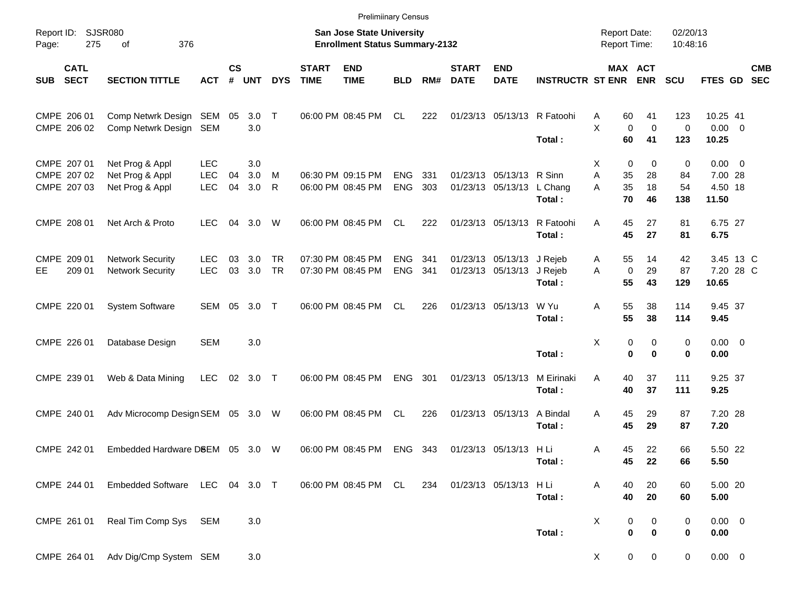|            |                                           |                                                       |                                        |                    |                   |                        |                             | <b>Prelimiinary Census</b>                                         |                          |            |                             |                                                |                             |                                            |                           |                             |                                                     |            |
|------------|-------------------------------------------|-------------------------------------------------------|----------------------------------------|--------------------|-------------------|------------------------|-----------------------------|--------------------------------------------------------------------|--------------------------|------------|-----------------------------|------------------------------------------------|-----------------------------|--------------------------------------------|---------------------------|-----------------------------|-----------------------------------------------------|------------|
| Page:      | Report ID: SJSR080<br>275                 | 376<br>of                                             |                                        |                    |                   |                        |                             | San Jose State University<br><b>Enrollment Status Summary-2132</b> |                          |            |                             |                                                |                             | <b>Report Date:</b><br><b>Report Time:</b> |                           | 02/20/13<br>10:48:16        |                                                     |            |
| <b>SUB</b> | <b>CATL</b><br><b>SECT</b>                | <b>SECTION TITTLE</b>                                 | <b>ACT</b>                             | $\mathsf{cs}$<br># | <b>UNT</b>        | <b>DYS</b>             | <b>START</b><br><b>TIME</b> | <b>END</b><br><b>TIME</b>                                          | <b>BLD</b>               | RM#        | <b>START</b><br><b>DATE</b> | <b>END</b><br><b>DATE</b>                      | <b>INSTRUCTR ST ENR</b>     |                                            | MAX ACT<br><b>ENR</b>     | <b>SCU</b>                  | FTES GD SEC                                         | <b>CMB</b> |
|            | CMPE 206 01<br>CMPE 206 02                | Comp Netwrk Design SEM<br>Comp Netwrk Design SEM      |                                        | 05                 | $3.0$ T<br>3.0    |                        |                             | 06:00 PM 08:45 PM                                                  | CL.                      | 222        |                             |                                                | 01/23/13 05/13/13 R Fatoohi | 60<br>Α<br>X<br>$\mathbf 0$<br>60          | 41<br>$\mathbf 0$         | 123<br>0                    | 10.25 41<br>$0.00 \t 0$                             |            |
|            | CMPE 207 01<br>CMPE 207 02<br>CMPE 207 03 | Net Prog & Appl<br>Net Prog & Appl<br>Net Prog & Appl | <b>LEC</b><br><b>LEC</b><br><b>LEC</b> | 04<br>04           | 3.0<br>3.0<br>3.0 | M<br>$\mathsf{R}$      |                             | 06:30 PM 09:15 PM<br>06:00 PM 08:45 PM                             | <b>ENG</b><br><b>ENG</b> | 331<br>303 |                             | 01/23/13 05/13/13 R Sinn<br>01/23/13 05/13/13  | Total:<br>L Chang<br>Total: | 0<br>X<br>A<br>35<br>35<br>A<br>70         | 41<br>0<br>28<br>18<br>46 | 123<br>0<br>84<br>54<br>138 | 10.25<br>$0.00 \t 0$<br>7.00 28<br>4.50 18<br>11.50 |            |
|            | CMPE 208 01                               | Net Arch & Proto                                      | <b>LEC</b>                             | 04                 | 3.0               | W                      |                             | 06:00 PM 08:45 PM                                                  | CL.                      | 222        |                             | 01/23/13 05/13/13                              | R Fatoohi<br>Total:         | 45<br>A<br>45                              | 27<br>27                  | 81<br>81                    | 6.75 27<br>6.75                                     |            |
| EE.        | CMPE 209 01<br>209 01                     | <b>Network Security</b><br><b>Network Security</b>    | <b>LEC</b><br><b>LEC</b>               | 03<br>03           | 3.0<br>3.0        | <b>TR</b><br><b>TR</b> |                             | 07:30 PM 08:45 PM<br>07:30 PM 08:45 PM                             | <b>ENG</b><br><b>ENG</b> | 341<br>341 |                             | 01/23/13 05/13/13 J Rejeb<br>01/23/13 05/13/13 | J Rejeb<br>Total:           | 55<br>A<br>$\mathbf 0$<br>A<br>55          | 14<br>29<br>43            | 42<br>87<br>129             | 3.45 13 C<br>7.20 28 C<br>10.65                     |            |
|            | CMPE 220 01                               | <b>System Software</b>                                | SEM                                    | 05                 | 3.0               | $\top$                 |                             | 06:00 PM 08:45 PM                                                  | <b>CL</b>                | 226        |                             | 01/23/13 05/13/13                              | W Yu<br>Total:              | 55<br>Α<br>55                              | 38<br>38                  | 114<br>114                  | 9.45 37<br>9.45                                     |            |
|            | CMPE 226 01                               | Database Design                                       | <b>SEM</b>                             |                    | 3.0               |                        |                             |                                                                    |                          |            |                             |                                                | Total:                      | Χ<br>$\bf{0}$                              | 0<br>0<br>$\mathbf 0$     | 0<br>0                      | $0.00 \t 0$<br>0.00                                 |            |
|            | CMPE 239 01                               | Web & Data Mining                                     | <b>LEC</b>                             | 02                 | 3.0 T             |                        |                             | 06:00 PM 08:45 PM                                                  | <b>ENG</b>               | 301        |                             | 01/23/13 05/13/13                              | M Eirinaki<br>Total:        | 40<br>Α<br>40                              | 37<br>37                  | 111<br>111                  | 9.25 37<br>9.25                                     |            |
|            | CMPE 240 01                               | Adv Microcomp Design SEM                              |                                        |                    | 05 3.0 W          |                        |                             | 06:00 PM 08:45 PM                                                  | <b>CL</b>                | 226        |                             | 01/23/13 05/13/13                              | A Bindal<br>Total:          | 45<br>Α<br>45                              | 29<br>29                  | 87<br>87                    | 7.20 28<br>7.20                                     |            |
|            | CMPE 242 01                               | Embedded Hardware D8EM                                |                                        |                    | 05 3.0            | W                      |                             | 06:00 PM 08:45 PM                                                  | <b>ENG</b>               | 343        |                             | 01/23/13 05/13/13 H Li                         | Total:                      | 45<br>Α<br>45                              | 22<br>22                  | 66<br>66                    | 5.50 22<br>5.50                                     |            |
|            | CMPE 244 01                               | Embedded Software LEC 04 3.0 T                        |                                        |                    |                   |                        |                             | 06:00 PM 08:45 PM CL                                               |                          | 234        |                             | 01/23/13 05/13/13                              | HLi<br>Total:               | 40<br>Α<br>40                              | 20<br>20                  | 60<br>60                    | 5.00 20<br>5.00                                     |            |
|            | CMPE 261 01                               | Real Tim Comp Sys                                     | SEM                                    |                    | 3.0               |                        |                             |                                                                    |                          |            |                             |                                                | Total:                      | X<br>0<br>$\pmb{0}$                        | 0<br>$\bf{0}$             | 0<br>0                      | $0.00 \t 0$<br>0.00                                 |            |
|            | CMPE 264 01                               | Adv Dig/Cmp System SEM                                |                                        |                    | 3.0               |                        |                             |                                                                    |                          |            |                             |                                                |                             | X                                          | 0<br>0                    | 0                           | $0.00\quad$ $0$                                     |            |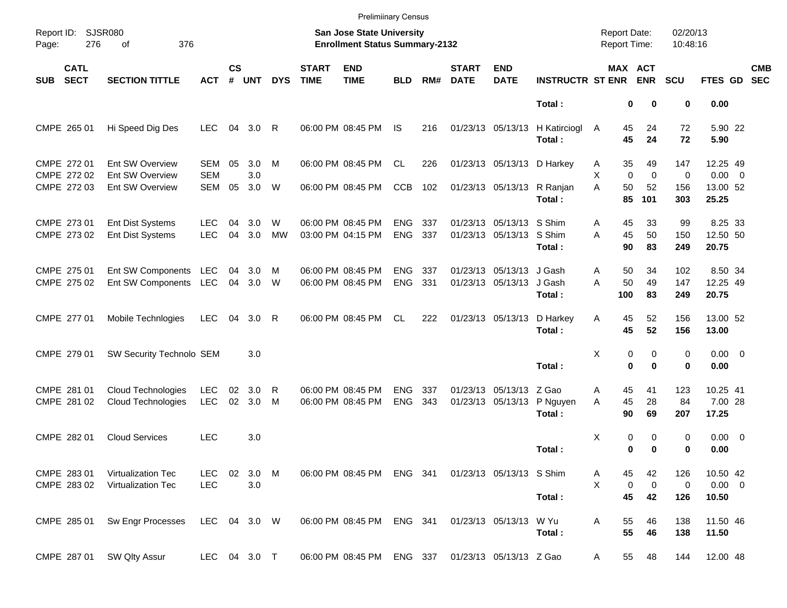|                     |                            |                                                        |                          |                    |              |                |                             | <b>Prelimiinary Census</b>                                                |                          |            |                             |                                              |                            |                                     |                         |                      |                                  |                          |
|---------------------|----------------------------|--------------------------------------------------------|--------------------------|--------------------|--------------|----------------|-----------------------------|---------------------------------------------------------------------------|--------------------------|------------|-----------------------------|----------------------------------------------|----------------------------|-------------------------------------|-------------------------|----------------------|----------------------------------|--------------------------|
| Report ID:<br>Page: | 276                        | <b>SJSR080</b><br>376<br>оf                            |                          |                    |              |                |                             | <b>San Jose State University</b><br><b>Enrollment Status Summary-2132</b> |                          |            |                             |                                              |                            | <b>Report Date:</b><br>Report Time: |                         | 02/20/13<br>10:48:16 |                                  |                          |
| <b>SUB</b>          | <b>CATL</b><br><b>SECT</b> | <b>SECTION TITTLE</b>                                  | <b>ACT</b>               | $\mathsf{cs}$<br># | <b>UNT</b>   | <b>DYS</b>     | <b>START</b><br><b>TIME</b> | <b>END</b><br><b>TIME</b>                                                 | <b>BLD</b>               | RM#        | <b>START</b><br><b>DATE</b> | <b>END</b><br><b>DATE</b>                    | <b>INSTRUCTR ST ENR</b>    |                                     | MAX ACT<br><b>ENR</b>   | <b>SCU</b>           | FTES GD                          | <b>CMB</b><br><b>SEC</b> |
|                     |                            |                                                        |                          |                    |              |                |                             |                                                                           |                          |            |                             |                                              | Total:                     | 0                                   | 0                       | 0                    | 0.00                             |                          |
|                     | CMPE 265 01                | Hi Speed Dig Des                                       | <b>LEC</b>               | 04                 | 3.0          | R              |                             | 06:00 PM 08:45 PM                                                         | IS                       | 216        |                             | 01/23/13 05/13/13                            | H Katirciogl<br>Total:     | A<br>45<br>45                       | 24<br>24                | 72<br>72             | 5.90 22<br>5.90                  |                          |
|                     | CMPE 272 01<br>CMPE 272 02 | Ent SW Overview<br>Ent SW Overview                     | SEM<br><b>SEM</b>        | 05                 | 3.0<br>3.0   | M              |                             | 06:00 PM 08:45 PM                                                         | CL                       | 226        |                             | 01/23/13 05/13/13 D Harkey                   |                            | 35<br>Α<br>$\mathbf 0$<br>X         | 49<br>$\mathbf 0$       | 147<br>0             | 12.25 49<br>$0.00 \t 0$          |                          |
|                     | CMPE 272 03                | Ent SW Overview                                        | SEM                      | 05                 | 3.0          | W              |                             | 06:00 PM 08:45 PM                                                         | <b>CCB</b>               | 102        |                             | 01/23/13 05/13/13 R Ranjan                   | Total:                     | 50<br>A<br>85                       | 52<br>101               | 156<br>303           | 13.00 52<br>25.25                |                          |
|                     | CMPE 273 01<br>CMPE 273 02 | <b>Ent Dist Systems</b><br><b>Ent Dist Systems</b>     | <b>LEC</b><br><b>LEC</b> | 04<br>04           | 3.0<br>3.0   | W<br><b>MW</b> |                             | 06:00 PM 08:45 PM<br>03:00 PM 04:15 PM                                    | <b>ENG</b><br><b>ENG</b> | 337<br>337 |                             | 01/23/13 05/13/13<br>01/23/13 05/13/13       | S Shim<br>S Shim<br>Total: | Α<br>45<br>45<br>A<br>90            | 33<br>50<br>83          | 99<br>150<br>249     | 8.25 33<br>12.50 50<br>20.75     |                          |
|                     | CMPE 275 01<br>CMPE 275 02 | Ent SW Components LEC<br>Ent SW Components             | LEC                      | 04<br>04           | 3.0<br>3.0   | M<br>W         |                             | 06:00 PM 08:45 PM<br>06:00 PM 08:45 PM                                    | <b>ENG</b><br><b>ENG</b> | 337<br>331 |                             | 01/23/13 05/13/13<br>01/23/13 05/13/13       | J Gash<br>J Gash<br>Total: | 50<br>Α<br>50<br>A<br>100           | 34<br>49<br>83          | 102<br>147<br>249    | 8.50 34<br>12.25 49<br>20.75     |                          |
|                     | CMPE 277 01                | Mobile Technlogies                                     | <b>LEC</b>               | 04                 | 3.0          | R              |                             | 06:00 PM 08:45 PM                                                         | CL                       | 222        |                             | 01/23/13 05/13/13                            | D Harkey<br>Total:         | 45<br>A<br>45                       | 52<br>52                | 156<br>156           | 13.00 52<br>13.00                |                          |
|                     | CMPE 279 01                | SW Security Technolo SEM                               |                          |                    | 3.0          |                |                             |                                                                           |                          |            |                             |                                              | Total:                     | Χ<br>0<br>0                         | 0<br>$\mathbf 0$        | 0<br>0               | $0.00 \t 0$<br>0.00              |                          |
|                     | CMPE 281 01<br>CMPE 281 02 | <b>Cloud Technologies</b><br><b>Cloud Technologies</b> | LEC<br>LEC               | 02<br>02           | 3.0<br>3.0   | R<br>M         |                             | 06:00 PM 08:45 PM<br>06:00 PM 08:45 PM                                    | <b>ENG</b><br><b>ENG</b> | 337<br>343 |                             | 01/23/13 05/13/13 Z Gao<br>01/23/13 05/13/13 | P Nguyen<br>Total:         | 45<br>Α<br>45<br>A<br>90            | 41<br>28<br>69          | 123<br>84<br>207     | 10.25 41<br>7.00 28<br>17.25     |                          |
|                     | CMPE 282 01                | <b>Cloud Services</b>                                  | <b>LEC</b>               |                    | 3.0          |                |                             |                                                                           |                          |            |                             |                                              | Total:                     | Χ<br>0<br>0                         | 0<br>0                  | 0<br>0               | 0.00 0<br>0.00                   |                          |
|                     | CMPE 283 01<br>CMPE 283 02 | Virtualization Tec<br>Virtualization Tec               | LEC.<br><b>LEC</b>       | 02                 | 3.0 M<br>3.0 |                |                             | 06:00 PM 08:45 PM ENG 341                                                 |                          |            |                             | 01/23/13 05/13/13 S Shim                     | Total:                     | Α<br>45<br>X<br>0<br>45             | 42<br>$\mathbf 0$<br>42 | 126<br>0<br>126      | 10.50 42<br>$0.00 \t 0$<br>10.50 |                          |
|                     | CMPE 285 01                | Sw Engr Processes                                      | LEC 04 3.0 W             |                    |              |                |                             | 06:00 PM 08:45 PM                                                         | ENG 341                  |            |                             | 01/23/13 05/13/13 W Yu                       | Total:                     | Α<br>55<br>55                       | 46<br>46                | 138<br>138           | 11.50 46<br>11.50                |                          |
|                     | CMPE 287 01                | SW Qlty Assur                                          | LEC 04 3.0 T             |                    |              |                |                             | 06:00 PM 08:45 PM ENG 337                                                 |                          |            |                             | 01/23/13 05/13/13 Z Gao                      |                            | 55<br>A                             | 48                      | 144                  | 12.00 48                         |                          |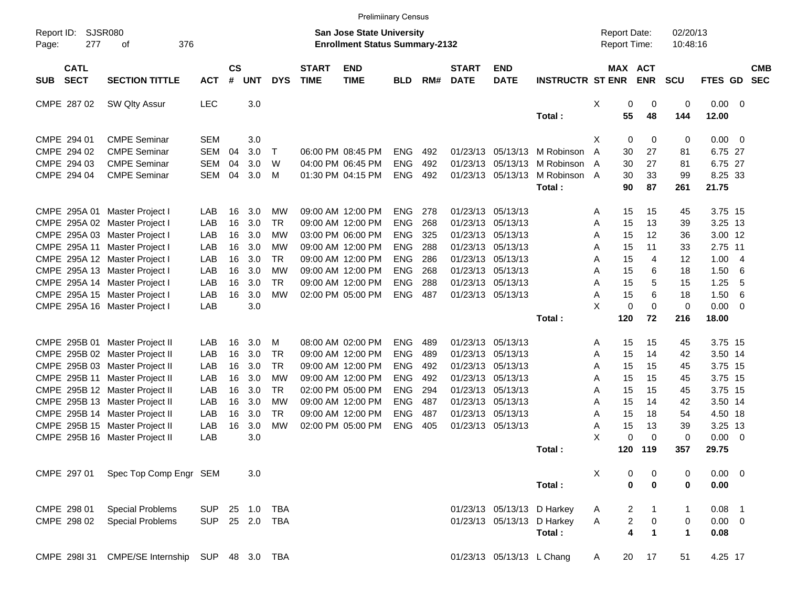|                                          |                                                |            |                |              |              |                             | <b>Prelimiinary Census</b>                                                |            |     |                             |                           |                              |                                     |                |             |                      |             |                          |            |
|------------------------------------------|------------------------------------------------|------------|----------------|--------------|--------------|-----------------------------|---------------------------------------------------------------------------|------------|-----|-----------------------------|---------------------------|------------------------------|-------------------------------------|----------------|-------------|----------------------|-------------|--------------------------|------------|
| Report ID:<br>277<br>Page:               | <b>SJSR080</b><br>376<br>οf                    |            |                |              |              |                             | <b>San Jose State University</b><br><b>Enrollment Status Summary-2132</b> |            |     |                             |                           |                              | <b>Report Date:</b><br>Report Time: |                |             | 02/20/13<br>10:48:16 |             |                          |            |
| <b>CATL</b><br><b>SECT</b><br><b>SUB</b> | <b>SECTION TITTLE</b>                          | <b>ACT</b> | <b>CS</b><br># | <b>UNT</b>   | <b>DYS</b>   | <b>START</b><br><b>TIME</b> | <b>END</b><br><b>TIME</b>                                                 | <b>BLD</b> | RM# | <b>START</b><br><b>DATE</b> | <b>END</b><br><b>DATE</b> | <b>INSTRUCTR ST ENR</b>      | MAX ACT                             |                | <b>ENR</b>  | <b>SCU</b>           | FTES GD SEC |                          | <b>CMB</b> |
| CMPE 287 02                              | SW Qlty Assur                                  | <b>LEC</b> |                | 3.0          |              |                             |                                                                           |            |     |                             |                           |                              | Χ                                   | 0              | 0           | 0                    | $0.00 \t 0$ |                          |            |
|                                          |                                                |            |                |              |              |                             |                                                                           |            |     |                             |                           | Total:                       |                                     | 55             | 48          | 144                  | 12.00       |                          |            |
| CMPE 294 01                              | <b>CMPE Seminar</b>                            | <b>SEM</b> |                | 3.0          |              |                             |                                                                           |            |     |                             |                           |                              | X                                   | $\mathbf 0$    | 0           | 0                    | $0.00 \t 0$ |                          |            |
| CMPE 294 02                              | <b>CMPE Seminar</b>                            | <b>SEM</b> | 04             | 3.0          | $\mathsf{T}$ |                             | 06:00 PM 08:45 PM                                                         | <b>ENG</b> | 492 |                             |                           | 01/23/13 05/13/13 M Robinson | A                                   | 30             | 27          | 81                   | 6.75 27     |                          |            |
| CMPE 294 03                              | <b>CMPE Seminar</b>                            | <b>SEM</b> | 04             | 3.0          | W            |                             | 04:00 PM 06:45 PM                                                         | <b>ENG</b> | 492 |                             |                           | 01/23/13 05/13/13 M Robinson | A                                   | 30             | 27          | 81                   | 6.75 27     |                          |            |
| CMPE 294 04                              | <b>CMPE Seminar</b>                            | SEM        | 04             | 3.0          | M            |                             | 01:30 PM 04:15 PM                                                         | <b>ENG</b> | 492 |                             | 01/23/13 05/13/13         | M Robinson A                 |                                     | 30             | 33          | 99                   | 8.25 33     |                          |            |
|                                          |                                                |            |                |              |              |                             |                                                                           |            |     |                             |                           | Total:                       |                                     | 90             | 87          | 261                  | 21.75       |                          |            |
|                                          |                                                |            |                |              |              |                             |                                                                           |            |     |                             |                           |                              |                                     |                |             |                      |             |                          |            |
|                                          | CMPE 295A 01 Master Project I                  | LAB        | 16             | 3.0          | МW           |                             | 09:00 AM 12:00 PM                                                         | <b>ENG</b> | 278 |                             | 01/23/13 05/13/13         |                              | Α                                   | 15             | 15          | 45                   | 3.75 15     |                          |            |
|                                          | CMPE 295A 02 Master Project I                  | LAB        | 16             | 3.0          | <b>TR</b>    |                             | 09:00 AM 12:00 PM                                                         | <b>ENG</b> | 268 |                             | 01/23/13 05/13/13         |                              | Α                                   | 15             | 13          | 39                   | 3.25 13     |                          |            |
|                                          | CMPE 295A 03 Master Project I                  | LAB        | 16             | 3.0          | МW           |                             | 03:00 PM 06:00 PM                                                         | <b>ENG</b> | 325 |                             | 01/23/13 05/13/13         |                              | A                                   | 15             | 12          | 36                   | 3.00 12     |                          |            |
|                                          | CMPE 295A 11 Master Project I                  | LAB        | 16             | 3.0          | МW           |                             | 09:00 AM 12:00 PM                                                         | <b>ENG</b> | 288 |                             | 01/23/13 05/13/13         |                              | Α                                   | 15             | 11          | 33                   | 2.75 11     |                          |            |
|                                          | CMPE 295A 12 Master Project I                  | LAB        | 16             | 3.0          | <b>TR</b>    |                             | 09:00 AM 12:00 PM                                                         | <b>ENG</b> | 286 |                             | 01/23/13 05/13/13         |                              | A                                   | 15             | 4           | 12                   | 1.00        | - 4                      |            |
|                                          | CMPE 295A 13 Master Project I                  | LAB        | 16             | 3.0          | МW           |                             | 09:00 AM 12:00 PM                                                         | <b>ENG</b> | 268 |                             | 01/23/13 05/13/13         |                              | Α                                   | 15             | 6           | 18                   | 1.50        | 6                        |            |
|                                          | CMPE 295A 14 Master Project I                  | LAB        | 16             | 3.0          | TR           |                             | 09:00 AM 12:00 PM                                                         | <b>ENG</b> | 288 |                             | 01/23/13 05/13/13         |                              | Α                                   | 15             | 5           | 15                   | 1.25        | -5                       |            |
|                                          | CMPE 295A 15 Master Project I                  | LAB        | 16             | 3.0          | <b>MW</b>    |                             | 02:00 PM 05:00 PM                                                         | <b>ENG</b> | 487 |                             | 01/23/13 05/13/13         |                              | Α                                   | 15             | 6           | 18                   | 1.50        | 6                        |            |
|                                          | CMPE 295A 16 Master Project I                  | LAB        |                | 3.0          |              |                             |                                                                           |            |     |                             |                           |                              | X                                   | $\mathbf 0$    | $\Omega$    | $\mathbf 0$          | 0.00        | - 0                      |            |
|                                          |                                                |            |                |              |              |                             |                                                                           |            |     |                             |                           | Total:                       |                                     | 120            | 72          | 216                  | 18.00       |                          |            |
|                                          | CMPE 295B 01 Master Project II                 | LAB        | 16             | 3.0          | м            |                             | 08:00 AM 02:00 PM                                                         | <b>ENG</b> | 489 |                             | 01/23/13 05/13/13         |                              | Α                                   | 15             | 15          | 45                   | 3.75 15     |                          |            |
|                                          | CMPE 295B 02 Master Project II                 | LAB        | 16             | 3.0          | <b>TR</b>    |                             | 09:00 AM 12:00 PM                                                         | <b>ENG</b> | 489 |                             | 01/23/13 05/13/13         |                              | Α                                   | 15             | 14          | 42                   | 3.50 14     |                          |            |
|                                          | CMPE 295B 03 Master Project II                 | LAB        | 16             | 3.0          | TR           |                             | 09:00 AM 12:00 PM                                                         | <b>ENG</b> | 492 |                             | 01/23/13 05/13/13         |                              | Α                                   | 15             | 15          | 45                   | 3.75 15     |                          |            |
|                                          | CMPE 295B 11 Master Project II                 | LAB        | 16             | 3.0          | МW           |                             | 09:00 AM 12:00 PM                                                         | <b>ENG</b> | 492 |                             | 01/23/13 05/13/13         |                              | Α                                   | 15             | 15          | 45                   | 3.75 15     |                          |            |
|                                          | CMPE 295B 12 Master Project II                 | LAB        | 16             | 3.0          | <b>TR</b>    |                             | 02:00 PM 05:00 PM                                                         | <b>ENG</b> | 294 |                             | 01/23/13 05/13/13         |                              | Α                                   | 15             | 15          | 45                   | 3.75 15     |                          |            |
|                                          | CMPE 295B 13 Master Project II                 | LAB        | 16             | 3.0          | МW           |                             | 09:00 AM 12:00 PM                                                         | <b>ENG</b> | 487 |                             | 01/23/13 05/13/13         |                              | Α                                   | 15             | 14          | 42                   | 3.50 14     |                          |            |
|                                          | CMPE 295B 14 Master Project II                 | LAB        | 16             | 3.0          | TR           |                             | 09:00 AM 12:00 PM                                                         | <b>ENG</b> | 487 |                             | 01/23/13 05/13/13         |                              | Α                                   | 15             | 18          | 54                   | 4.50 18     |                          |            |
|                                          | CMPE 295B 15 Master Project II                 | LAB        | 16             | 3.0          | <b>MW</b>    |                             | 02:00 PM 05:00 PM                                                         | <b>ENG</b> | 405 |                             | 01/23/13 05/13/13         |                              | Α                                   | 15             | 13          | 39                   | 3.25 13     |                          |            |
|                                          | CMPE 295B 16 Master Project II                 | LAB        |                | 3.0          |              |                             |                                                                           |            |     |                             |                           |                              | X                                   | 0              | $\Omega$    | $\mathbf 0$          | 0.00        | $\overline{\phantom{0}}$ |            |
|                                          |                                                |            |                |              |              |                             |                                                                           |            |     |                             |                           | Total:                       |                                     | 120            | 119         | 357                  | 29.75       |                          |            |
|                                          |                                                |            |                |              |              |                             |                                                                           |            |     |                             |                           |                              |                                     |                |             |                      |             |                          |            |
| CMPE 297 01                              | Spec Top Comp Engr SEM                         |            |                | 3.0          |              |                             |                                                                           |            |     |                             |                           |                              | X                                   | 0              | 0           | 0                    | $0.00 \t 0$ |                          |            |
|                                          |                                                |            |                |              |              |                             |                                                                           |            |     |                             |                           | Total:                       |                                     | $\mathbf 0$    | $\bf{0}$    | 0                    | 0.00        |                          |            |
| CMPE 298 01                              | <b>Special Problems</b>                        | <b>SUP</b> |                | 25 1.0 TBA   |              |                             |                                                                           |            |     |                             |                           | 01/23/13 05/13/13 D Harkey   |                                     |                |             |                      | $0.08$ 1    |                          |            |
| CMPE 298 02                              |                                                |            |                | 25  2.0  TBA |              |                             |                                                                           |            |     |                             |                           |                              | A                                   | $\overline{c}$ | 1           | $\mathbf{1}$         | $0.00 \t 0$ |                          |            |
|                                          | <b>Special Problems</b>                        | <b>SUP</b> |                |              |              |                             |                                                                           |            |     |                             |                           | 01/23/13 05/13/13 D Harkey   | Α                                   | 2              | 0           | 0                    |             |                          |            |
|                                          |                                                |            |                |              |              |                             |                                                                           |            |     |                             |                           | Total:                       |                                     | 4              | $\mathbf 1$ | $\blacktriangleleft$ | 0.08        |                          |            |
|                                          | CMPE 298I 31 CMPE/SE Internship SUP 48 3.0 TBA |            |                |              |              |                             |                                                                           |            |     |                             | 01/23/13 05/13/13 L Chang |                              | A                                   | 20             | 17          | 51                   | 4.25 17     |                          |            |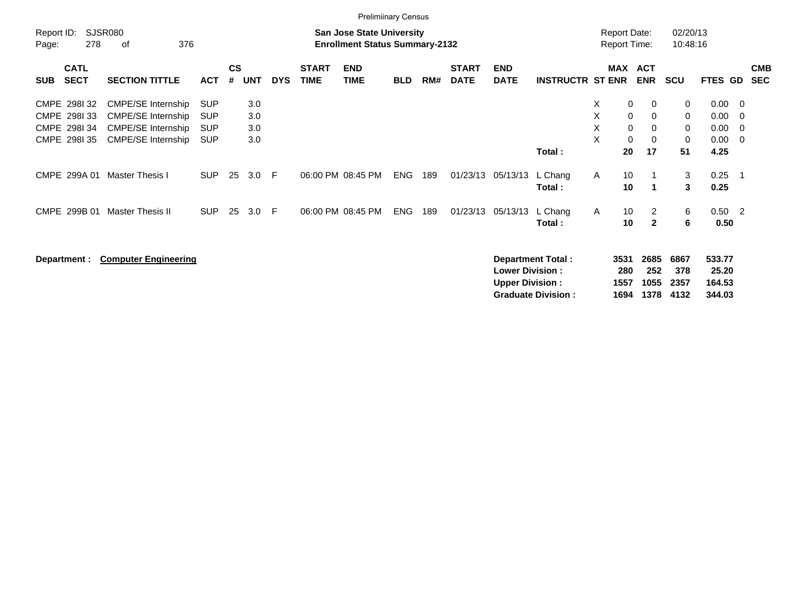|                     |                                                                            |                                                                                                                                            |                                                                    |                    |                                 |            |                             | <b>Prelimiinary Census</b>                                                |            |     |                             |                                                  |                                                       |                         |                                        |                                            |                             |                                                        |                                                                   |                          |
|---------------------|----------------------------------------------------------------------------|--------------------------------------------------------------------------------------------------------------------------------------------|--------------------------------------------------------------------|--------------------|---------------------------------|------------|-----------------------------|---------------------------------------------------------------------------|------------|-----|-----------------------------|--------------------------------------------------|-------------------------------------------------------|-------------------------|----------------------------------------|--------------------------------------------|-----------------------------|--------------------------------------------------------|-------------------------------------------------------------------|--------------------------|
| Report ID:<br>Page: | 278                                                                        | <b>SJSR080</b><br>376<br>of                                                                                                                |                                                                    |                    |                                 |            |                             | <b>San Jose State University</b><br><b>Enrollment Status Summary-2132</b> |            |     |                             |                                                  |                                                       |                         |                                        | <b>Report Date:</b><br><b>Report Time:</b> | 02/20/13<br>10:48:16        |                                                        |                                                                   |                          |
| <b>SUB</b>          | <b>CATL</b><br><b>SECT</b>                                                 | <b>SECTION TITTLE</b>                                                                                                                      | <b>ACT</b>                                                         | $\mathsf{cs}$<br># | UNT                             | <b>DYS</b> | <b>START</b><br><b>TIME</b> | <b>END</b><br><b>TIME</b>                                                 | <b>BLD</b> | RM# | <b>START</b><br><b>DATE</b> | <b>END</b><br><b>DATE</b>                        | <b>INSTRUCTR ST ENR</b>                               |                         | <b>MAX</b>                             | <b>ACT</b><br><b>ENR</b>                   | <b>SCU</b>                  | <b>FTES GD</b>                                         |                                                                   | <b>CMB</b><br><b>SEC</b> |
|                     | CMPE 2981 32<br>CMPE 298133<br>CMPE 298134<br>CMPE 298I 35<br>CMPE 299A 01 | <b>CMPE/SE Internship</b><br><b>CMPE/SE Internship</b><br><b>CMPE/SE Internship</b><br><b>CMPE/SE Internship</b><br><b>Master Thesis I</b> | <b>SUP</b><br><b>SUP</b><br><b>SUP</b><br><b>SUP</b><br><b>SUP</b> | 25                 | 3.0<br>3.0<br>3.0<br>3.0<br>3.0 | -F         |                             | 06:00 PM 08:45 PM                                                         | <b>ENG</b> | 189 |                             | 01/23/13 05/13/13                                | Total:<br>L Chang                                     | X.<br>X.<br>X<br>X<br>A | 0<br>0<br>$\mathbf 0$<br>0<br>20<br>10 | $\mathbf 0$<br>0<br>0<br>0<br>17           | 0<br>0<br>0<br>0<br>51<br>3 | $0.00 \quad 0$<br>0.00<br>0.00<br>0.00<br>4.25<br>0.25 | - 0<br>$\overline{\mathbf{0}}$<br>$\overline{\phantom{0}}$<br>- 1 |                          |
|                     | CMPE 299B 01                                                               | <b>Master Thesis II</b>                                                                                                                    | <b>SUP</b>                                                         | 25                 | 3.0                             | F          |                             | 06:00 PM 08:45 PM                                                         | <b>ENG</b> | 189 |                             | 01/23/13 05/13/13                                | Total:<br>L Chang<br>Total:                           | Α                       | 10<br>10<br>10                         | 1<br>$\overline{2}$<br>$\mathbf{2}$        | 3<br>6<br>6                 | 0.25<br>$0.50$ 2<br>0.50                               |                                                                   |                          |
|                     | Department :                                                               | <b>Computer Engineering</b>                                                                                                                |                                                                    |                    |                                 |            |                             |                                                                           |            |     |                             | <b>Lower Division:</b><br><b>Upper Division:</b> | <b>Department Total:</b><br><b>Graduate Division:</b> |                         | 3531<br>280<br>1557<br>1694            | 2685<br>252<br>1055<br>1378                | 6867<br>378<br>2357<br>4132 | 533.77<br>25.20<br>164.53<br>344.03                    |                                                                   |                          |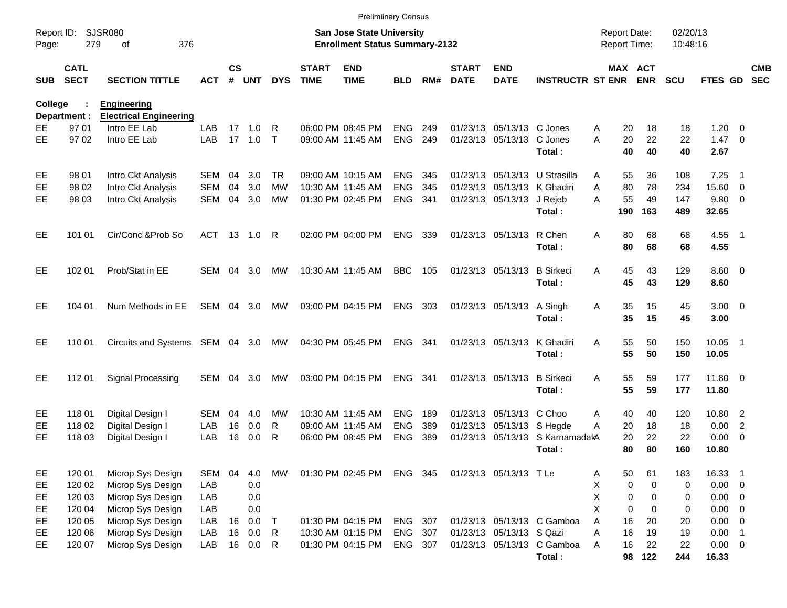|                     |                            |                                                     |            |                    |            |              |                             | <b>Prelimiinary Census</b>                                                |                |       |                             |                             |                                 |                                     |                       |                      |                        |                          |                          |
|---------------------|----------------------------|-----------------------------------------------------|------------|--------------------|------------|--------------|-----------------------------|---------------------------------------------------------------------------|----------------|-------|-----------------------------|-----------------------------|---------------------------------|-------------------------------------|-----------------------|----------------------|------------------------|--------------------------|--------------------------|
| Report ID:<br>Page: | 279                        | <b>SJSR080</b><br>376<br>оf                         |            |                    |            |              |                             | <b>San Jose State University</b><br><b>Enrollment Status Summary-2132</b> |                |       |                             |                             |                                 | <b>Report Date:</b><br>Report Time: |                       | 02/20/13<br>10:48:16 |                        |                          |                          |
| <b>SUB</b>          | <b>CATL</b><br><b>SECT</b> | <b>SECTION TITTLE</b>                               | <b>ACT</b> | $\mathsf{cs}$<br># | <b>UNT</b> | <b>DYS</b>   | <b>START</b><br><b>TIME</b> | <b>END</b><br><b>TIME</b>                                                 | <b>BLD</b>     | RM#   | <b>START</b><br><b>DATE</b> | <b>END</b><br><b>DATE</b>   | <b>INSTRUCTR ST ENR</b>         |                                     | MAX ACT<br><b>ENR</b> | <b>SCU</b>           | FTES GD                |                          | <b>CMB</b><br><b>SEC</b> |
| <b>College</b>      | Department :               | <b>Engineering</b><br><b>Electrical Engineering</b> |            |                    |            |              |                             |                                                                           |                |       |                             |                             |                                 |                                     |                       |                      |                        |                          |                          |
| EЕ                  | 97 01                      | Intro EE Lab                                        | LAB        | 17                 | 1.0        | R            |                             | 06:00 PM 08:45 PM                                                         | <b>ENG</b>     | 249   |                             | 01/23/13 05/13/13 C Jones   |                                 | 20<br>Α                             | 18                    | 18                   | 1.20                   | $\overline{0}$           |                          |
| EЕ                  | 97 02                      | Intro EE Lab                                        | LAB        |                    | 17 1.0     | $\mathsf{T}$ |                             | 09:00 AM 11:45 AM                                                         | <b>ENG</b>     | 249   |                             | 01/23/13 05/13/13 C Jones   |                                 | 20<br>A                             | 22                    | 22                   | $1.47 \quad 0$         |                          |                          |
|                     |                            |                                                     |            |                    |            |              |                             |                                                                           |                |       |                             |                             | Total:                          | 40                                  | 40                    | 40                   | 2.67                   |                          |                          |
| EE                  | 98 01                      | Intro Ckt Analysis                                  | SEM        | 04                 | 3.0        | TR.          |                             | 09:00 AM 10:15 AM                                                         | <b>ENG</b>     | 345   |                             | 01/23/13 05/13/13           | U Strasilla                     | 55<br>Α                             | 36                    | 108                  | 7.25                   | - 1                      |                          |
| EE                  | 98 02                      | Intro Ckt Analysis                                  | <b>SEM</b> | 04                 | 3.0        | MW           |                             | 10:30 AM 11:45 AM                                                         | <b>ENG</b>     | 345   |                             | 01/23/13 05/13/13 K Ghadiri |                                 | A<br>80                             | 78                    | 234                  | 15.60                  | $\overline{\phantom{0}}$ |                          |
| EЕ                  | 98 03                      | Intro Ckt Analysis                                  | <b>SEM</b> | 04                 | 3.0        | MW           |                             | 01:30 PM 02:45 PM                                                         | <b>ENG</b>     | - 341 |                             | 01/23/13 05/13/13 J Rejeb   | Total:                          | 55<br>A<br>190                      | 49<br>163             | 147<br>489           | 9.80 0<br>32.65        |                          |                          |
| EЕ                  | 101 01                     | Cir/Conc & Prob So                                  | ACT        |                    | 13  1.0    | R            |                             | 02:00 PM 04:00 PM                                                         | <b>ENG</b>     | 339   |                             | 01/23/13 05/13/13           | R Chen<br>Total:                | 80<br>Α<br>80                       | 68<br>68              | 68<br>68             | 4.55 1<br>4.55         |                          |                          |
| EЕ                  | 102 01                     | Prob/Stat in EE                                     | SEM        | 04                 | 3.0        | MW           |                             | 10:30 AM 11:45 AM                                                         | <b>BBC</b>     | 105   |                             | 01/23/13 05/13/13           | <b>B</b> Sirkeci<br>Total:      | 45<br>Α<br>45                       | 43<br>43              | 129<br>129           | $8.60 \quad 0$<br>8.60 |                          |                          |
| EЕ                  | 104 01                     | Num Methods in EE                                   | SEM        | 04                 | 3.0        | MW           |                             | 03:00 PM 04:15 PM                                                         | ENG            | - 303 |                             | 01/23/13 05/13/13           | A Singh<br>Total:               | Α<br>35<br>35                       | 15<br>15              | 45<br>45             | $3.00 \ 0$<br>3.00     |                          |                          |
| EЕ                  | 110 01                     | Circuits and Systems SEM 04 3.0                     |            |                    |            | MW           |                             | 04:30 PM 05:45 PM                                                         | <b>ENG 341</b> |       |                             | 01/23/13 05/13/13           | K Ghadiri<br>Total:             | 55<br>Α<br>55                       | 50<br>50              | 150<br>150           | 10.05<br>10.05         | $\blacksquare$ 1         |                          |
| EЕ                  | 11201                      | Signal Processing                                   | SEM        | 04                 | 3.0        | MW           |                             | 03:00 PM 04:15 PM                                                         | <b>ENG</b>     | - 341 |                             | 01/23/13 05/13/13           | <b>B</b> Sirkeci<br>Total:      | 55<br>A<br>55                       | 59<br>59              | 177<br>177           | 11.80 0<br>11.80       |                          |                          |
| EE                  | 11801                      | Digital Design I                                    | <b>SEM</b> | 04                 | 4.0        | МW           |                             | 10:30 AM 11:45 AM                                                         | <b>ENG</b>     | 189   |                             | 01/23/13 05/13/13 C Choo    |                                 | 40<br>Α                             | 40                    | 120                  | 10.80 2                |                          |                          |
| EE                  | 11802                      | Digital Design I                                    | LAB        | 16                 | 0.0        | R            |                             | 09:00 AM 11:45 AM                                                         | <b>ENG</b>     | 389   |                             | 01/23/13 05/13/13 S Hegde   |                                 | A<br>20                             | 18                    | 18                   | 0.00                   | $\overline{2}$           |                          |
| EЕ                  | 11803                      | Digital Design I                                    | LAB        | 16                 | 0.0        | R            |                             | 06:00 PM 08:45 PM                                                         | <b>ENG</b>     | 389   |                             |                             | 01/23/13 05/13/13 S KarnamadakA | 20                                  | 22                    | 22                   | 0.00                   | $\overline{\phantom{0}}$ |                          |
|                     |                            |                                                     |            |                    |            |              |                             |                                                                           |                |       |                             |                             | Total:                          | 80                                  | 80                    | 160                  | 10.80                  |                          |                          |
| EE                  | 120 01                     | Microp Sys Design                                   | SEM        | 04                 | 4.0        | МW           |                             | 01:30 PM 02:45 PM                                                         | ENG 345        |       |                             | 01/23/13 05/13/13 T Le      |                                 | 50<br>Α                             | 61                    | 183                  | 16.33 1                |                          |                          |
| EE                  | 120 02                     | Microp Sys Design                                   | LAB        |                    | 0.0        |              |                             |                                                                           |                |       |                             |                             |                                 | Χ                                   | $\pmb{0}$<br>0        | 0                    | $0.00 \t 0$            |                          |                          |
| EE                  | 120 03                     | Microp Sys Design                                   | LAB        |                    | 0.0        |              |                             |                                                                           |                |       |                             |                             |                                 | Χ                                   | $\pmb{0}$<br>0        | 0                    | $0.00 \t 0$            |                          |                          |
| EE.                 | 120 04                     | Microp Sys Design                                   | LAB        |                    | 0.0        |              |                             |                                                                           |                |       |                             |                             |                                 | X                                   | 0<br>0                | 0                    | $0.00 \t 0$            |                          |                          |
| EE.                 | 120 05                     | Microp Sys Design                                   | LAB        | 16                 | 0.0        | $\top$       |                             | 01:30 PM 04:15 PM                                                         | <b>ENG</b>     | 307   |                             |                             | 01/23/13 05/13/13 C Gamboa      | A<br>16                             | 20                    | 20                   | $0.00 \t 0$            |                          |                          |
| EE.                 | 120 06                     | Microp Sys Design                                   | LAB        | 16                 | 0.0        | R            |                             | 10:30 AM 01:15 PM                                                         | <b>ENG</b>     | 307   |                             | 01/23/13 05/13/13 S Qazi    |                                 | 16<br>Α                             | 19                    | 19                   | $0.00$ 1               |                          |                          |
| EE                  | 120 07                     | Microp Sys Design                                   | LAB        | 16                 | 0.0        | R            |                             | 01:30 PM 04:15 PM                                                         | ENG 307        |       |                             |                             | 01/23/13 05/13/13 C Gamboa      | Α<br>16                             | 22<br>122             | 22<br>244            | $0.00 \t 0$            |                          |                          |
|                     |                            |                                                     |            |                    |            |              |                             |                                                                           |                |       |                             |                             | Total:                          |                                     | 98                    |                      | 16.33                  |                          |                          |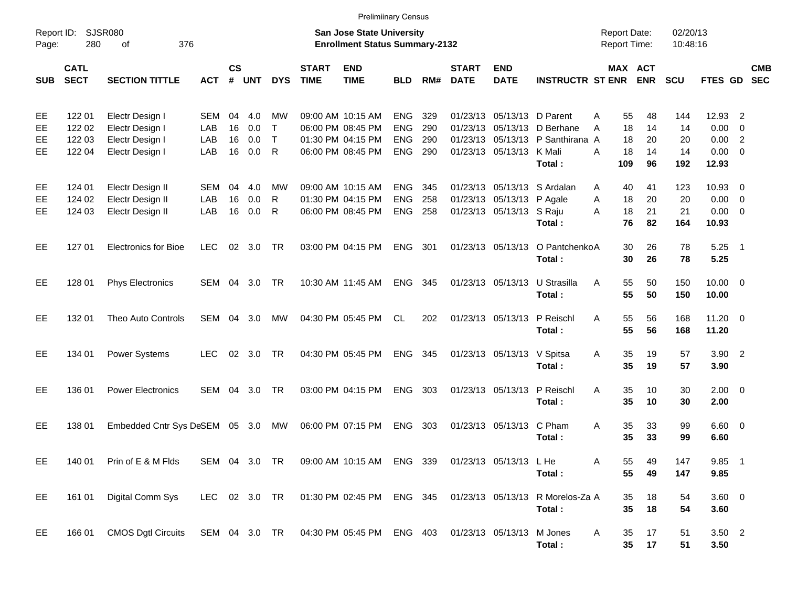|                      |                                      |                                                                          |                          |                      |                          |                             |                                        | <b>Prelimiinary Census</b>                                         |                                                      |                          |                             |                                                        |                                                                            |                                            |                            |                              |                                                 |                                                     |            |
|----------------------|--------------------------------------|--------------------------------------------------------------------------|--------------------------|----------------------|--------------------------|-----------------------------|----------------------------------------|--------------------------------------------------------------------|------------------------------------------------------|--------------------------|-----------------------------|--------------------------------------------------------|----------------------------------------------------------------------------|--------------------------------------------|----------------------------|------------------------------|-------------------------------------------------|-----------------------------------------------------|------------|
| Report ID:<br>Page:  | 280                                  | SJSR080<br>376<br>οf                                                     |                          |                      |                          |                             |                                        | San Jose State University<br><b>Enrollment Status Summary-2132</b> |                                                      |                          |                             |                                                        |                                                                            | <b>Report Date:</b><br><b>Report Time:</b> |                            | 02/20/13<br>10:48:16         |                                                 |                                                     |            |
| <b>SUB</b>           | <b>CATL</b><br><b>SECT</b>           | <b>SECTION TITTLE</b>                                                    | <b>ACT</b>               | $\mathsf{cs}$<br>#   | <b>UNT</b>               | <b>DYS</b>                  | <b>START</b><br><b>TIME</b>            | <b>END</b><br><b>TIME</b>                                          | <b>BLD</b>                                           | RM#                      | <b>START</b><br><b>DATE</b> | <b>END</b><br><b>DATE</b>                              | <b>INSTRUCTR ST ENR ENR</b>                                                |                                            | MAX ACT                    | <b>SCU</b>                   | FTES GD SEC                                     |                                                     | <b>CMB</b> |
| EE<br>EE<br>EЕ<br>EЕ | 122 01<br>122 02<br>122 03<br>122 04 | Electr Design I<br>Electr Design I<br>Electr Design I<br>Electr Design I | SEM<br>LAB<br>LAB<br>LAB | 04<br>16<br>16<br>16 | 4.0<br>0.0<br>0.0<br>0.0 | МW<br>$\top$<br>$\top$<br>R | 09:00 AM 10:15 AM<br>06:00 PM 08:45 PM | 01:30 PM 04:15 PM<br>06:00 PM 08:45 PM                             | <b>ENG</b><br><b>ENG</b><br><b>ENG</b><br><b>ENG</b> | 329<br>290<br>290<br>290 |                             | 01/23/13 05/13/13 D Parent<br>01/23/13 05/13/13 K Mali | 01/23/13 05/13/13 D Berhane<br>01/23/13 05/13/13 P Santhirana A<br>Total : | 55<br>A<br>18<br>A<br>18<br>18<br>A<br>109 | 48<br>14<br>20<br>14<br>96 | 144<br>14<br>20<br>14<br>192 | 12.93 2<br>0.00<br>0.00<br>$0.00 \t 0$<br>12.93 | $\overline{\mathbf{0}}$<br>$\overline{\phantom{0}}$ |            |
| EE<br>EE<br>EЕ       | 124 01<br>124 02<br>124 03           | Electr Design II<br>Electr Design II<br>Electr Design II                 | SEM<br>LAB<br>LAB        | 04<br>16<br>16       | 4.0<br>0.0<br>0.0        | МW<br>R<br>R                |                                        | 09:00 AM 10:15 AM<br>01:30 PM 04:15 PM<br>06:00 PM 08:45 PM        | <b>ENG</b><br><b>ENG</b><br><b>ENG</b>               | 345<br>258<br>258        |                             | 01/23/13 05/13/13 P Agale<br>01/23/13 05/13/13 S Raju  | 01/23/13 05/13/13 S Ardalan<br>Total:                                      | 40<br>A<br>18<br>A<br>18<br>A<br>76        | 41<br>20<br>21<br>82       | 123<br>20<br>21<br>164       | 10.93 0<br>$0.00 \t 0$<br>$0.00 \t 0$<br>10.93  |                                                     |            |
| EE                   | 127 01                               | <b>Electronics for Bioe</b>                                              | <b>LEC</b>               |                      | 02 3.0                   | TR                          |                                        | 03:00 PM 04:15 PM                                                  | <b>ENG</b>                                           | 301                      |                             |                                                        | 01/23/13 05/13/13 O PantchenkoA<br>Total:                                  | 30<br>30                                   | 26<br>26                   | 78<br>78                     | $5.25$ 1<br>5.25                                |                                                     |            |
| EE                   | 128 01                               | <b>Phys Electronics</b>                                                  | SEM 04                   |                      | 3.0                      | TR                          |                                        | 10:30 AM 11:45 AM                                                  | <b>ENG</b>                                           | 345                      |                             |                                                        | 01/23/13 05/13/13 U Strasilla<br>Total:                                    | 55<br>A<br>55                              | 50<br>50                   | 150<br>150                   | $10.00 \t 0$<br>10.00                           |                                                     |            |
| EE                   | 132 01                               | <b>Theo Auto Controls</b>                                                | SEM                      |                      | 04 3.0                   | МW                          |                                        | 04:30 PM 05:45 PM                                                  | CL.                                                  | 202                      |                             | 01/23/13 05/13/13 P Reischl                            | Total:                                                                     | 55<br>A<br>55                              | 56<br>56                   | 168<br>168                   | $11.20 \t 0$<br>11.20                           |                                                     |            |
| EE                   | 134 01                               | Power Systems                                                            | <b>LEC</b>               |                      | 02 3.0                   | TR                          |                                        | 04:30 PM 05:45 PM                                                  | <b>ENG 345</b>                                       |                          |                             | 01/23/13 05/13/13 V Spitsa                             | Total:                                                                     | 35<br>A<br>35                              | 19<br>19                   | 57<br>57                     | $3.90$ 2<br>3.90                                |                                                     |            |
| EE                   | 136 01                               | <b>Power Electronics</b>                                                 | <b>SEM</b>               | 04                   | 3.0                      | TR                          |                                        | 03:00 PM 04:15 PM                                                  | <b>ENG</b>                                           | 303                      |                             |                                                        | 01/23/13 05/13/13 P Reischl<br>Total:                                      | 35<br>A<br>35                              | 10<br>10                   | 30<br>30                     | $2.00 \t 0$<br>2.00                             |                                                     |            |
| EE                   | 138 01                               | Embedded Cntr Sys DeSEM 05 3.0                                           |                          |                      |                          | MW                          |                                        | 06:00 PM 07:15 PM                                                  | ENG                                                  | 303                      |                             | 01/23/13 05/13/13 C Pham                               | Total:                                                                     | A<br>35<br>35                              | 33<br>33                   | 99<br>99                     | $6.60$ 0<br>6.60                                |                                                     |            |
| EE                   | 140 01                               | Prin of E & M Flds                                                       |                          |                      | SEM 04 3.0 TR            |                             |                                        | 09:00 AM 10:15 AM ENG 339 01/23/13 05/13/13 LHe                    |                                                      |                          |                             |                                                        | Total:                                                                     | Α<br>55<br>55                              | 49<br>49                   | 147<br>147                   | 9.85 1<br>9.85                                  |                                                     |            |
| EE                   | 161 01                               | Digital Comm Sys                                                         | LEC 02 3.0 TR            |                      |                          |                             |                                        | 01:30 PM 02:45 PM                                                  | ENG 345                                              |                          |                             |                                                        | 01/23/13 05/13/13 R Morelos-Za A<br>Total:                                 | 35<br>35                                   | 18<br>18                   | 54<br>54                     | 3.60 0<br>3.60                                  |                                                     |            |
| EE                   | 166 01                               | <b>CMOS Dgtl Circuits</b>                                                | SEM 04 3.0 TR            |                      |                          |                             |                                        | 04:30 PM 05:45 PM                                                  |                                                      | ENG 403                  |                             | 01/23/13 05/13/13 M Jones                              | Total:                                                                     | Α<br>35<br>35 <sub>5</sub>                 | 17<br>17                   | 51<br>51                     | 3.50 2<br>3.50                                  |                                                     |            |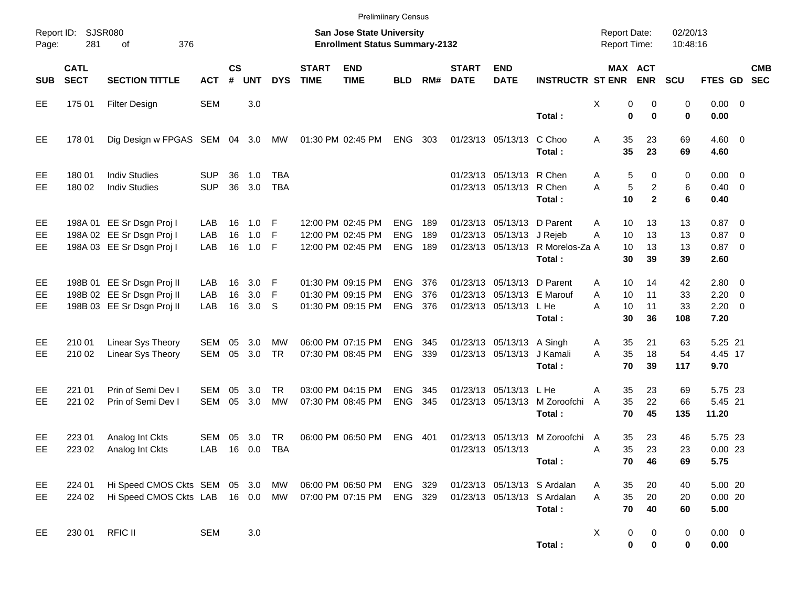|                              |                            |                                                                                        |                          |                    |                       |                          |                             | <b>Prelimiinary Census</b>                                         |                                        |                   |                             |                                                                                    |                                                                      |                                            |                                                           |                       |                                                   |            |
|------------------------------|----------------------------|----------------------------------------------------------------------------------------|--------------------------|--------------------|-----------------------|--------------------------|-----------------------------|--------------------------------------------------------------------|----------------------------------------|-------------------|-----------------------------|------------------------------------------------------------------------------------|----------------------------------------------------------------------|--------------------------------------------|-----------------------------------------------------------|-----------------------|---------------------------------------------------|------------|
| Page:                        | Report ID: SJSR080<br>281  | 376<br>of                                                                              |                          |                    |                       |                          |                             | San Jose State University<br><b>Enrollment Status Summary-2132</b> |                                        |                   |                             |                                                                                    |                                                                      | <b>Report Date:</b><br><b>Report Time:</b> |                                                           | 02/20/13<br>10:48:16  |                                                   |            |
| <b>SUB</b>                   | <b>CATL</b><br><b>SECT</b> | <b>SECTION TITTLE</b>                                                                  | <b>ACT</b>               | $\mathsf{cs}$<br># | <b>UNT</b>            | <b>DYS</b>               | <b>START</b><br><b>TIME</b> | <b>END</b><br><b>TIME</b>                                          | <b>BLD</b>                             | RM#               | <b>START</b><br><b>DATE</b> | <b>END</b><br><b>DATE</b>                                                          | <b>INSTRUCTR ST ENR</b>                                              |                                            | MAX ACT<br><b>ENR</b>                                     | <b>SCU</b>            | FTES GD SEC                                       | <b>CMB</b> |
| EE                           | 175 01                     | <b>Filter Design</b>                                                                   | <b>SEM</b>               |                    | 3.0                   |                          |                             |                                                                    |                                        |                   |                             |                                                                                    | Total:                                                               | Χ                                          | 0<br>0<br>$\bf{0}$<br>$\bf{0}$                            | 0<br>0                | $0.00 \t 0$<br>0.00                               |            |
| EE                           | 178 01                     | Dig Design w FPGAS SEM 04 3.0                                                          |                          |                    |                       | МW                       |                             | 01:30 PM 02:45 PM                                                  | ENG                                    | 303               |                             | 01/23/13 05/13/13                                                                  | C Choo<br>Total:                                                     | 35<br>Α<br>35                              | 23<br>23                                                  | 69<br>69              | $4.60 \ 0$<br>4.60                                |            |
| EE<br><b>EE</b>              | 180 01<br>180 02           | <b>Indiv Studies</b><br><b>Indiv Studies</b>                                           | <b>SUP</b><br><b>SUP</b> | 36<br>36           | 1.0<br>3.0            | <b>TBA</b><br><b>TBA</b> |                             |                                                                    |                                        |                   |                             | 01/23/13 05/13/13 R Chen<br>01/23/13 05/13/13 R Chen                               | Total:                                                               | A<br>A<br>10                               | 5<br>$\mathbf 0$<br>5<br>$\overline{2}$<br>$\overline{2}$ | 0<br>6<br>6           | $0.00 \t 0$<br>$0.40 \quad 0$<br>0.40             |            |
| EE<br>EE.<br>EE.             |                            | 198A 01 EE Sr Dsgn Proj I<br>198A 02 EE Sr Dsgn Proj I<br>198A 03 EE Sr Dsgn Proj I    | LAB<br>LAB<br>LAB        | 16<br>16<br>16     | 1.0<br>1.0<br>$1.0$ F | -F<br>-F                 |                             | 12:00 PM 02:45 PM<br>12:00 PM 02:45 PM<br>12:00 PM 02:45 PM        | <b>ENG</b><br><b>ENG</b><br><b>ENG</b> | 189<br>189<br>189 |                             | 01/23/13 05/13/13 D Parent<br>01/23/13 05/13/13 J Rejeb                            | 01/23/13 05/13/13 R Morelos-Za A<br>Total:                           | 10<br>A<br>10<br>A<br>10<br>30             | 13<br>13<br>13<br>39                                      | 13<br>13<br>13<br>39  | $0.87$ 0<br>$0.87$ 0<br>$0.87$ 0<br>2.60          |            |
| EE<br><b>EE</b><br><b>EE</b> |                            | 198B 01 EE Sr Dsgn Proj II<br>198B 02 EE Sr Dsgn Proj II<br>198B 03 EE Sr Dsgn Proj II | LAB<br>LAB<br>LAB        | 16<br>16<br>16     | 3.0<br>3.0<br>3.0     | -F<br>-F<br>S            |                             | 01:30 PM 09:15 PM<br>01:30 PM 09:15 PM<br>01:30 PM 09:15 PM        | <b>ENG</b><br><b>ENG</b><br>ENG        | 376<br>376<br>376 |                             | 01/23/13 05/13/13 D Parent<br>01/23/13 05/13/13 E Marouf<br>01/23/13 05/13/13 L He | Total:                                                               | 10<br>A<br>A<br>10<br>A<br>10<br>30        | 14<br>11<br>11<br>36                                      | 42<br>33<br>33<br>108 | $2.80 \t 0$<br>$2.20 \t 0$<br>$2.20 \t 0$<br>7.20 |            |
| EE<br>EE.                    | 210 01<br>210 02           | Linear Sys Theory<br>Linear Sys Theory                                                 | SEM<br><b>SEM</b>        | 05<br>05           | 3.0<br>3.0            | МW<br><b>TR</b>          |                             | 06:00 PM 07:15 PM<br>07:30 PM 08:45 PM                             | <b>ENG</b><br><b>ENG</b>               | 345<br>339        |                             | 01/23/13 05/13/13 A Singh<br>01/23/13 05/13/13 J Kamali                            | Total:                                                               | 35<br>A<br>35<br>A<br>70                   | 21<br>18<br>39                                            | 63<br>54<br>117       | 5.25 21<br>4.45 17<br>9.70                        |            |
| EE<br>EE.                    | 221 01<br>221 02           | Prin of Semi Dev I<br>Prin of Semi Dev I                                               | SEM<br><b>SEM</b>        | 05<br>05           | 3.0<br>3.0            | TR.<br><b>MW</b>         |                             | 03:00 PM 04:15 PM<br>07:30 PM 08:45 PM                             | <b>ENG</b><br><b>ENG</b>               | 345<br>345        |                             | 01/23/13 05/13/13 L He<br>01/23/13 05/13/13                                        | M Zoroofchi<br>Total:                                                | 35<br>Α<br>35<br>A<br>70                   | 23<br>22<br>45                                            | 69<br>66<br>135       | 5.75 23<br>5.45 21<br>11.20                       |            |
| EE<br>EE                     | 223 01<br>223 02           | Analog Int Ckts<br>Analog Int Ckts                                                     | SEM<br>LAB               | 05                 | 3.0<br>16  0.0        | TR.<br><b>TBA</b>        |                             | 06:00 PM 06:50 PM                                                  | <b>ENG</b>                             | 401               |                             | 01/23/13 05/13/13<br>01/23/13 05/13/13                                             | M Zoroofchi A<br>Total:                                              | 35<br>35<br>Α                              | 23<br>23<br>70<br>46                                      | 46<br>23<br>69        | 5.75 23<br>$0.00$ 23<br>5.75                      |            |
| EE<br>EE                     | 224 01<br>224 02           | Hi Speed CMOS Ckts SEM 05 3.0 MW<br>Hi Speed CMOS Ckts LAB 16 0.0 MW                   |                          |                    |                       |                          |                             | 06:00 PM 06:50 PM<br>07:00 PM 07:15 PM                             | ENG 329<br>ENG 329                     |                   |                             |                                                                                    | 01/23/13 05/13/13 S Ardalan<br>01/23/13 05/13/13 S Ardalan<br>Total: | 35<br>A<br>35<br>A<br>70                   | 20<br>20<br>40                                            | 40<br>20<br>60        | 5.00 20<br>0.0020<br>5.00                         |            |
| EE.                          | 230 01                     | <b>RFIC II</b>                                                                         | <b>SEM</b>               |                    | 3.0                   |                          |                             |                                                                    |                                        |                   |                             |                                                                                    | Total:                                                               | X                                          | 0<br>0<br>$\bf{0}$<br>0                                   | 0<br>0                | $0.00 \t 0$<br>0.00                               |            |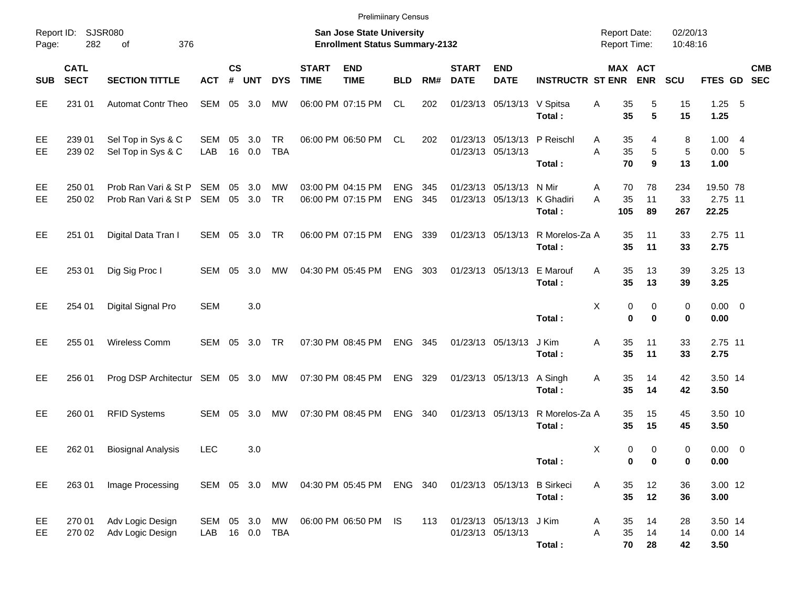|                     |                            |                                              |                   |                             |                        |                         |                             | <b>Prelimiinary Census</b>                                         |                          |            |                             |                                                        |                                            |                                            |                                |                           |                              |            |
|---------------------|----------------------------|----------------------------------------------|-------------------|-----------------------------|------------------------|-------------------------|-----------------------------|--------------------------------------------------------------------|--------------------------|------------|-----------------------------|--------------------------------------------------------|--------------------------------------------|--------------------------------------------|--------------------------------|---------------------------|------------------------------|------------|
| Report ID:<br>Page: | 282                        | SJSR080<br>376<br>οf                         |                   |                             |                        |                         |                             | San Jose State University<br><b>Enrollment Status Summary-2132</b> |                          |            |                             |                                                        |                                            | <b>Report Date:</b><br><b>Report Time:</b> |                                | 02/20/13<br>10:48:16      |                              |            |
| <b>SUB</b>          | <b>CATL</b><br><b>SECT</b> | <b>SECTION TITTLE</b>                        | <b>ACT</b>        | $\mathsf{cs}$<br>$\pmb{\#}$ | <b>UNT</b>             | <b>DYS</b>              | <b>START</b><br><b>TIME</b> | <b>END</b><br><b>TIME</b>                                          | <b>BLD</b>               | RM#        | <b>START</b><br><b>DATE</b> | <b>END</b><br><b>DATE</b>                              | <b>INSTRUCTR ST ENR</b>                    |                                            | MAX ACT<br><b>ENR</b>          | <b>SCU</b>                | FTES GD SEC                  | <b>CMB</b> |
| EE                  | 231 01                     | <b>Automat Contr Theo</b>                    | SEM               |                             | 05 3.0                 | MW                      |                             | 06:00 PM 07:15 PM                                                  | CL.                      | 202        |                             | 01/23/13 05/13/13 V Spitsa                             | Total:                                     | 35<br>Α<br>35                              | 5<br>5                         | 15<br>15                  | $1.25 - 5$<br>1.25           |            |
| EE<br>EE            | 239 01<br>239 02           | Sel Top in Sys & C<br>Sel Top in Sys & C     | SEM<br>LAB        | 05<br>16                    | 3.0<br>0.0             | <b>TR</b><br><b>TBA</b> |                             | 06:00 PM 06:50 PM                                                  | CL.                      | 202        |                             | 01/23/13 05/13/13 P Reischl<br>01/23/13 05/13/13       | Total:                                     | 35<br>A<br>35<br>A<br>70                   | 4<br>5<br>9                    | 8<br>$\overline{5}$<br>13 | 1.004<br>0.00 5<br>1.00      |            |
| EE<br>EE            | 250 01<br>250 02           | Prob Ran Vari & St P<br>Prob Ran Vari & St P | <b>SEM</b><br>SEM | 05                          | 3.0<br>05 3.0          | МW<br><b>TR</b>         |                             | 03:00 PM 04:15 PM<br>06:00 PM 07:15 PM                             | <b>ENG</b><br><b>ENG</b> | 345<br>345 |                             | 01/23/13 05/13/13 N Mir<br>01/23/13 05/13/13 K Ghadiri | Total:                                     | 70<br>Α<br>A<br>35<br>105                  | 78<br>11<br>89                 | 234<br>33<br>267          | 19.50 78<br>2.75 11<br>22.25 |            |
| EE                  | 251 01                     | Digital Data Tran I                          | SEM 05 3.0        |                             |                        | TR                      |                             | 06:00 PM 07:15 PM                                                  | ENG 339                  |            |                             |                                                        | 01/23/13 05/13/13 R Morelos-Za A<br>Total: | 35<br>35                                   | 11<br>11                       | 33<br>33                  | 2.75 11<br>2.75              |            |
| EE                  | 253 01                     | Dig Sig Proc I                               | SEM 05            |                             | 3.0                    | MW                      |                             | 04:30 PM 05:45 PM                                                  | <b>ENG</b>               | 303        |                             | 01/23/13 05/13/13 E Marouf                             | Total:                                     | 35<br>A<br>35                              | 13<br>13                       | 39<br>39                  | 3.25 13<br>3.25              |            |
| EE                  | 254 01                     | Digital Signal Pro                           | <b>SEM</b>        |                             | 3.0                    |                         |                             |                                                                    |                          |            |                             |                                                        | Total:                                     | X                                          | 0<br>0<br>$\bf{0}$<br>$\bf{0}$ | 0<br>0                    | $0.00 \t 0$<br>0.00          |            |
| EE                  | 255 01                     | Wireless Comm                                | SEM               |                             | 05 3.0                 | TR                      |                             | 07:30 PM 08:45 PM                                                  | <b>ENG</b>               | 345        |                             | 01/23/13 05/13/13                                      | J Kim<br>Total:                            | 35<br>Α<br>35                              | 11<br>11                       | 33<br>33                  | 2.75 11<br>2.75              |            |
| EE                  | 256 01                     | Prog DSP Architectur SEM 05 3.0              |                   |                             |                        | MW                      |                             | 07:30 PM 08:45 PM                                                  | <b>ENG</b>               | 329        |                             | 01/23/13 05/13/13                                      | A Singh<br>Total:                          | 35<br>Α<br>35                              | 14<br>14                       | 42<br>42                  | 3.50 14<br>3.50              |            |
| EE                  | 260 01                     | <b>RFID Systems</b>                          | SEM               | 05                          | 3.0                    | MW                      |                             | 07:30 PM 08:45 PM                                                  | <b>ENG</b>               | 340        |                             | 01/23/13 05/13/13                                      | R Morelos-Za A<br>Total:                   | 35<br>35                                   | 15<br>15                       | 45<br>45                  | 3.50 10<br>3.50              |            |
| EE                  | 262 01                     | <b>Biosignal Analysis</b>                    | <b>LEC</b>        |                             | 3.0                    |                         |                             |                                                                    |                          |            |                             |                                                        | Total:                                     | х                                          | 0<br>0<br>0<br>0               | 0<br>0                    | $0.00 \t 0$<br>0.00          |            |
| EE                  | 263 01                     | Image Processing                             |                   |                             |                        |                         |                             | SEM 05 3.0 MW 04:30 PM 05:45 PM                                    | ENG 340                  |            |                             | 01/23/13 05/13/13 B Sirkeci                            | Total:                                     | 35<br>Α<br>35                              | 12<br>12                       | 36<br>36                  | 3.00 12<br>3.00              |            |
| EE<br>EE            | 270 01<br>270 02           | Adv Logic Design<br>Adv Logic Design         | SEM<br>LAB        |                             | 05 3.0<br>16  0.0  TBA | MW                      |                             | 06:00 PM 06:50 PM                                                  | IS.                      | 113        |                             | 01/23/13 05/13/13 J Kim<br>01/23/13 05/13/13           | Total:                                     | 35<br>Α<br>35<br>Α<br>70                   | 14<br>14<br>28                 | 28<br>14<br>42            | 3.50 14<br>$0.00$ 14<br>3.50 |            |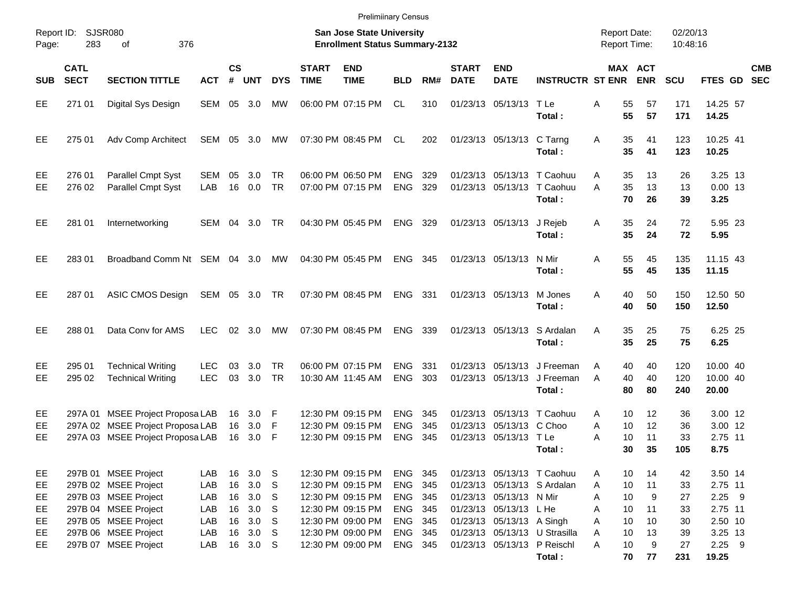|                                   |                            |                                                                                                                                              |                                        |                                  |                                                                  |                                                  |                             | <b>Prelimiinary Census</b>                                                                                                 |                                                                |                   |                             |                                                                                |                                                                                            |                                                                |                                 |                                  |                                                                 |            |
|-----------------------------------|----------------------------|----------------------------------------------------------------------------------------------------------------------------------------------|----------------------------------------|----------------------------------|------------------------------------------------------------------|--------------------------------------------------|-----------------------------|----------------------------------------------------------------------------------------------------------------------------|----------------------------------------------------------------|-------------------|-----------------------------|--------------------------------------------------------------------------------|--------------------------------------------------------------------------------------------|----------------------------------------------------------------|---------------------------------|----------------------------------|-----------------------------------------------------------------|------------|
| Report ID:<br>Page:               | 283                        | SJSR080<br>376<br>оf                                                                                                                         |                                        |                                  |                                                                  |                                                  |                             | <b>San Jose State University</b><br><b>Enrollment Status Summary-2132</b>                                                  |                                                                |                   |                             |                                                                                |                                                                                            | <b>Report Date:</b><br><b>Report Time:</b>                     |                                 | 02/20/13<br>10:48:16             |                                                                 |            |
| <b>SUB</b>                        | <b>CATL</b><br><b>SECT</b> | <b>SECTION TITTLE</b>                                                                                                                        | <b>ACT</b>                             | $\mathsf{cs}$<br>#               | <b>UNT</b>                                                       | <b>DYS</b>                                       | <b>START</b><br><b>TIME</b> | <b>END</b><br><b>TIME</b>                                                                                                  | <b>BLD</b>                                                     | RM#               | <b>START</b><br><b>DATE</b> | <b>END</b><br><b>DATE</b>                                                      | <b>INSTRUCTR ST ENR</b>                                                                    |                                                                | MAX ACT<br><b>ENR</b>           | <b>SCU</b>                       | FTES GD SEC                                                     | <b>CMB</b> |
| EE.                               | 271 01                     | Digital Sys Design                                                                                                                           | SEM                                    | 05                               | 3.0                                                              | MW                                               |                             | 06:00 PM 07:15 PM                                                                                                          | CL.                                                            | 310               |                             | 01/23/13 05/13/13 TLe                                                          | Total:                                                                                     | 55<br>Α<br>55                                                  | 57<br>57                        | 171<br>171                       | 14.25 57<br>14.25                                               |            |
| EE                                | 275 01                     | Adv Comp Architect                                                                                                                           | SEM                                    | 05                               | 3.0                                                              | MW                                               |                             | 07:30 PM 08:45 PM                                                                                                          | CL                                                             | 202               |                             | 01/23/13 05/13/13 C Tarng                                                      | Total:                                                                                     | 35<br>A<br>35                                                  | 41<br>41                        | 123<br>123                       | 10.25 41<br>10.25                                               |            |
| EE<br>EE                          | 276 01<br>276 02           | Parallel Cmpt Syst<br>Parallel Cmpt Syst                                                                                                     | <b>SEM</b><br>LAB                      | 05<br>16                         | 3.0<br>0.0                                                       | TR<br><b>TR</b>                                  |                             | 06:00 PM 06:50 PM<br>07:00 PM 07:15 PM                                                                                     | <b>ENG</b><br><b>ENG</b>                                       | 329<br>329        |                             |                                                                                | 01/23/13 05/13/13 T Caohuu<br>01/23/13 05/13/13 T Caohuu<br>Total:                         | 35<br>A<br>35<br>A<br>70                                       | 13<br>13<br>26                  | 26<br>13<br>39                   | 3.25 13<br>$0.00$ 13<br>3.25                                    |            |
| EE.                               | 281 01                     | Internetworking                                                                                                                              | SEM                                    | 04                               | 3.0                                                              | TR                                               |                             | 04:30 PM 05:45 PM                                                                                                          | ENG 329                                                        |                   |                             | 01/23/13 05/13/13                                                              | J Rejeb<br>Total:                                                                          | 35<br>Α<br>35                                                  | 24<br>24                        | 72<br>72                         | 5.95 23<br>5.95                                                 |            |
| EE                                | 283 01                     | Broadband Comm Nt SEM 04 3.0                                                                                                                 |                                        |                                  |                                                                  | МW                                               |                             | 04:30 PM 05:45 PM                                                                                                          | ENG 345                                                        |                   |                             | 01/23/13 05/13/13 N Mir                                                        | Total:                                                                                     | 55<br>Α<br>55                                                  | 45<br>45                        | 135<br>135                       | 11.15 43<br>11.15                                               |            |
| EE                                | 287 01                     | ASIC CMOS Design                                                                                                                             | SEM 05 3.0                             |                                  |                                                                  | TR                                               |                             | 07:30 PM 08:45 PM                                                                                                          | ENG 331                                                        |                   |                             | 01/23/13 05/13/13 M Jones                                                      | Total:                                                                                     | A<br>40<br>40                                                  | 50<br>50                        | 150<br>150                       | 12.50 50<br>12.50                                               |            |
| EE                                | 288 01                     | Data Cony for AMS                                                                                                                            | <b>LEC</b>                             |                                  | 02 3.0                                                           | MW                                               |                             | 07:30 PM 08:45 PM                                                                                                          | ENG 339                                                        |                   |                             |                                                                                | 01/23/13 05/13/13 S Ardalan<br>Total:                                                      | 35<br>A<br>35                                                  | 25<br>25                        | 75<br>75                         | 6.25 25<br>6.25                                                 |            |
| EE<br>EЕ                          | 295 01<br>295 02           | <b>Technical Writing</b><br><b>Technical Writing</b>                                                                                         | <b>LEC</b><br>LEC                      | 03<br>03                         | 3.0<br>3.0                                                       | TR<br><b>TR</b>                                  |                             | 06:00 PM 07:15 PM<br>10:30 AM 11:45 AM                                                                                     | <b>ENG</b><br><b>ENG</b>                                       | -331<br>303       |                             |                                                                                | 01/23/13 05/13/13 J Freeman<br>01/23/13 05/13/13 J Freeman<br>Total:                       | 40<br>A<br>40<br>A<br>80                                       | 40<br>40<br>80                  | 120<br>120<br>240                | 10.00 40<br>10.00 40<br>20.00                                   |            |
| EE<br>EE<br>EЕ                    |                            | 297A 01 MSEE Project Proposa LAB<br>297A 02 MSEE Project Proposa LAB<br>297A 03 MSEE Project Proposa LAB                                     |                                        | 16<br>16                         | 16 3.0<br>3.0<br>3.0                                             | – F<br>– F<br>-F                                 |                             | 12:30 PM 09:15 PM<br>12:30 PM 09:15 PM<br>12:30 PM 09:15 PM                                                                | <b>ENG</b><br><b>ENG</b><br><b>ENG</b>                         | 345<br>345<br>345 | 01/23/13                    | 05/13/13 C Choo<br>01/23/13 05/13/13 T Le                                      | 01/23/13 05/13/13 T Caohuu<br>Total :                                                      | 10<br>A<br>10<br>A<br>10<br>A<br>30                            | 12<br>12<br>11<br>35            | 36<br>36<br>33<br>105            | 3.00 12<br>3.00 12<br>2.75 11<br>8.75                           |            |
| EE.<br>EE<br>EE<br>EE<br>EE<br>EE |                            | 297B 01 MSEE Project<br>297B 02 MSEE Project<br>297B 03 MSEE Project<br>297B 04 MSEE Project<br>297B 05 MSEE Project<br>297B 06 MSEE Project | LAB<br>LAB<br>LAB<br>LAB<br>LAB<br>LAB | 16<br>16<br>16<br>16<br>16<br>16 | 3.0 <sub>5</sub><br>3.0<br>3.0<br>3.0<br>3.0<br>3.0 <sub>5</sub> | <b>S</b><br>$^{\circ}$ S<br><b>S</b><br><b>S</b> |                             | 12:30 PM 09:15 PM<br>12:30 PM 09:15 PM<br>12:30 PM 09:15 PM<br>12:30 PM 09:15 PM<br>12:30 PM 09:00 PM<br>12:30 PM 09:00 PM | ENG 345<br>ENG 345<br>ENG 345<br>ENG 345<br>ENG 345<br>ENG 345 |                   |                             | 01/23/13 05/13/13 N Mir<br>01/23/13 05/13/13 L He<br>01/23/13 05/13/13 A Singh | 01/23/13 05/13/13 T Caohuu<br>01/23/13 05/13/13 S Ardalan<br>01/23/13 05/13/13 U Strasilla | A<br>10<br>10<br>A<br>10<br>A<br>10<br>A<br>10<br>A<br>10<br>A | 14<br>11<br>9<br>11<br>10<br>13 | 42<br>33<br>27<br>33<br>30<br>39 | 3.50 14<br>2.75 11<br>$2.25$ 9<br>2.75 11<br>2.50 10<br>3.25 13 |            |
| EE.                               |                            | 297B 07 MSEE Project                                                                                                                         | LAB                                    | 16                               | 3.0 <sub>5</sub>                                                 |                                                  |                             | 12:30 PM 09:00 PM                                                                                                          | ENG 345                                                        |                   |                             |                                                                                | 01/23/13 05/13/13 P Reischl<br>Total:                                                      | 10<br>A<br>70                                                  | 9<br>77                         | 27<br>231                        | $2.25$ 9<br>19.25                                               |            |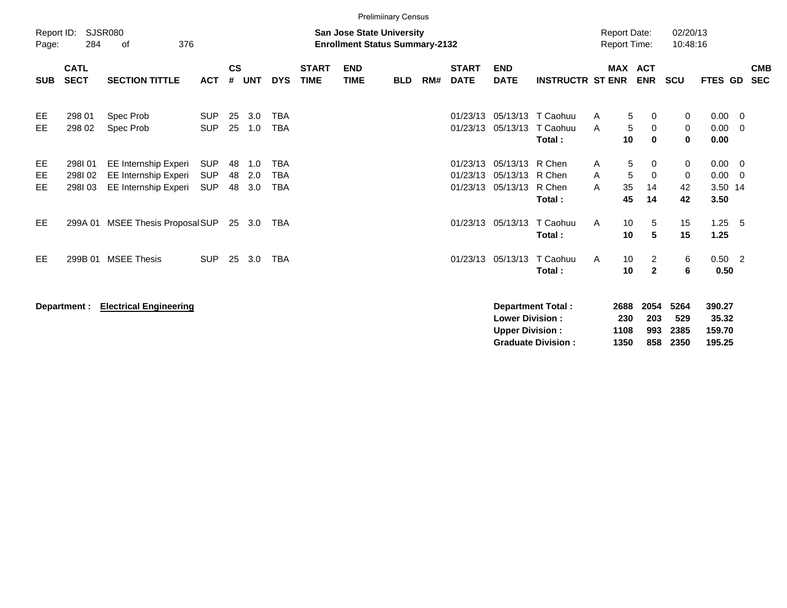| Report ID:<br>Page: | 284                        | <b>SJSR080</b><br>376<br>0f                                          |                          |                |                   |                                 |                             | <b>San Jose State University</b><br><b>Enrollment Status Summary-2132</b> |            |     |                                  |                                                       |                                         | <b>Report Date:</b><br><b>Report Time:</b> |                                            | 02/20/13<br>10:48:16         |                                               |                          |
|---------------------|----------------------------|----------------------------------------------------------------------|--------------------------|----------------|-------------------|---------------------------------|-----------------------------|---------------------------------------------------------------------------|------------|-----|----------------------------------|-------------------------------------------------------|-----------------------------------------|--------------------------------------------|--------------------------------------------|------------------------------|-----------------------------------------------|--------------------------|
| <b>SUB</b>          | <b>CATL</b><br><b>SECT</b> | <b>SECTION TITTLE</b>                                                | <b>ACT</b>               | $\mathsf{cs}$  | # UNT             | <b>DYS</b>                      | <b>START</b><br><b>TIME</b> | <b>END</b><br><b>TIME</b>                                                 | <b>BLD</b> | RM# | <b>START</b><br><b>DATE</b>      | <b>END</b><br><b>DATE</b>                             | <b>INSTRUCTR ST ENR</b>                 |                                            | MAX ACT<br><b>ENR</b>                      | <b>SCU</b>                   | FTES GD                                       | <b>CMB</b><br><b>SEC</b> |
| EE<br>EE            | 298 01<br>298 02           | Spec Prob<br>Spec Prob                                               | <b>SUP</b><br><b>SUP</b> | 25<br>25       | 3.0<br>1.0        | <b>TBA</b><br><b>TBA</b>        |                             |                                                                           |            |     | 01/23/13<br>01/23/13             | 05/13/13                                              | 05/13/13 T Caohuu<br>T Caohuu<br>Total: | A<br>A                                     | 5<br>0<br>5<br>0<br>10<br>$\bf{0}$         | 0<br>$\mathbf 0$<br>$\bf{0}$ | $0.00 \t 0$<br>$0.00 \t 0$<br>0.00            |                          |
| EE<br>EE<br>EE      | 298I01<br>298I02<br>298103 | EE Internship Experi<br>EE Internship Experi<br>EE Internship Experi | SUP<br><b>SUP</b><br>SUP | 48<br>48<br>48 | 1.0<br>2.0<br>3.0 | TBA<br><b>TBA</b><br><b>TBA</b> |                             |                                                                           |            |     | 01/23/13<br>01/23/13<br>01/23/13 | 05/13/13 R Chen<br>05/13/13 R Chen<br>05/13/13 R Chen | Total:                                  | A<br>A<br>A                                | 5<br>0<br>5<br>0<br>35<br>14<br>45<br>14   | 0<br>$\mathbf 0$<br>42<br>42 | $0.00 \t 0$<br>$0.00 \t 0$<br>3.50 14<br>3.50 |                          |
| EE                  |                            | 299A 01 MSEE Thesis Proposal SUP                                     |                          |                | 25 3.0            | TBA                             |                             |                                                                           |            |     | 01/23/13                         | 05/13/13                                              | T Caohuu<br>Total:                      | A                                          | 10<br>5<br>5<br>10                         | 15<br>15                     | $1.25 \quad 5$<br>1.25                        |                          |
| EE                  | 299B 01                    | <b>MSEE Thesis</b>                                                   | <b>SUP</b>               | -25            | 3.0               | <b>TBA</b>                      |                             |                                                                           |            |     | 01/23/13                         |                                                       | 05/13/13 T Caohuu<br>Total:             | A                                          | 10<br>$\overline{2}$<br>10<br>$\mathbf{2}$ | 6<br>6                       | $0.50$ 2<br>0.50                              |                          |
|                     | Department :               | <b>Electrical Engineering</b>                                        |                          |                |                   |                                 |                             |                                                                           |            |     |                                  |                                                       | <b>Department Total:</b>                | 2688                                       | 2054                                       | 5264                         | 390.27                                        |                          |

| Department Total:         |      |      | 2688 2054 5264 | - 390.27 |
|---------------------------|------|------|----------------|----------|
| <b>Lower Division:</b>    | 230  | -203 | -529           | 35.32    |
| <b>Upper Division:</b>    | 1108 |      | 993 2385       | 159.70   |
| <b>Graduate Division:</b> | 1350 |      | 858 2350       | 195.25   |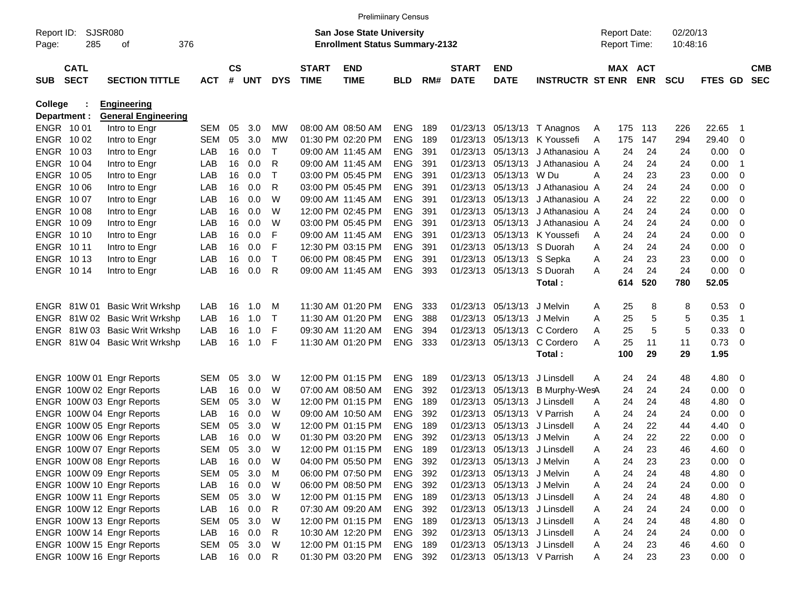|            |                  |                               |            |               |        |              |              | <b>Prelimiinary Census</b>            |            |     |              |                              |                         |   |                     |            |            |             |                          |            |
|------------|------------------|-------------------------------|------------|---------------|--------|--------------|--------------|---------------------------------------|------------|-----|--------------|------------------------------|-------------------------|---|---------------------|------------|------------|-------------|--------------------------|------------|
| Report ID: |                  | SJSR080                       |            |               |        |              |              | <b>San Jose State University</b>      |            |     |              |                              |                         |   | <b>Report Date:</b> |            | 02/20/13   |             |                          |            |
| Page:      | 285              | 376<br>οf                     |            |               |        |              |              | <b>Enrollment Status Summary-2132</b> |            |     |              |                              |                         |   | Report Time:        |            | 10:48:16   |             |                          |            |
|            | <b>CATL</b>      |                               |            | $\mathsf{cs}$ |        |              | <b>START</b> | <b>END</b>                            |            |     | <b>START</b> | <b>END</b>                   |                         |   | MAX ACT             |            |            |             |                          | <b>CMB</b> |
| <b>SUB</b> | <b>SECT</b>      | <b>SECTION TITTLE</b>         | <b>ACT</b> |               | # UNT  | <b>DYS</b>   | <b>TIME</b>  | <b>TIME</b>                           | <b>BLD</b> | RM# | <b>DATE</b>  | <b>DATE</b>                  | <b>INSTRUCTR ST ENR</b> |   |                     | <b>ENR</b> | <b>SCU</b> | FTES GD     |                          | <b>SEC</b> |
| College    |                  | <b>Engineering</b>            |            |               |        |              |              |                                       |            |     |              |                              |                         |   |                     |            |            |             |                          |            |
|            | Department :     | <b>General Engineering</b>    |            |               |        |              |              |                                       |            |     |              |                              |                         |   |                     |            |            |             |                          |            |
|            | ENGR 1001        | Intro to Engr                 | <b>SEM</b> | 05            | 3.0    | МW           |              | 08:00 AM 08:50 AM                     | <b>ENG</b> | 189 | 01/23/13     |                              | 05/13/13 T Anagnos      | A | 175                 | 113        | 226        | 22.65       | - 1                      |            |
|            | ENGR 1002        | Intro to Engr                 | <b>SEM</b> | 05            | 3.0    | МW           |              | 01:30 PM 02:20 PM                     | <b>ENG</b> | 189 | 01/23/13     |                              | 05/13/13 K Youssefi     | A | 175                 | 147        | 294        | 29.40       | - 0                      |            |
|            | ENGR 1003        | Intro to Engr                 | LAB        | 16            | 0.0    | т            |              | 09:00 AM 11:45 AM                     | <b>ENG</b> | 391 | 01/23/13     | 05/13/13                     | J Athanasiou A          |   | 24                  | 24         | 24         | 0.00        | - 0                      |            |
|            | ENGR 1004        | Intro to Engr                 | LAB        | 16            | 0.0    | R            |              | 09:00 AM 11:45 AM                     | <b>ENG</b> | 391 | 01/23/13     | 05/13/13                     | J Athanasiou A          |   | 24                  | 24         | 24         | 0.00        | - 1                      |            |
|            | ENGR 1005        | Intro to Engr                 | LAB        | 16            | 0.0    | т            |              | 03:00 PM 05:45 PM                     | <b>ENG</b> | 391 | 01/23/13     | 05/13/13 W Du                |                         | A | 24                  | 23         | 23         | 0.00        | - 0                      |            |
|            | <b>ENGR 1006</b> | Intro to Engr                 | LAB        | 16            | 0.0    | R            |              | 03:00 PM 05:45 PM                     | <b>ENG</b> | 391 | 01/23/13     | 05/13/13                     | J Athanasiou A          |   | 24                  | 24         | 24         | 0.00        | - 0                      |            |
|            | ENGR 1007        | Intro to Engr                 | LAB        | 16            | 0.0    | W            |              | 09:00 AM 11:45 AM                     | <b>ENG</b> | 391 | 01/23/13     | 05/13/13                     | J Athanasiou A          |   | 24                  | 22         | 22         | 0.00        | - 0                      |            |
|            | <b>ENGR 1008</b> | Intro to Engr                 | LAB        | 16            | 0.0    | W            |              | 12:00 PM 02:45 PM                     | <b>ENG</b> | 391 | 01/23/13     | 05/13/13                     | J Athanasiou A          |   | 24                  | 24         | 24         | 0.00        | - 0                      |            |
|            | ENGR 1009        | Intro to Engr                 | LAB        | 16            | 0.0    | W            |              | 03:00 PM 05:45 PM                     | <b>ENG</b> | 391 | 01/23/13     | 05/13/13                     | J Athanasiou A          |   | 24                  | 24         | 24         | 0.00        | - 0                      |            |
|            | <b>ENGR 1010</b> | Intro to Engr                 | LAB        | 16            | 0.0    | F            |              | 09:00 AM 11:45 AM                     | <b>ENG</b> | 391 | 01/23/13     |                              | 05/13/13 K Youssefi     | A | 24                  | 24         | 24         | 0.00        | - 0                      |            |
|            | ENGR 1011        | Intro to Engr                 | LAB        | 16            | 0.0    | F            |              | 12:30 PM 03:15 PM                     | <b>ENG</b> | 391 | 01/23/13     |                              | 05/13/13 S Duorah       | A | 24                  | 24         | 24         | 0.00        | - 0                      |            |
|            | <b>ENGR 1013</b> | Intro to Engr                 | LAB        | 16            | 0.0    | $\mathsf{T}$ |              | 06:00 PM 08:45 PM                     | <b>ENG</b> | 391 | 01/23/13     | 05/13/13 S Sepka             |                         | Α | 24                  | 23         | 23         | 0.00        | - 0                      |            |
|            | ENGR 1014        | Intro to Engr                 | LAB        | 16            | 0.0    | R            |              | 09:00 AM 11:45 AM                     | <b>ENG</b> | 393 |              | 01/23/13 05/13/13 S Duorah   |                         | A | 24                  | 24         | 24         | 0.00        | - 0                      |            |
|            |                  |                               |            |               |        |              |              |                                       |            |     |              |                              | Total:                  |   | 614                 | 520        | 780        | 52.05       |                          |            |
|            | ENGR 81W 01      | <b>Basic Writ Wrkshp</b>      | LAB        | 16            | 1.0    | M            |              | 11:30 AM 01:20 PM                     | <b>ENG</b> | 333 | 01/23/13     | 05/13/13                     | J Melvin                | A | 25                  | 8          | 8          | 0.53        | - 0                      |            |
|            |                  | ENGR 81W 02 Basic Writ Wrkshp | LAB        | 16            | 1.0    | $\mathsf T$  |              | 11:30 AM 01:20 PM                     | <b>ENG</b> | 388 | 01/23/13     | 05/13/13                     | J Melvin                | A | 25                  | 5          | 5          | 0.35        | - 1                      |            |
|            |                  | ENGR 81W 03 Basic Writ Wrkshp | LAB        | 16            | 1.0    | F            |              | 09:30 AM 11:20 AM                     | <b>ENG</b> | 394 | 01/23/13     | 05/13/13                     | C Cordero               | A | 25                  | 5          | 5          | 0.33        | - 0                      |            |
|            |                  | ENGR 81W 04 Basic Writ Wrkshp | LAB        | 16            | 1.0    | F            |              | 11:30 AM 01:20 PM                     | <b>ENG</b> | 333 |              | 01/23/13 05/13/13            | C Cordero               | A | 25                  | 11         | 11         | 0.73        | - 0                      |            |
|            |                  |                               |            |               |        |              |              |                                       |            |     |              |                              | Total:                  |   | 100                 | 29         | 29         | 1.95        |                          |            |
|            |                  | ENGR 100W 01 Engr Reports     | SEM        | 05            | 3.0    | W            |              | 12:00 PM 01:15 PM                     | <b>ENG</b> | 189 | 01/23/13     | 05/13/13                     | J Linsdell              | A | 24                  | 24         | 48         | 4.80        | $\overline{\phantom{0}}$ |            |
|            |                  | ENGR 100W 02 Engr Reports     | LAB        | 16            | 0.0    | W            |              | 07:00 AM 08:50 AM                     | <b>ENG</b> | 392 | 01/23/13     | 05/13/13                     | B Murphy-WesA           |   | 24                  | 24         | 24         | 0.00        | - 0                      |            |
|            |                  | ENGR 100W 03 Engr Reports     | <b>SEM</b> | 05            | 3.0    | W            |              | 12:00 PM 01:15 PM                     | <b>ENG</b> | 189 | 01/23/13     | 05/13/13                     | J Linsdell              | A | 24                  | 24         | 48         | 4.80        | 0                        |            |
|            |                  | ENGR 100W 04 Engr Reports     | LAB        | 16            | 0.0    | W            |              | 09:00 AM 10:50 AM                     | <b>ENG</b> | 392 | 01/23/13     |                              | 05/13/13 V Parrish      | Α | 24                  | 24         | 24         | 0.00        | 0                        |            |
|            |                  | ENGR 100W 05 Engr Reports     | <b>SEM</b> | 05            | 3.0    | W            |              | 12:00 PM 01:15 PM                     | <b>ENG</b> | 189 | 01/23/13     | 05/13/13                     | J Linsdell              | Α | 24                  | 22         | 44         | 4.40        | 0                        |            |
|            |                  | ENGR 100W 06 Engr Reports     | LAB        | 16            | 0.0    | W            |              | 01:30 PM 03:20 PM                     | <b>ENG</b> | 392 | 01/23/13     | 05/13/13                     | J Melvin                | A | 24                  | 22         | 22         | 0.00        | $\overline{\mathbf{0}}$  |            |
|            |                  | ENGR 100W 07 Engr Reports     | <b>SEM</b> | 05            | 3.0    | W            |              | 12:00 PM 01:15 PM                     | <b>ENG</b> | 189 |              | 01/23/13 05/13/13 J Linsdell |                         | A | 24                  | 23         | 46         | 4.60        | - 0                      |            |
|            |                  | ENGR 100W 08 Engr Reports     | LAB        | 16            | 0.0    | W            |              | 04:00 PM 05:50 PM                     | <b>ENG</b> | 392 |              | 01/23/13 05/13/13 J Melvin   |                         | A | 24                  | 23         | 23         | 0.00        | $\overline{\mathbf{0}}$  |            |
|            |                  | ENGR 100W 09 Engr Reports     | SEM        | 05            | 3.0    | M            |              | 06:00 PM 07:50 PM                     | ENG        | 392 |              | 01/23/13 05/13/13 J Melvin   |                         | A | 24                  | 24         | 48         | 4.80        | $\overline{\phantom{0}}$ |            |
|            |                  | ENGR 100W 10 Engr Reports     | LAB        |               | 16 0.0 | W            |              | 06:00 PM 08:50 PM                     | ENG        | 392 |              | 01/23/13 05/13/13 J Melvin   |                         | Α | 24                  | 24         | 24         | $0.00 \t 0$ |                          |            |
|            |                  | ENGR 100W 11 Engr Reports     | SEM        | 05            | 3.0    | W            |              | 12:00 PM 01:15 PM                     | ENG        | 189 |              | 01/23/13 05/13/13 J Linsdell |                         | Α | 24                  | 24         | 48         | 4.80 0      |                          |            |
|            |                  | ENGR 100W 12 Engr Reports     | LAB        | 16            | 0.0    | R            |              | 07:30 AM 09:20 AM                     | ENG        | 392 |              | 01/23/13 05/13/13 J Linsdell |                         | Α | 24                  | 24         | 24         | $0.00 \t 0$ |                          |            |
|            |                  | ENGR 100W 13 Engr Reports     | SEM        | 05            | 3.0    | W            |              | 12:00 PM 01:15 PM                     | ENG        | 189 |              | 01/23/13 05/13/13 J Linsdell |                         | Α | 24                  | 24         | 48         | 4.80 0      |                          |            |
|            |                  | ENGR 100W 14 Engr Reports     | LAB        |               | 16 0.0 | R            |              | 10:30 AM 12:20 PM                     | ENG        | 392 |              | 01/23/13 05/13/13 J Linsdell |                         | Α | 24                  | 24         | 24         | $0.00 \t 0$ |                          |            |
|            |                  | ENGR 100W 15 Engr Reports     | SEM        |               | 05 3.0 | W            |              | 12:00 PM 01:15 PM                     | ENG 189    |     |              | 01/23/13 05/13/13 J Linsdell |                         | Α | 24                  | 23         | 46         | 4.60 0      |                          |            |
|            |                  | ENGR 100W 16 Engr Reports     | LAB        |               | 16 0.0 | R            |              | 01:30 PM 03:20 PM                     | ENG 392    |     |              | 01/23/13 05/13/13 V Parrish  |                         | A | 24                  | 23         | 23         | $0.00 \t 0$ |                          |            |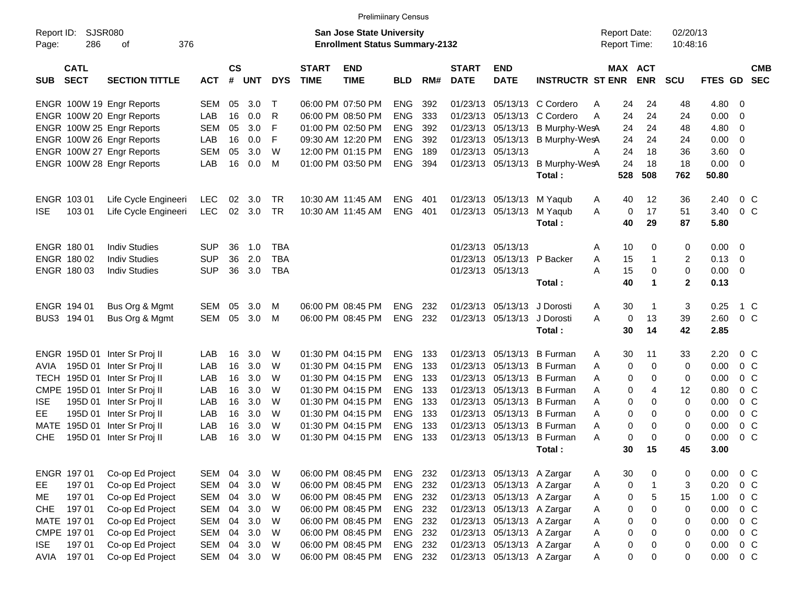|                     |                            |                                                           |              |                    |            |              |                             | <b>Prelimiinary Census</b>                                                |            |              |                             |                            |                             |                                            |                      |                      |              |                          |            |
|---------------------|----------------------------|-----------------------------------------------------------|--------------|--------------------|------------|--------------|-----------------------------|---------------------------------------------------------------------------|------------|--------------|-----------------------------|----------------------------|-----------------------------|--------------------------------------------|----------------------|----------------------|--------------|--------------------------|------------|
| Report ID:<br>Page: | 286                        | SJSR080<br>376<br>οf                                      |              |                    |            |              |                             | <b>San Jose State University</b><br><b>Enrollment Status Summary-2132</b> |            |              |                             |                            |                             | <b>Report Date:</b><br><b>Report Time:</b> |                      | 02/20/13<br>10:48:16 |              |                          |            |
| <b>SUB</b>          | <b>CATL</b><br><b>SECT</b> | <b>SECTION TITTLE</b>                                     | <b>ACT</b>   | $\mathsf{cs}$<br># | <b>UNT</b> | <b>DYS</b>   | <b>START</b><br><b>TIME</b> | <b>END</b><br><b>TIME</b>                                                 | <b>BLD</b> | RM#          | <b>START</b><br><b>DATE</b> | <b>END</b><br><b>DATE</b>  | <b>INSTRUCTR ST ENR</b>     | MAX ACT                                    | <b>ENR</b>           | <b>SCU</b>           | FTES GD SEC  |                          | <b>CMB</b> |
|                     |                            | ENGR 100W 19 Engr Reports                                 | SEM          | 05                 | 3.0        | $\mathsf{T}$ |                             | 06:00 PM 07:50 PM                                                         | <b>ENG</b> | 392          |                             |                            | 01/23/13 05/13/13 C Cordero | 24<br>A                                    | 24                   | 48                   | 4.80         | - 0                      |            |
|                     |                            | ENGR 100W 20 Engr Reports                                 | LAB          | 16                 | 0.0        | R            |                             | 06:00 PM 08:50 PM                                                         | <b>ENG</b> | 333          |                             |                            | 01/23/13 05/13/13 C Cordero | 24<br>A                                    | 24                   | 24                   | 0.00         | - 0                      |            |
|                     |                            | ENGR 100W 25 Engr Reports                                 | <b>SEM</b>   | 05                 | 3.0        | F            |                             | 01:00 PM 02:50 PM                                                         | <b>ENG</b> | 392          |                             | 01/23/13 05/13/13          | B Murphy-WesA               | 24                                         | 24                   | 48                   | 4.80         | - 0                      |            |
|                     |                            | ENGR 100W 26 Engr Reports                                 | LAB          | 16                 | 0.0        | F            |                             | 09:30 AM 12:20 PM                                                         | <b>ENG</b> | 392          |                             | 01/23/13 05/13/13          | B Murphy-WesA               | 24                                         | 24                   | 24                   | 0.00         | - 0                      |            |
|                     |                            | ENGR 100W 27 Engr Reports                                 | <b>SEM</b>   | 05                 | 3.0        | W            |                             | 12:00 PM 01:15 PM                                                         | <b>ENG</b> | 189          |                             | 01/23/13 05/13/13          |                             | 24<br>A                                    | 18                   | 36                   | 3.60         | - 0                      |            |
|                     |                            | ENGR 100W 28 Engr Reports                                 | LAB          | 16                 | 0.0        | M            |                             | 01:00 PM 03:50 PM                                                         | <b>ENG</b> | 394          |                             | 01/23/13 05/13/13          | B Murphy-WesA               | 24                                         | 18                   | 18                   | 0.00         | - 0                      |            |
|                     |                            |                                                           |              |                    |            |              |                             |                                                                           |            |              |                             |                            | Total:                      | 528                                        | 508                  | 762                  | 50.80        |                          |            |
|                     | ENGR 103 01                | Life Cycle Engineeri                                      | <b>LEC</b>   | 02                 | 3.0        | TR           |                             | 10:30 AM 11:45 AM                                                         | <b>ENG</b> | 401          |                             | 01/23/13 05/13/13          | M Yaqub                     | 40<br>A                                    | 12                   | 36                   | 2.40         | 0 <sup>C</sup>           |            |
| <b>ISE</b>          | 103 01                     | Life Cycle Engineeri                                      | <b>LEC</b>   | 02                 | 3.0        | TR           |                             | 10:30 AM 11:45 AM                                                         | <b>ENG</b> | 401          |                             | 01/23/13 05/13/13          | M Yaqub                     | 0<br>A                                     | 17                   | 51                   | 3.40         | 0 <sup>C</sup>           |            |
|                     |                            |                                                           |              |                    |            |              |                             |                                                                           |            |              |                             |                            | Total:                      | 40                                         | 29                   | 87                   | 5.80         |                          |            |
|                     | ENGR 180 01                | <b>Indiv Studies</b>                                      | <b>SUP</b>   | 36                 | 1.0        | <b>TBA</b>   |                             |                                                                           |            |              |                             | 01/23/13 05/13/13          |                             | 10<br>A                                    | 0                    | 0                    | $0.00 \t 0$  |                          |            |
|                     | ENGR 180 02                | <b>Indiv Studies</b>                                      | <b>SUP</b>   | 36                 | 2.0        | <b>TBA</b>   |                             |                                                                           |            |              |                             | 01/23/13 05/13/13 P Backer |                             | 15<br>A                                    | 1                    | $\overline{2}$       | 0.13         | $\overline{\phantom{0}}$ |            |
|                     | ENGR 180 03                | <b>Indiv Studies</b>                                      | <b>SUP</b>   | 36                 | 3.0        | <b>TBA</b>   |                             |                                                                           |            |              |                             | 01/23/13 05/13/13          |                             | 15<br>A                                    | 0                    | $\pmb{0}$            | $0.00 \t 0$  |                          |            |
|                     |                            |                                                           |              |                    |            |              |                             |                                                                           |            |              |                             |                            | Total:                      | 40                                         | $\blacktriangleleft$ | $\mathbf{2}$         | 0.13         |                          |            |
|                     | ENGR 194 01                | Bus Org & Mgmt                                            | SEM          | 05                 | 3.0        | M            |                             | 06:00 PM 08:45 PM                                                         | <b>ENG</b> | 232          |                             | 01/23/13 05/13/13          | J Dorosti                   | 30<br>A                                    | $\mathbf 1$          | 3                    | 0.25         | 1 C                      |            |
|                     | BUS3 194 01                | Bus Org & Mgmt                                            | SEM          | 05                 | 3.0        | M            |                             | 06:00 PM 08:45 PM                                                         | <b>ENG</b> | 232          |                             | 01/23/13 05/13/13          | J Dorosti                   | 0<br>A                                     | 13                   | 39                   | 2.60         | 0 <sup>C</sup>           |            |
|                     |                            |                                                           |              |                    |            |              |                             |                                                                           |            |              |                             |                            | Total:                      | 30                                         | 14                   | 42                   | 2.85         |                          |            |
|                     |                            |                                                           |              |                    | 3.0        |              |                             | 01:30 PM 04:15 PM                                                         | <b>ENG</b> |              |                             | 01/23/13 05/13/13          | <b>B</b> Furman             |                                            |                      |                      |              | $0\,C$                   |            |
|                     |                            | ENGR 195D 01 Inter Sr Proj II                             | LAB<br>LAB   | 16<br>16           | 3.0        | W<br>W       |                             | 01:30 PM 04:15 PM                                                         | <b>ENG</b> | - 133<br>133 |                             | 01/23/13 05/13/13          | B Furman                    | 30<br>A<br>0                               | 11<br>0              | 33<br>0              | 2.20<br>0.00 | 0 <sup>C</sup>           |            |
| AVIA                |                            | 195D 01 Inter Sr Proj II<br>TECH 195D 01 Inter Sr Proj II | LAB          | 16                 | 3.0        | W            |                             | 01:30 PM 04:15 PM                                                         | <b>ENG</b> | 133          |                             |                            | 01/23/13 05/13/13 B Furman  | A<br>0<br>A                                | 0                    | 0                    | 0.00         | 0 <sup>C</sup>           |            |
|                     |                            | CMPE 195D 01 Inter Sr Proj II                             | LAB          | 16                 | 3.0        | W            |                             | 01:30 PM 04:15 PM                                                         | <b>ENG</b> | 133          |                             |                            | 01/23/13 05/13/13 B Furman  | 0<br>A                                     | 4                    | 12                   | 0.80         | $0\,C$                   |            |
| <b>ISE</b>          |                            | 195D 01 Inter Sr Proj II                                  | LAB          | 16                 | 3.0        | W            |                             | 01:30 PM 04:15 PM                                                         | <b>ENG</b> | 133          |                             |                            | 01/23/13 05/13/13 B Furman  | 0<br>A                                     | 0                    | 0                    | 0.00         | 0 <sup>C</sup>           |            |
| EE                  |                            | 195D 01 Inter Sr Proj II                                  | LAB          | 16                 | 3.0        | W            |                             | 01:30 PM 04:15 PM                                                         | <b>ENG</b> | 133          |                             |                            | 01/23/13 05/13/13 B Furman  | 0<br>A                                     | 0                    | 0                    | 0.00         | 0 <sup>C</sup>           |            |
| MATE                |                            | 195D 01 Inter Sr Proj II                                  | LAB          | 16                 | 3.0        | W            |                             | 01:30 PM 04:15 PM                                                         | <b>ENG</b> | 133          |                             |                            | 01/23/13 05/13/13 B Furman  | 0<br>A                                     | 0                    | 0                    | 0.00         | 0 <sup>C</sup>           |            |
| <b>CHE</b>          |                            | 195D 01 Inter Sr Proj II                                  | LAB          | 16                 | 3.0        | W            |                             | 01:30 PM 04:15 PM                                                         | <b>ENG</b> | 133          |                             | 01/23/13 05/13/13          | <b>B</b> Furman             | 0<br>A                                     | 0                    | 0                    | 0.00         | 0 <sup>C</sup>           |            |
|                     |                            |                                                           |              |                    |            |              |                             |                                                                           |            |              |                             |                            | Total:                      | 30                                         | 15                   | 45                   | 3.00         |                          |            |
|                     |                            |                                                           |              |                    |            |              |                             |                                                                           |            |              |                             |                            |                             |                                            |                      |                      |              |                          |            |
|                     | ENGR 197 01                | Co-op Ed Project                                          | SEM          | 04                 | 3.0        | W            |                             | 06:00 PM 08:45 PM                                                         | ENG 232    |              |                             | 01/23/13 05/13/13 A Zargar |                             | 30<br>A                                    | 0                    | 0                    | 0.00         | 0 <sup>C</sup>           |            |
| EE                  | 197 01                     | Co-op Ed Project                                          | SEM          | 04                 | 3.0        | W            |                             | 06:00 PM 08:45 PM                                                         | ENG 232    |              |                             | 01/23/13 05/13/13 A Zargar |                             | 0<br>A                                     | $\mathbf 1$          | 3                    | 0.20         | 0 <sup>C</sup>           |            |
| ME                  | 197 01                     | Co-op Ed Project                                          | SEM          | 04                 | 3.0        | W            |                             | 06:00 PM 08:45 PM                                                         | ENG 232    |              |                             | 01/23/13 05/13/13 A Zargar |                             | 0<br>A                                     | 5                    | 15                   | 1.00         | $0\,C$                   |            |
| <b>CHE</b>          | 19701                      | Co-op Ed Project                                          | SEM          | 04                 | 3.0        | W            |                             | 06:00 PM 08:45 PM                                                         | ENG 232    |              |                             | 01/23/13 05/13/13 A Zargar |                             | 0<br>A                                     | 0                    | 0                    | 0.00         | 0 <sup>C</sup>           |            |
|                     | MATE 197 01                | Co-op Ed Project                                          | SEM          | 04                 | 3.0        | W            |                             | 06:00 PM 08:45 PM                                                         | ENG 232    |              |                             | 01/23/13 05/13/13 A Zargar |                             | 0<br>A                                     | 0                    | 0                    | 0.00         | 0 <sup>C</sup>           |            |
|                     | CMPE 197 01                | Co-op Ed Project                                          | SEM          | 04                 | 3.0        | W            |                             | 06:00 PM 08:45 PM                                                         | ENG 232    |              |                             | 01/23/13 05/13/13 A Zargar |                             | $\pmb{0}$<br>A                             | 0                    | 0                    | 0.00         | 0 <sup>C</sup>           |            |
| <b>ISE</b>          | 197 01                     | Co-op Ed Project                                          | SEM          | 04                 | 3.0        | W            |                             | 06:00 PM 08:45 PM                                                         | ENG 232    |              |                             | 01/23/13 05/13/13 A Zargar |                             | 0<br>A                                     | 0                    | 0                    | 0.00         | $0\,C$                   |            |
| AVIA                | 19701                      | Co-op Ed Project                                          | SEM 04 3.0 W |                    |            |              |                             | 06:00 PM 08:45 PM                                                         | ENG 232    |              |                             | 01/23/13 05/13/13 A Zargar |                             | $\pmb{0}$<br>A                             | 0                    | 0                    | 0.00         | $0\,C$                   |            |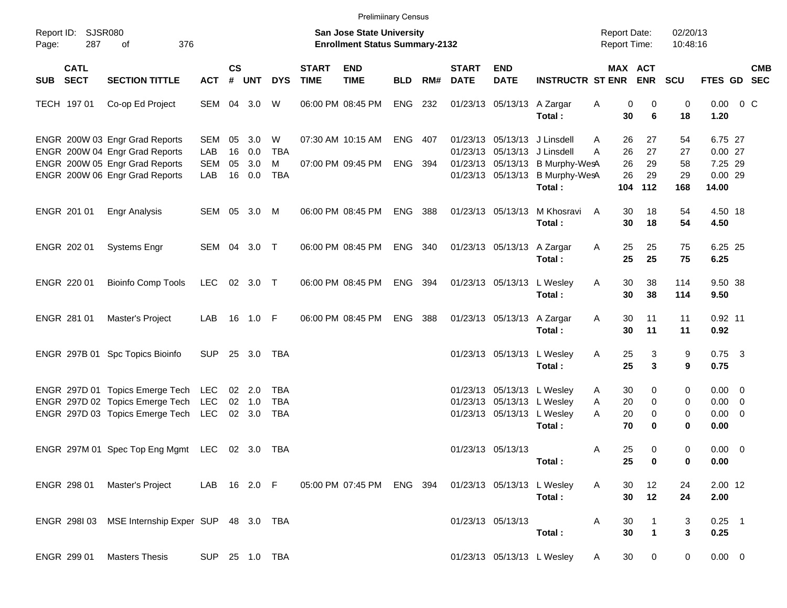|       |                            |                                                                    |                          |                    |                  |                   |                             | <b>Prelimiinary Census</b>                                         |            |       |                             |                           |                                                                              |                                            |                                        |                      |                                    |            |
|-------|----------------------------|--------------------------------------------------------------------|--------------------------|--------------------|------------------|-------------------|-----------------------------|--------------------------------------------------------------------|------------|-------|-----------------------------|---------------------------|------------------------------------------------------------------------------|--------------------------------------------|----------------------------------------|----------------------|------------------------------------|------------|
| Page: | Report ID: SJSR080<br>287  | 376<br>of                                                          |                          |                    |                  |                   |                             | San Jose State University<br><b>Enrollment Status Summary-2132</b> |            |       |                             |                           |                                                                              | <b>Report Date:</b><br><b>Report Time:</b> |                                        | 02/20/13<br>10:48:16 |                                    |            |
| SUB   | <b>CATL</b><br><b>SECT</b> | <b>SECTION TITTLE</b>                                              | <b>ACT</b>               | $\mathsf{cs}$<br># | <b>UNT</b>       | <b>DYS</b>        | <b>START</b><br><b>TIME</b> | <b>END</b><br><b>TIME</b>                                          | <b>BLD</b> | RM#   | <b>START</b><br><b>DATE</b> | <b>END</b><br><b>DATE</b> | <b>INSTRUCTR ST ENR</b>                                                      |                                            | MAX ACT<br><b>ENR</b>                  | <b>SCU</b>           | FTES GD SEC                        | <b>CMB</b> |
|       | TECH 197 01                | Co-op Ed Project                                                   | SEM 04 3.0               |                    |                  | W                 |                             | 06:00 PM 08:45 PM                                                  | ENG 232    |       |                             | 01/23/13 05/13/13         | A Zargar<br>Total:                                                           | Α<br>30                                    | 0<br>0<br>6                            | 0<br>18              | $0.00 \t 0 C$<br>1.20              |            |
|       |                            | ENGR 200W 03 Engr Grad Reports<br>ENGR 200W 04 Engr Grad Reports   | <b>SEM</b><br>LAB        | 05<br>16           | 3.0<br>0.0       | W<br><b>TBA</b>   |                             | 07:30 AM 10:15 AM                                                  | ENG 407    |       |                             |                           | 01/23/13 05/13/13 J Linsdell<br>01/23/13 05/13/13 J Linsdell                 | 26<br>A<br>26<br>A                         | 27<br>27                               | 54<br>27             | 6.75 27<br>0.0027                  |            |
|       |                            | ENGR 200W 05 Engr Grad Reports<br>ENGR 200W 06 Engr Grad Reports   | <b>SEM</b><br>LAB        | 05                 | 3.0<br>16 0.0    | м<br><b>TBA</b>   |                             | 07:00 PM 09:45 PM                                                  | <b>ENG</b> | - 394 |                             |                           | 01/23/13 05/13/13 B Murphy-WesA<br>01/23/13 05/13/13 B Murphy-WesA<br>Total: | 26<br>26<br>104                            | 29<br>29<br>112                        | 58<br>29<br>168      | 7.25 29<br>0.0029<br>14.00         |            |
|       | ENGR 201 01                | <b>Engr Analysis</b>                                               | SEM 05 3.0               |                    |                  | M                 |                             | 06:00 PM 08:45 PM                                                  | ENG        | - 388 |                             | 01/23/13 05/13/13         | M Khosravi<br>Total:                                                         | 30<br>A<br>30                              | 18<br>18                               | 54<br>54             | 4.50 18<br>4.50                    |            |
|       | ENGR 202 01                | <b>Systems Engr</b>                                                | SEM 04 3.0 T             |                    |                  |                   |                             | 06:00 PM 08:45 PM                                                  | ENG 340    |       |                             | 01/23/13 05/13/13         | A Zargar<br>Total:                                                           | 25<br>Α<br>25                              | 25<br>25                               | 75<br>75             | 6.25 25<br>6.25                    |            |
|       | ENGR 220 01                | <b>Bioinfo Comp Tools</b>                                          | <b>LEC</b>               |                    | 02 3.0 T         |                   |                             | 06:00 PM 08:45 PM                                                  | ENG        | - 394 |                             | 01/23/13 05/13/13         | L Wesley                                                                     | 30<br>Α<br>30                              | 38<br>38                               | 114<br>114           | 9.50 38<br>9.50                    |            |
|       | ENGR 281 01                | Master's Project                                                   | LAB                      |                    | 16 1.0 F         |                   |                             | 06:00 PM 08:45 PM                                                  | <b>ENG</b> | 388   |                             | 01/23/13 05/13/13         | Total:<br>A Zargar                                                           | 30<br>Α                                    | 11                                     | 11                   | $0.92$ 11                          |            |
|       |                            | ENGR 297B 01 Spc Topics Bioinfo                                    | <b>SUP</b>               |                    | 25 3.0           | TBA               |                             |                                                                    |            |       |                             | 01/23/13 05/13/13         | Total:<br>L Wesley                                                           | 30<br>25<br>Α                              | 11<br>3                                | 11<br>9              | 0.92<br>$0.75$ 3                   |            |
|       |                            | ENGR 297D 01 Topics Emerge Tech                                    | LEC                      |                    | 02 2.0           | TBA               |                             |                                                                    |            |       |                             |                           | Total:<br>01/23/13 05/13/13 L Wesley                                         | 25<br>30<br>A                              | $\mathbf{3}$<br>0                      | 9<br>0               | 0.75<br>$0.00 \t 0$                |            |
|       |                            | ENGR 297D 02 Topics Emerge Tech<br>ENGR 297D 03 Topics Emerge Tech | <b>LEC</b><br><b>LEC</b> |                    | 02 1.0<br>02 3.0 | <b>TBA</b><br>TBA |                             |                                                                    |            |       |                             |                           | 01/23/13 05/13/13 L Wesley<br>01/23/13 05/13/13 L Wesley<br>Total:           | 20<br>A<br>A<br>20<br>70                   | $\mathbf 0$<br>0<br>0                  | 0<br>0<br>0          | $0.00 \t 0$<br>$0.00 \t 0$<br>0.00 |            |
|       |                            | ENGR 297M 01 Spec Top Eng Mgmt LEC 02 3.0 TBA                      |                          |                    |                  |                   |                             |                                                                    |            |       |                             | 01/23/13 05/13/13         | Total:                                                                       | 25<br>Α<br>25                              | $\mathbf 0$<br>$\overline{\mathbf{0}}$ | 0<br>0               | $0.00 \t 0$<br>0.00                |            |
|       |                            | ENGR 298 01 Master's Project                                       |                          |                    |                  | LAB 16 2.0 F      |                             | 05:00 PM 07:45 PM ENG 394                                          |            |       |                             |                           | 01/23/13 05/13/13 L Wesley<br>Total:                                         | A<br>30<br>30                              | 12<br>12                               | 24<br>24             | 2.00 12<br>2.00                    |            |
|       |                            | ENGR 298I 03 MSE Internship Exper SUP 48 3.0 TBA                   |                          |                    |                  |                   |                             |                                                                    |            |       |                             | 01/23/13 05/13/13         | Total:                                                                       | 30<br>Α<br>30                              | 1<br>$\mathbf{1}$                      | 3<br>$\mathbf{3}$    | $0.25$ 1<br>0.25                   |            |
|       | ENGR 299 01                | <b>Masters Thesis</b>                                              | SUP 25 1.0 TBA           |                    |                  |                   |                             |                                                                    |            |       |                             |                           | 01/23/13 05/13/13 L Wesley                                                   | 30<br>A                                    | 0                                      | 0                    | $0.00 \t 0$                        |            |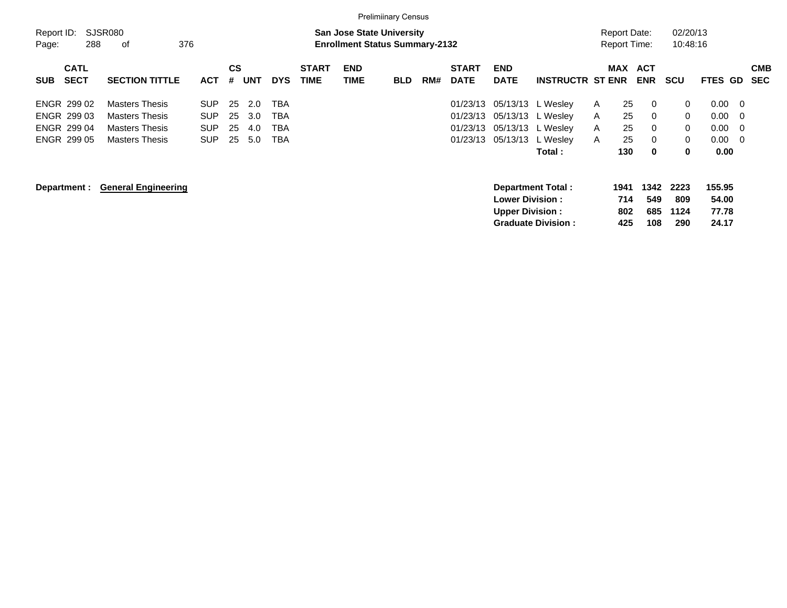|            |                                                                                                           |                            |            |           |            |            |              |            | <b>Prelimiinary Census</b> |     |              |                        |                           |              |                     |             |              |                 |            |
|------------|-----------------------------------------------------------------------------------------------------------|----------------------------|------------|-----------|------------|------------|--------------|------------|----------------------------|-----|--------------|------------------------|---------------------------|--------------|---------------------|-------------|--------------|-----------------|------------|
| Report ID: | <b>SJSR080</b><br><b>San Jose State University</b><br>288<br>376<br><b>Enrollment Status Summary-2132</b> |                            |            |           |            |            |              |            |                            |     |              |                        |                           |              | <b>Report Date:</b> |             | 02/20/13     |                 |            |
| Page:      |                                                                                                           | οf                         |            |           |            |            |              |            |                            |     |              |                        |                           |              | <b>Report Time:</b> |             | 10:48:16     |                 |            |
|            | <b>CATL</b>                                                                                               |                            |            | <b>CS</b> |            |            | <b>START</b> | <b>END</b> |                            |     | <b>START</b> | <b>END</b>             |                           |              | <b>MAX</b>          | <b>ACT</b>  |              |                 | <b>CMB</b> |
| <b>SUB</b> | <b>SECT</b>                                                                                               | <b>SECTION TITTLE</b>      | <b>ACT</b> | #         | <b>UNT</b> | <b>DYS</b> | <b>TIME</b>  | TIME       | <b>BLD</b>                 | RM# | <b>DATE</b>  | <b>DATE</b>            | <b>INSTRUCTR ST ENR</b>   |              |                     | <b>ENR</b>  | <b>SCU</b>   | <b>FTES GD</b>  | <b>SEC</b> |
|            | <b>ENGR 299 02</b>                                                                                        | <b>Masters Thesis</b>      | SUP.       | 25        | 2.0        | <b>TBA</b> |              |            |                            |     | 01/23/13     |                        | 05/13/13 L Wesley         | $\mathsf{A}$ | 25                  | 0           | $\mathbf{0}$ | 0.00            | - 0        |
|            | ENGR 299 03                                                                                               | <b>Masters Thesis</b>      | <b>SUP</b> | 25        | 3.0        | <b>TBA</b> |              |            |                            |     | 01/23/13     |                        | 05/13/13 L Wesley         | A            | 25                  | 0           | $\mathbf{0}$ | 0.00            | - 0        |
|            | ENGR 299 04                                                                                               | <b>Masters Thesis</b>      | SUP.       | 25        | 4.0        | <b>TBA</b> |              |            |                            |     | 01/23/13     |                        | 05/13/13 L Wesley         | A            | 25                  | 0           | $\mathbf{0}$ | $0.00\,$        | - 0        |
|            | ENGR 299 05                                                                                               | <b>Masters Thesis</b>      | <b>SUP</b> | 25        | 5.0        | TBA        |              |            |                            |     | 01/23/13     |                        | 05/13/13 L Wesley         | A            | 25                  | 0           | $\mathbf{0}$ | 0.00            | - 0        |
|            |                                                                                                           |                            |            |           |            |            |              |            |                            |     |              |                        | Total :                   |              | 130                 | 0           | $\bf{0}$     | 0.00            |            |
|            | Department :                                                                                              | <b>General Engineering</b> |            |           |            |            |              |            |                            |     |              | <b>Lower Division:</b> | <b>Department Total:</b>  |              | 1941<br>714         | 1342<br>549 | 2223<br>809  | 155.95<br>54.00 |            |
|            |                                                                                                           |                            |            |           |            |            |              |            |                            |     |              | <b>Upper Division:</b> | <b>Graduate Division:</b> |              | 802<br>425          | 685<br>108  | 1124<br>290  | 77.78<br>24.17  |            |
|            |                                                                                                           |                            |            |           |            |            |              |            |                            |     |              |                        |                           |              |                     |             |              |                 |            |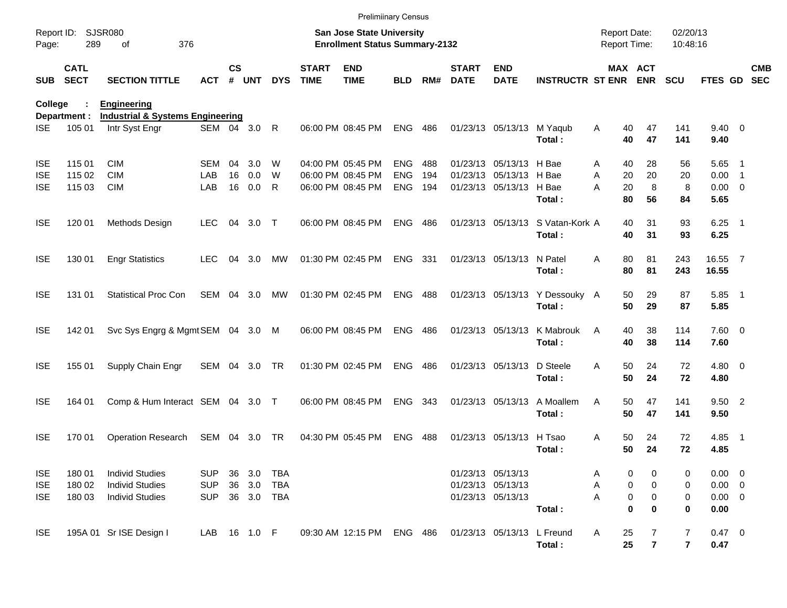|                |                            |                                                               |              |               |         |            |                             | <b>Prelimiinary Census</b>                                         |                |       |                             |                            |                                            |                                     |                     |                                  |                        |                          |                          |
|----------------|----------------------------|---------------------------------------------------------------|--------------|---------------|---------|------------|-----------------------------|--------------------------------------------------------------------|----------------|-------|-----------------------------|----------------------------|--------------------------------------------|-------------------------------------|---------------------|----------------------------------|------------------------|--------------------------|--------------------------|
| Page:          | Report ID: SJSR080<br>289  | 376<br>of                                                     |              |               |         |            |                             | San Jose State University<br><b>Enrollment Status Summary-2132</b> |                |       |                             |                            |                                            | <b>Report Date:</b><br>Report Time: |                     | 02/20/13<br>10:48:16             |                        |                          |                          |
| SUB            | <b>CATL</b><br><b>SECT</b> | <b>SECTION TITTLE</b>                                         | <b>ACT</b>   | $\mathsf{cs}$ | # UNT   | <b>DYS</b> | <b>START</b><br><b>TIME</b> | <b>END</b><br><b>TIME</b>                                          | <b>BLD</b>     | RM#   | <b>START</b><br><b>DATE</b> | <b>END</b><br><b>DATE</b>  | <b>INSTRUCTR ST ENR ENR</b>                |                                     | MAX ACT             | <b>SCU</b>                       | <b>FTES GD</b>         |                          | <b>CMB</b><br><b>SEC</b> |
| <b>College</b> |                            | <b>Engineering</b>                                            |              |               |         |            |                             |                                                                    |                |       |                             |                            |                                            |                                     |                     |                                  |                        |                          |                          |
| ISE.           | Department :<br>105 01     | <b>Industrial &amp; Systems Engineering</b><br>Intr Syst Engr | SEM 04 3.0   |               |         | R          |                             | 06:00 PM 08:45 PM                                                  | <b>ENG</b>     | 486   |                             | 01/23/13 05/13/13 M Yaqub  | Total:                                     | Α<br>40<br>40                       | 47<br>47            | 141<br>141                       | $9.40 \quad 0$<br>9.40 |                          |                          |
| <b>ISE</b>     | 115 01                     | <b>CIM</b>                                                    | SEM          | 04            | 3.0     | W          |                             | 04:00 PM 05:45 PM                                                  | <b>ENG</b>     | 488   |                             | 01/23/13 05/13/13 H Bae    |                                            | 40<br>Α                             | 28                  | 56                               | $5.65$ 1               |                          |                          |
| <b>ISE</b>     | 115 02                     | <b>CIM</b>                                                    | LAB          | 16            | 0.0     | W          |                             | 06:00 PM 08:45 PM                                                  | <b>ENG</b>     | 194   |                             | 01/23/13 05/13/13 H Bae    |                                            | A<br>20                             | 20                  | 20                               | 0.00                   | $\overline{\phantom{1}}$ |                          |
| <b>ISE</b>     | 115 03                     | <b>CIM</b>                                                    | LAB          | 16            | 0.0     | R          |                             | 06:00 PM 08:45 PM                                                  | <b>ENG</b>     | 194   |                             | 01/23/13 05/13/13 H Bae    | Total:                                     | A<br>20<br>80                       | 8<br>56             | 8<br>84                          | $0.00 \t 0$<br>5.65    |                          |                          |
| <b>ISE</b>     | 120 01                     | Methods Design                                                | <b>LEC</b>   | 04            | $3.0$ T |            |                             | 06:00 PM 08:45 PM                                                  | <b>ENG</b>     | 486   |                             |                            | 01/23/13 05/13/13 S Vatan-Kork A<br>Total: | 40<br>40                            | 31<br>31            | 93<br>93                         | $6.25$ 1<br>6.25       |                          |                          |
| <b>ISE</b>     | 130 01                     | <b>Engr Statistics</b>                                        | <b>LEC</b>   | 04            | 3.0     | МW         |                             | 01:30 PM 02:45 PM                                                  | ENG 331        |       |                             | 01/23/13 05/13/13 N Patel  | Total:                                     | 80<br>A<br>80                       | 81<br>81            | 243<br>243                       | 16.55 7<br>16.55       |                          |                          |
| <b>ISE</b>     | 131 01                     | <b>Statistical Proc Con</b>                                   | SEM          |               | 04 3.0  | МW         |                             | 01:30 PM 02:45 PM                                                  | <b>ENG 488</b> |       |                             |                            | 01/23/13 05/13/13 Y Dessouky A<br>Total:   | 50<br>50                            | 29<br>29            | 87<br>87                         | $5.85$ 1<br>5.85       |                          |                          |
| <b>ISE</b>     | 142 01                     | Svc Sys Engrg & Mgmt SEM 04 3.0 M                             |              |               |         |            |                             | 06:00 PM 08:45 PM                                                  | ENG            | 486   |                             | 01/23/13 05/13/13          | K Mabrouk<br>Total:                        | 40<br>A<br>40                       | 38<br>38            | 114<br>114                       | $7.60 \t 0$<br>7.60    |                          |                          |
| <b>ISE</b>     | 155 01                     | Supply Chain Engr                                             | SEM 04 3.0   |               |         | TR         |                             | 01:30 PM 02:45 PM                                                  | ENG            | 486   |                             | 01/23/13 05/13/13          | D Steele<br>Total:                         | 50<br>A<br>50                       | 24<br>24            | 72<br>72                         | $4.80$ 0<br>4.80       |                          |                          |
| <b>ISE</b>     | 164 01                     | Comp & Hum Interact SEM 04 3.0 T                              |              |               |         |            |                             | 06:00 PM 08:45 PM                                                  | ENG            | - 343 |                             | 01/23/13 05/13/13          | A Moallem<br>Total:                        | 50<br>A<br>50                       | 47<br>47            | 141<br>141                       | 9.50 2<br>9.50         |                          |                          |
| <b>ISE</b>     | 170 01                     | <b>Operation Research</b>                                     | SEM 04 3.0   |               |         | TR         |                             | 04:30 PM 05:45 PM                                                  | <b>ENG</b>     | 488   |                             | 01/23/13 05/13/13          | H Tsao<br>Total:                           | A<br>50<br>50                       | 24<br>24            | 72<br>72                         | 4.85<br>4.85           | $\blacksquare$ 1         |                          |
| <b>ISE</b>     | 180 01                     | <b>Individ Studies</b>                                        | <b>SUP</b>   |               | 36 3.0  | TBA        |                             |                                                                    |                |       | 01/23/13 05/13/13           |                            |                                            | 0<br>Α                              | 0                   | 0                                | $0.00 \t 0$            |                          |                          |
| <b>ISE</b>     | 180 02                     | <b>Individ Studies</b>                                        | <b>SUP</b>   | 36            | 3.0     | TBA        |                             |                                                                    |                |       |                             | 01/23/13 05/13/13          |                                            | 0<br>Α                              | 0                   | 0                                | $0.00 \t 0$            |                          |                          |
| <b>ISE</b>     | 180 03                     | <b>Individ Studies</b>                                        | <b>SUP</b>   |               | 36 3.0  | TBA        |                             |                                                                    |                |       |                             | 01/23/13 05/13/13          |                                            | 0                                   | 0                   | 0                                | $0.00 \t 0$            |                          |                          |
|                |                            |                                                               |              |               |         |            |                             |                                                                    |                |       |                             |                            | Total:                                     | $\mathbf 0$                         | 0                   | 0                                | 0.00                   |                          |                          |
| <b>ISE</b>     |                            | 195A 01 Sr ISE Design I                                       | LAB 16 1.0 F |               |         |            |                             | 09:30 AM 12:15 PM ENG 486                                          |                |       |                             | 01/23/13 05/13/13 L Freund | Total:                                     | 25<br>Α<br>25                       | 7<br>$\overline{7}$ | $\overline{7}$<br>$\overline{7}$ | 0.47 0<br>0.47         |                          |                          |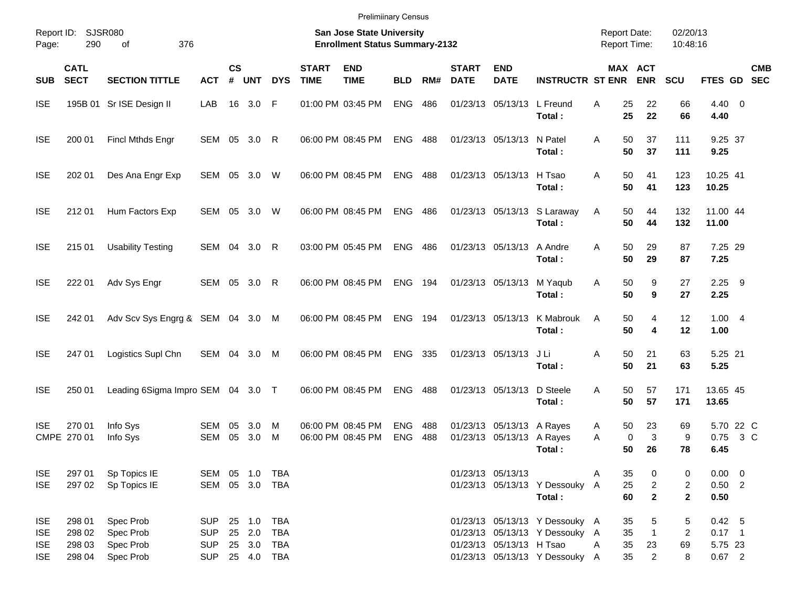| <b>Prelimiinary Census</b> |  |
|----------------------------|--|
|                            |  |

| Report ID:<br>Page:                                  | 290                                  | SJSR080<br>376<br>οf                             |                                                          |                |                            |                                 |                             | <b>San Jose State University</b><br><b>Enrollment Status Summary-2132</b> |                          |            |                             |                                                        |                                                                                                    |        |                      | <b>Report Date:</b><br><b>Report Time:</b> | 02/20/13<br>10:48:16   |                                           |        |            |
|------------------------------------------------------|--------------------------------------|--------------------------------------------------|----------------------------------------------------------|----------------|----------------------------|---------------------------------|-----------------------------|---------------------------------------------------------------------------|--------------------------|------------|-----------------------------|--------------------------------------------------------|----------------------------------------------------------------------------------------------------|--------|----------------------|--------------------------------------------|------------------------|-------------------------------------------|--------|------------|
| <b>SUB</b>                                           | <b>CATL</b><br><b>SECT</b>           | <b>SECTION TITTLE</b>                            | <b>ACT</b>                                               | <b>CS</b><br># | <b>UNT</b>                 | <b>DYS</b>                      | <b>START</b><br><b>TIME</b> | <b>END</b><br><b>TIME</b>                                                 | <b>BLD</b>               | RM#        | <b>START</b><br><b>DATE</b> | <b>END</b><br><b>DATE</b>                              | <b>INSTRUCTR ST ENR</b>                                                                            |        |                      | MAX ACT<br><b>ENR</b>                      | SCU                    | FTES GD SEC                               |        | <b>CMB</b> |
| <b>ISE</b>                                           |                                      | 195B 01 Sr ISE Design II                         | LAB                                                      | 16             | 3.0                        | F                               |                             | 01:00 PM 03:45 PM                                                         | <b>ENG</b>               | 486        |                             | 01/23/13 05/13/13                                      | L Freund<br>Total:                                                                                 | A      | 25<br>25             | 22<br>22                                   | 66<br>66               | 4.40 0<br>4.40                            |        |            |
| <b>ISE</b>                                           | 200 01                               | Fincl Mthds Engr                                 | SEM 05 3.0                                               |                |                            | R                               |                             | 06:00 PM 08:45 PM                                                         | <b>ENG</b>               | 488        |                             | 01/23/13 05/13/13                                      | N Patel<br>Total:                                                                                  | A      | 50<br>50             | 37<br>37                                   | 111<br>111             | 9.25 37<br>9.25                           |        |            |
| <b>ISE</b>                                           | 202 01                               | Des Ana Engr Exp                                 | SEM 05 3.0 W                                             |                |                            |                                 |                             | 06:00 PM 08:45 PM                                                         | <b>ENG</b>               | 488        |                             | 01/23/13 05/13/13                                      | H Tsao<br>Total:                                                                                   | A      | 50<br>50             | 41<br>41                                   | 123<br>123             | 10.25 41<br>10.25                         |        |            |
| <b>ISE</b>                                           | 212 01                               | Hum Factors Exp                                  | SEM 05 3.0                                               |                |                            | W                               |                             | 06:00 PM 08:45 PM                                                         | <b>ENG 486</b>           |            |                             |                                                        | 01/23/13 05/13/13 S Laraway<br>Total:                                                              | Α      | 50<br>50             | 44<br>44                                   | 132<br>132             | 11.00 44<br>11.00                         |        |            |
| <b>ISE</b>                                           | 215 01                               | <b>Usability Testing</b>                         | SEM 04 3.0                                               |                |                            | R                               |                             | 03:00 PM 05:45 PM                                                         | <b>ENG</b>               | 486        |                             | 01/23/13 05/13/13                                      | A Andre<br>Total:                                                                                  | A      | 50<br>50             | 29<br>29                                   | 87<br>87               | 7.25 29<br>7.25                           |        |            |
| <b>ISE</b>                                           | 222 01                               | Adv Sys Engr                                     | SEM 05 3.0                                               |                |                            | R                               |                             | 06:00 PM 08:45 PM                                                         | <b>ENG</b>               | 194        | 01/23/13 05/13/13           |                                                        | M Yaqub<br>Total:                                                                                  | Α      | 50<br>50             | 9<br>9                                     | 27<br>27               | $2.25$ 9<br>2.25                          |        |            |
| <b>ISE</b>                                           | 242 01                               | Adv Scv Sys Engrg & SEM 04 3.0                   |                                                          |                |                            | M                               |                             | 06:00 PM 08:45 PM                                                         | <b>ENG</b>               | 194        |                             | 01/23/13 05/13/13                                      | K Mabrouk<br>Total:                                                                                | A      | 50<br>50             | 4<br>4                                     | 12<br>12               | 1.004<br>1.00                             |        |            |
| <b>ISE</b>                                           | 247 01                               | Logistics Supl Chn                               | SEM 04 3.0                                               |                |                            | M                               |                             | 06:00 PM 08:45 PM                                                         | <b>ENG</b>               | 335        |                             | 01/23/13 05/13/13                                      | J Li<br>Total:                                                                                     | Α      | 50<br>50             | 21<br>21                                   | 63<br>63               | 5.25 21<br>5.25                           |        |            |
| <b>ISE</b>                                           | 250 01                               | Leading 6Sigma Impro SEM 04 3.0 T                |                                                          |                |                            |                                 |                             | 06:00 PM 08:45 PM                                                         | <b>ENG</b>               | 488        |                             | 01/23/13 05/13/13                                      | D Steele<br>Total:                                                                                 | A      | 50<br>50             | 57<br>57                                   | 171<br>171             | 13.65 45<br>13.65                         |        |            |
| <b>ISE</b>                                           | 270 01<br>CMPE 270 01                | Info Sys<br>Info Sys                             | SEM<br>SEM                                               | 05<br>05       | 3.0<br>3.0                 | M<br>М                          |                             | 06:00 PM 08:45 PM<br>06:00 PM 08:45 PM                                    | <b>ENG</b><br><b>ENG</b> | 488<br>488 |                             | 01/23/13 05/13/13 A Rayes<br>01/23/13 05/13/13 A Rayes | Total:                                                                                             | A<br>A | 50<br>0<br>50        | 23<br>3<br>26                              | 69<br>9<br>78          | 5.70 22 C<br>0.75<br>6.45                 | $3\,C$ |            |
| <b>ISE</b><br><b>ISE</b>                             | 297 01<br>297 02                     | Sp Topics IE<br>Sp Topics IE                     | SEM 05 1.0 TBA<br>SEM 05 3.0 TBA                         |                |                            |                                 |                             |                                                                           |                          |            |                             | 01/23/13 05/13/13                                      | 01/23/13 05/13/13 Y Dessouky A<br>Total:                                                           | A      | 35<br>25<br>60       | 0<br>$\overline{2}$<br>$\mathbf{2}$        | 0<br>2<br>$\mathbf{2}$ | $0.00 \t 0$<br>$0.50$ 2<br>0.50           |        |            |
| <b>ISE</b><br><b>ISE</b><br><b>ISE</b><br><b>ISE</b> | 298 01<br>298 02<br>298 03<br>298 04 | Spec Prob<br>Spec Prob<br>Spec Prob<br>Spec Prob | <b>SUP</b><br><b>SUP</b><br><b>SUP</b><br>SUP 25 4.0 TBA |                | 25 1.0<br>25 2.0<br>25 3.0 | <b>TBA</b><br><b>TBA</b><br>TBA |                             |                                                                           |                          |            |                             | 01/23/13 05/13/13 H Tsao                               | 01/23/13 05/13/13 Y Dessouky A<br>01/23/13 05/13/13 Y Dessouky A<br>01/23/13 05/13/13 Y Dessouky A | Α      | 35<br>35<br>35<br>35 | 5<br>$\mathbf{1}$<br>23<br>$\overline{2}$  | 5<br>2<br>69<br>8      | 0.42 5<br>$0.17$ 1<br>5.75 23<br>$0.67$ 2 |        |            |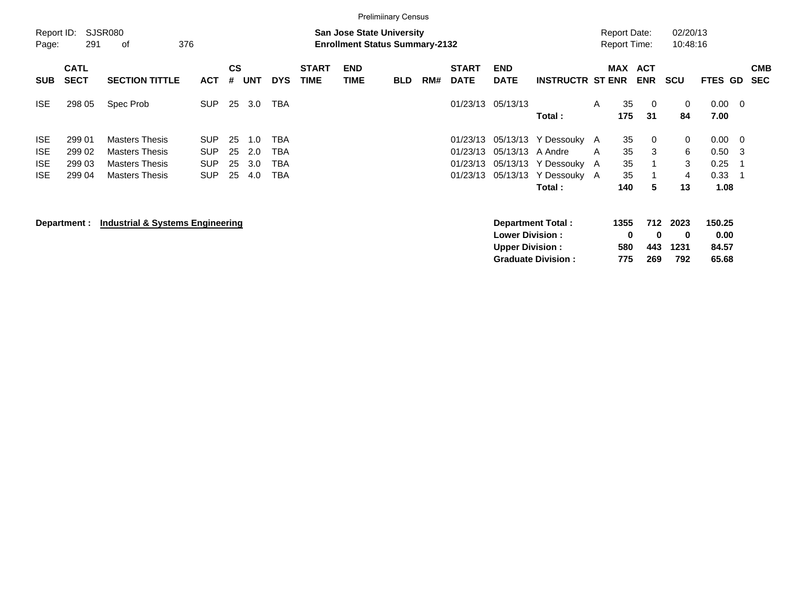|                                                      |                                      |                                                                                                  |                                                      |                      |                          |                          |                             |                                                                           | <b>Prelimiinary Census</b> |     |                                              |                                  |                                                                             |   |                                            |                          |                        |                                             |                              |                          |
|------------------------------------------------------|--------------------------------------|--------------------------------------------------------------------------------------------------|------------------------------------------------------|----------------------|--------------------------|--------------------------|-----------------------------|---------------------------------------------------------------------------|----------------------------|-----|----------------------------------------------|----------------------------------|-----------------------------------------------------------------------------|---|--------------------------------------------|--------------------------|------------------------|---------------------------------------------|------------------------------|--------------------------|
| Report ID:<br>Page:                                  | 291                                  | SJSR080<br>376<br>оf                                                                             |                                                      |                      |                          |                          |                             | <b>San Jose State University</b><br><b>Enrollment Status Summary-2132</b> |                            |     |                                              |                                  |                                                                             |   | <b>Report Date:</b><br><b>Report Time:</b> |                          | 02/20/13<br>10:48:16   |                                             |                              |                          |
| <b>SUB</b>                                           | <b>CATL</b><br><b>SECT</b>           | <b>SECTION TITTLE</b>                                                                            | <b>ACT</b>                                           | <b>CS</b><br>#       | <b>UNT</b>               | <b>DYS</b>               | <b>START</b><br><b>TIME</b> | <b>END</b><br><b>TIME</b>                                                 | <b>BLD</b>                 | RM# | <b>START</b><br><b>DATE</b>                  | <b>END</b><br><b>DATE</b>        | <b>INSTRUCTR ST ENR</b>                                                     |   | MAX                                        | <b>ACT</b><br><b>ENR</b> | <b>SCU</b>             | <b>FTES GD</b>                              |                              | <b>CMB</b><br><b>SEC</b> |
| <b>ISE</b>                                           | 298 05                               | Spec Prob                                                                                        | <b>SUP</b>                                           | 25                   | 3.0                      | <b>TBA</b>               |                             |                                                                           |                            |     | 01/23/13                                     | 05/13/13                         | Total:                                                                      | A | 35<br>175                                  | $\overline{0}$<br>31     | 0<br>84                | 0.00<br>7.00                                | $\overline{\phantom{0}}$     |                          |
| <b>ISE</b><br><b>ISE</b><br><b>ISE</b><br><b>ISE</b> | 299 01<br>299 02<br>299 03<br>299 04 | <b>Masters Thesis</b><br><b>Masters Thesis</b><br><b>Masters Thesis</b><br><b>Masters Thesis</b> | <b>SUP</b><br><b>SUP</b><br><b>SUP</b><br><b>SUP</b> | 25<br>25<br>25<br>25 | 1.0<br>2.0<br>3.0<br>4.0 | TBA<br>TBA<br>TBA<br>TBA |                             |                                                                           |                            |     | 01/23/13<br>01/23/13<br>01/23/13<br>01/23/13 | 05/13/13<br>05/13/13<br>05/13/13 | Y Dessouky A<br>A Andre<br>05/13/13 Y Dessouky A<br>Y Dessouky A<br>Total : | A | 35<br>35<br>35<br>35<br>140                | $\mathbf 0$<br>3<br>5    | 0<br>6<br>3<br>4<br>13 | $0.00 \t 0$<br>0.50<br>0.25<br>0.33<br>1.08 | - 3<br>- 1<br>$\overline{1}$ |                          |
|                                                      | Department :                         | <b>Industrial &amp; Systems Engineering</b>                                                      |                                                      |                      |                          |                          |                             |                                                                           |                            |     |                                              | <b>Lower Division :</b>          | Department Total:                                                           |   | 1355<br>0                                  | 712<br>$\bf{0}$          | 2023<br>0              | 150.25<br>0.00                              |                              |                          |

**Upper Division : 580 443 1231 84.57 Graduate Division : 775 269 792 65.68**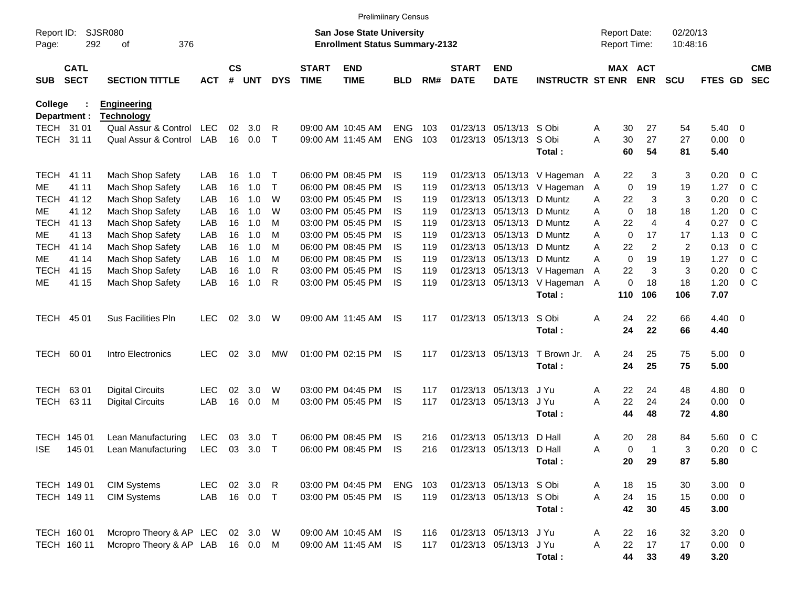|                     |                            |                                         |            |                    |            |              |                             | <b>Prelimiinary Census</b>                                                |            |     |                             |                           |                               |                                     |                       |                      |              |                         |                          |
|---------------------|----------------------------|-----------------------------------------|------------|--------------------|------------|--------------|-----------------------------|---------------------------------------------------------------------------|------------|-----|-----------------------------|---------------------------|-------------------------------|-------------------------------------|-----------------------|----------------------|--------------|-------------------------|--------------------------|
| Report ID:<br>Page: | 292                        | <b>SJSR080</b><br>376<br>οf             |            |                    |            |              |                             | <b>San Jose State University</b><br><b>Enrollment Status Summary-2132</b> |            |     |                             |                           |                               | <b>Report Date:</b><br>Report Time: |                       | 02/20/13<br>10:48:16 |              |                         |                          |
| SUB                 | <b>CATL</b><br><b>SECT</b> | <b>SECTION TITTLE</b>                   | <b>ACT</b> | $\mathsf{cs}$<br># | <b>UNT</b> | <b>DYS</b>   | <b>START</b><br><b>TIME</b> | <b>END</b><br><b>TIME</b>                                                 | <b>BLD</b> | RM# | <b>START</b><br><b>DATE</b> | <b>END</b><br><b>DATE</b> | <b>INSTRUCTR ST ENR</b>       |                                     | MAX ACT<br><b>ENR</b> | <b>SCU</b>           | FTES GD      |                         | <b>CMB</b><br><b>SEC</b> |
| <b>College</b>      | Department :               | <b>Engineering</b><br><u>Technology</u> |            |                    |            |              |                             |                                                                           |            |     |                             |                           |                               |                                     |                       |                      |              |                         |                          |
|                     | TECH 31 01                 | Qual Assur & Control                    | LEC        | 02                 | 3.0        | R            |                             | 09:00 AM 10:45 AM                                                         | <b>ENG</b> | 103 |                             | 01/23/13 05/13/13         | S Obi                         | A<br>30                             | 27                    | 54                   | 5.40         | $\overline{0}$          |                          |
|                     | TECH 31 11                 | Qual Assur & Control                    | LAB        | 16                 | 0.0        | $\mathsf{T}$ |                             | 09:00 AM 11:45 AM                                                         | ENG        | 103 |                             | 01/23/13 05/13/13         | S Obi<br>Total:               | 30<br>Α<br>60                       | 27<br>54              | 27<br>81             | 0.00<br>5.40 | 0                       |                          |
| <b>TECH</b>         | 41 11                      | Mach Shop Safety                        | LAB        | 16                 | 1.0        | $\top$       |                             | 06:00 PM 08:45 PM                                                         | IS.        | 119 |                             | 01/23/13 05/13/13         | V Hageman A                   | 22                                  | 3                     | 3                    | 0.20         | 0 <sup>o</sup>          |                          |
| ME                  | 41 11                      | Mach Shop Safety                        | LAB        | 16                 | 1.0        | T            |                             | 06:00 PM 08:45 PM                                                         | <b>IS</b>  | 119 | 01/23/13                    | 05/13/13                  | V Hageman                     | A                                   | 19<br>0               | 19                   | 1.27         | 0 <sup>C</sup>          |                          |
| <b>TECH</b>         | 41 12                      | Mach Shop Safety                        | LAB        | 16                 | 1.0        | W            |                             | 03:00 PM 05:45 PM                                                         | <b>IS</b>  | 119 | 01/23/13                    | 05/13/13                  | D Muntz                       | 22<br>Α                             | 3                     | 3                    | 0.20         | 0 <sup>o</sup>          |                          |
| ME                  | 41 12                      | Mach Shop Safety                        | LAB        | 16                 | 1.0        | W            |                             | 03:00 PM 05:45 PM                                                         | IS         | 119 | 01/23/13                    | 05/13/13                  | D Muntz                       | Α                                   | 0<br>18               | 18                   | 1.20         | 0 <sup>o</sup>          |                          |
| <b>TECH</b>         | 41 13                      | Mach Shop Safety                        | LAB        | 16                 | 1.0        | M            |                             | 03:00 PM 05:45 PM                                                         | IS         | 119 | 01/23/13                    | 05/13/13                  | D Muntz                       | 22<br>Α                             | $\overline{4}$        | 4                    | 0.27         | 0 <sub>C</sub>          |                          |
| ME                  | 41 13                      | Mach Shop Safety                        | LAB        | 16                 | 1.0        | M            |                             | 03:00 PM 05:45 PM                                                         | <b>IS</b>  | 119 |                             | 01/23/13 05/13/13         | D Muntz                       | Α                                   | 0<br>17               | 17                   | 1.13         | 0 <sub>C</sub>          |                          |
| <b>TECH</b>         | 41 14                      | Mach Shop Safety                        | LAB        | 16                 | 1.0        | M            |                             | 06:00 PM 08:45 PM                                                         | <b>IS</b>  | 119 |                             | 01/23/13 05/13/13         | D Muntz                       | 22<br>Α                             | $\overline{2}$        | $\overline{2}$       | 0.13         | 0 <sub>C</sub>          |                          |
| ME                  | 41 14                      | Mach Shop Safety                        | LAB        | 16                 | 1.0        | M            |                             | 06:00 PM 08:45 PM                                                         | <b>IS</b>  | 119 |                             | 01/23/13 05/13/13         | D Muntz                       | Α                                   | $\mathbf 0$<br>19     | 19                   | 1.27         | $0\quad C$              |                          |
| <b>TECH</b>         | 41 15                      | Mach Shop Safety                        | LAB        | 16                 | 1.0        | R            |                             | 03:00 PM 05:45 PM                                                         | <b>IS</b>  | 119 |                             | 01/23/13 05/13/13         | V Hageman                     | 22<br>A                             | 3                     | 3                    | 0.20         | $0\quad C$              |                          |
| МE                  | 41 15                      | Mach Shop Safety                        | LAB        | 16                 | 1.0        | R            |                             | 03:00 PM 05:45 PM                                                         | <b>IS</b>  | 119 |                             |                           | 01/23/13 05/13/13 V Hageman A |                                     | 0<br>18               | 18                   | 1.20         | $0\,C$                  |                          |
|                     |                            |                                         |            |                    |            |              |                             |                                                                           |            |     |                             |                           | Total:                        | 110                                 | 106                   | 106                  | 7.07         |                         |                          |
|                     | TECH 45 01                 | Sus Facilities Pln                      | <b>LEC</b> | 02                 | 3.0        | W            |                             | 09:00 AM 11:45 AM                                                         | IS         | 117 |                             | 01/23/13 05/13/13         | S Obi                         | 24<br>Α                             | 22                    | 66                   | 4.40         | $\overline{\mathbf{0}}$ |                          |
|                     |                            |                                         |            |                    |            |              |                             |                                                                           |            |     |                             |                           | Total:                        | 24                                  | 22                    | 66                   | 4.40         |                         |                          |
|                     | TECH 60 01                 | Intro Electronics                       | <b>LEC</b> | 02                 | 3.0        | MW           |                             | 01:00 PM 02:15 PM                                                         | IS         | 117 |                             | 01/23/13 05/13/13         | T Brown Jr.                   | 24<br>A                             | 25                    | 75                   | 5.00         | $\overline{\mathbf{0}}$ |                          |
|                     |                            |                                         |            |                    |            |              |                             |                                                                           |            |     |                             |                           | Total:                        | 24                                  | 25                    | 75                   | 5.00         |                         |                          |
| <b>TECH</b>         | 6301                       | <b>Digital Circuits</b>                 | <b>LEC</b> | 02                 | 3.0        | W            |                             | 03:00 PM 04:45 PM                                                         | IS         | 117 |                             | 01/23/13 05/13/13         | J Yu                          | 22<br>Α                             | 24                    | 48                   | 4.80         | 0                       |                          |
| <b>TECH</b>         | 63 11                      | <b>Digital Circuits</b>                 | LAB        | 16                 | 0.0        | м            |                             | 03:00 PM 05:45 PM                                                         | <b>IS</b>  | 117 |                             | 01/23/13 05/13/13         | J Yu                          | 22<br>Α                             | 24                    | 24                   | 0.00         | 0                       |                          |
|                     |                            |                                         |            |                    |            |              |                             |                                                                           |            |     |                             |                           | Total:                        | 44                                  | 48                    | 72                   | 4.80         |                         |                          |
|                     | TECH 145 01                | Lean Manufacturing                      | <b>LEC</b> | 03                 | 3.0        | $\mathsf T$  |                             | 06:00 PM 08:45 PM                                                         | IS         | 216 | 01/23/13                    | 05/13/13                  | D Hall                        | 20<br>Α                             | 28                    | 84                   | 5.60         | $0\,C$                  |                          |
| <b>ISE</b>          | 145 01                     | Lean Manufacturing                      | <b>LEC</b> | 03                 | 3.0        | $\mathsf{T}$ |                             | 06:00 PM 08:45 PM                                                         | <b>IS</b>  | 216 |                             | 01/23/13 05/13/13         | D Hall                        | Α                                   | 0<br>$\mathbf 1$      | 3                    | 0.20         | 0 <sup>o</sup>          |                          |
|                     |                            |                                         |            |                    |            |              |                             |                                                                           |            |     |                             |                           | Total:                        | 20                                  | 29                    | 87                   | 5.80         |                         |                          |
|                     | TECH 149 01                | <b>CIM Systems</b>                      | <b>LEC</b> |                    | 02 3.0     | $\mathsf{R}$ |                             | 03:00 PM 04:45 PM                                                         | <b>ENG</b> | 103 |                             | 01/23/13 05/13/13 S Obi   |                               | Α<br>18                             | 15                    | 30                   | $3.00 \ 0$   |                         |                          |
|                     | TECH 149 11                | <b>CIM Systems</b>                      | LAB        |                    | 16 0.0     | $\top$       |                             | 03:00 PM 05:45 PM                                                         | <b>IS</b>  | 119 |                             | 01/23/13 05/13/13 S Obi   |                               | 24<br>A                             | 15                    | 15                   | $0.00 \t 0$  |                         |                          |
|                     |                            |                                         |            |                    |            |              |                             |                                                                           |            |     |                             |                           | Total:                        | 42                                  | 30                    | 45                   | 3.00         |                         |                          |
|                     | TECH 160 01                | Mcropro Theory & AP LEC                 |            |                    | 02 3.0     | W            |                             | 09:00 AM 10:45 AM                                                         | - IS       | 116 |                             | 01/23/13 05/13/13         | J Yu                          | 22<br>Α                             | 16                    | 32                   | $3.20 \ 0$   |                         |                          |
|                     | TECH 160 11                | Mcropro Theory & AP LAB                 |            |                    | 16  0.0  M |              |                             | 09:00 AM 11:45 AM                                                         | IS.        | 117 |                             | 01/23/13 05/13/13         | J Yu                          | 22<br>Α                             | 17                    | 17                   | $0.00 \t 0$  |                         |                          |
|                     |                            |                                         |            |                    |            |              |                             |                                                                           |            |     |                             |                           | Total:                        | 44                                  | 33                    | 49                   | 3.20         |                         |                          |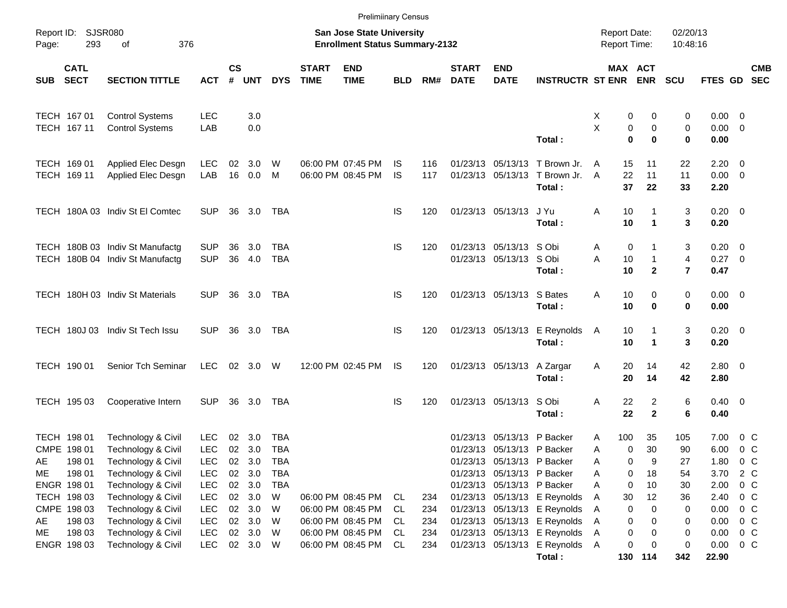|            |                                                     |                                                                                      |                                                      |                 |                                      |                                 |                             | <b>Prelimiinary Census</b>                                                |                 |                   |                             |                                                                                                             |                                                                          |                                     |                                |                                                |                                    |                                                               |            |
|------------|-----------------------------------------------------|--------------------------------------------------------------------------------------|------------------------------------------------------|-----------------|--------------------------------------|---------------------------------|-----------------------------|---------------------------------------------------------------------------|-----------------|-------------------|-----------------------------|-------------------------------------------------------------------------------------------------------------|--------------------------------------------------------------------------|-------------------------------------|--------------------------------|------------------------------------------------|------------------------------------|---------------------------------------------------------------|------------|
| Page:      | Report ID: SJSR080<br>293                           | 376<br>of                                                                            |                                                      |                 |                                      |                                 |                             | <b>San Jose State University</b><br><b>Enrollment Status Summary-2132</b> |                 |                   |                             |                                                                                                             |                                                                          | <b>Report Date:</b><br>Report Time: |                                | 02/20/13<br>10:48:16                           |                                    |                                                               |            |
| <b>SUB</b> | <b>CATL</b><br><b>SECT</b>                          | <b>SECTION TITTLE</b>                                                                | <b>ACT</b>                                           | <b>CS</b><br>#  | <b>UNT</b>                           | <b>DYS</b>                      | <b>START</b><br><b>TIME</b> | <b>END</b><br><b>TIME</b>                                                 | <b>BLD</b>      | RM#               | <b>START</b><br><b>DATE</b> | <b>END</b><br><b>DATE</b>                                                                                   | <b>INSTRUCTR ST ENR</b>                                                  |                                     | MAX ACT<br><b>ENR</b>          | <b>SCU</b>                                     | FTES GD SEC                        |                                                               | <b>CMB</b> |
|            | TECH 167 01<br>TECH 167 11                          | <b>Control Systems</b><br><b>Control Systems</b>                                     | <b>LEC</b><br>LAB                                    |                 | 3.0<br>0.0                           |                                 |                             |                                                                           |                 |                   |                             |                                                                                                             | Total:                                                                   | X<br>0<br>X<br>0<br>$\bf{0}$        | 0<br>0<br>$\bf{0}$             | 0<br>0<br>0                                    | $0.00 \t 0$<br>$0.00 \t 0$<br>0.00 |                                                               |            |
|            | TECH 169 01<br>TECH 169 11                          | Applied Elec Desgn<br>Applied Elec Desgn                                             | <b>LEC</b><br>LAB                                    | 02<br>16        | 3.0<br>0.0                           | W<br>M                          |                             | 06:00 PM 07:45 PM<br>06:00 PM 08:45 PM                                    | IS<br><b>IS</b> | 116<br>117        |                             |                                                                                                             | 01/23/13 05/13/13 T Brown Jr.<br>01/23/13 05/13/13 T Brown Jr.<br>Total: | 15<br>A<br>22<br>A<br>37            | 11<br>11<br>22                 | 22<br>11<br>33                                 | 2.20<br>$0.00 \t 0$<br>2.20        | $\overline{\phantom{0}}$                                      |            |
|            |                                                     | TECH 180A 03 Indiv St El Comtec                                                      | <b>SUP</b>                                           | 36              | 3.0                                  | TBA                             |                             |                                                                           | <b>IS</b>       | 120               |                             | 01/23/13 05/13/13                                                                                           | J Yu<br>Total:                                                           | Α<br>10<br>10                       | $\blacktriangleleft$           | 3<br>3                                         | $0.20 \ 0$<br>0.20                 |                                                               |            |
|            |                                                     | TECH 180B 03 Indiv St Manufactg<br>TECH 180B 04 Indiv St Manufactg                   | <b>SUP</b><br><b>SUP</b>                             | 36              | 3.0<br>36 4.0                        | TBA<br><b>TBA</b>               |                             |                                                                           | <b>IS</b>       | 120               |                             | 01/23/13 05/13/13 S Obi<br>01/23/13 05/13/13                                                                | S Obi<br>Total:                                                          | 0<br>A<br>Α<br>10<br>10             | $\mathbf{1}$<br>$\overline{2}$ | 3<br>$\overline{4}$<br>$\overline{\mathbf{r}}$ | $0.20 \ 0$<br>0.27 0<br>0.47       |                                                               |            |
|            |                                                     | TECH 180H 03 Indiv St Materials                                                      | <b>SUP</b>                                           |                 | 36 3.0                               | TBA                             |                             |                                                                           | <b>IS</b>       | 120               |                             | 01/23/13 05/13/13                                                                                           | S Bates<br>Total:                                                        | Α<br>10<br>10                       | 0<br>$\bf{0}$                  | 0<br>0                                         | $0.00 \t 0$<br>0.00                |                                                               |            |
|            | <b>TECH 180J03</b>                                  | Indiv St Tech Issu                                                                   | <b>SUP</b>                                           | 36              | 3.0                                  | TBA                             |                             |                                                                           | <b>IS</b>       | 120               |                             | 01/23/13 05/13/13                                                                                           | E Reynolds<br>Total:                                                     | 10<br>$\mathsf{A}$<br>10            | $\mathbf{1}$                   | 3<br>3                                         | $0.20 \ 0$<br>0.20                 |                                                               |            |
|            | TECH 190 01                                         | Senior Tch Seminar                                                                   | <b>LEC</b>                                           |                 | 02 3.0                               | W                               |                             | 12:00 PM 02:45 PM                                                         | IS.             | 120               |                             | 01/23/13 05/13/13                                                                                           | A Zargar<br>Total:                                                       | 20<br>A<br>20                       | 14<br>14                       | 42<br>42                                       | 2.80 0<br>2.80                     |                                                               |            |
|            | TECH 195 03                                         | Cooperative Intern                                                                   | <b>SUP</b>                                           |                 | 36 3.0                               | TBA                             |                             |                                                                           | <b>IS</b>       | 120               |                             | 01/23/13 05/13/13                                                                                           | S Obi<br>Total:                                                          | Α<br>22<br>22                       | 2<br>$\overline{2}$            | 6<br>6                                         | $0.40 \quad 0$<br>0.40             |                                                               |            |
| AE<br>ME   | TECH 198 01<br>CMPE 198 01<br>198 01<br>198 01      | Technology & Civil<br>Technology & Civil<br>Technology & Civil<br>Technology & Civil | <b>LEC</b><br><b>LEC</b><br><b>LEC</b><br><b>LEC</b> | 02<br>02        | 3.0<br>02 3.0<br>3.0<br>02 3.0       | TBA<br>TBA<br>TBA<br><b>TBA</b> |                             |                                                                           |                 |                   |                             | 01/23/13 05/13/13<br>01/23/13 05/13/13 P Backer<br>01/23/13 05/13/13 P Backer<br>01/23/13 05/13/13 P Backer | P Backer                                                                 | 100<br>A<br>Α<br>0<br>A<br>0<br>A   | 35<br>30<br>0<br>9<br>18       | 105<br>90<br>27<br>54                          | 7.00<br>6.00<br>1.80<br>3.70       | $0\,$ C<br>$0\,C$<br>$0\,$ C<br>2 C                           |            |
| AE         | ENGR 198 01<br>TECH 198 03<br>CMPE 198 03<br>198 03 | Technology & Civil<br>Technology & Civil<br>Technology & Civil<br>Technology & Civil | <b>LEC</b><br><b>LEC</b><br><b>LEC</b><br><b>LEC</b> |                 | 02 3.0<br>02 3.0<br>02 3.0<br>02 3.0 | <b>TBA</b><br>W<br>W<br>W       |                             | 06:00 PM 08:45 PM<br>06:00 PM 08:45 PM<br>06:00 PM 08:45 PM               | CL<br>CL<br>CL. | 234<br>234<br>234 |                             | 01/23/13 05/13/13 P Backer<br>01/23/13 05/13/13<br>01/23/13 05/13/13                                        | 01/23/13 05/13/13 E Reynolds<br>E Reynolds<br>E Reynolds                 | Α<br>0<br>30<br>Α<br>0<br>Α<br>Α    | 10<br>12<br>0<br>0<br>0        | 30<br>36<br>0<br>0                             | 2.00<br>2.40<br>0.00<br>0.00       | 0 <sup>o</sup><br>$0\,$ C<br>0 <sup>o</sup><br>0 <sup>o</sup> |            |
| ME         | 198 03<br>ENGR 198 03                               | Technology & Civil<br>Technology & Civil                                             | <b>LEC</b><br><b>LEC</b>                             | 02 <sub>o</sub> | 3.0<br>02 3.0                        | W<br>W                          |                             | 06:00 PM 08:45 PM<br>06:00 PM 08:45 PM                                    | CL.<br>CL       | 234<br>234        |                             | 01/23/13 05/13/13                                                                                           | E Reynolds<br>01/23/13 05/13/13 E Reynolds A<br>Total:                   | Α                                   | 0<br>0<br>0<br>0<br>130 114    | 0<br>0<br>342                                  | 0.00<br>0.00<br>22.90              | 0 <sup>o</sup><br>$0\,C$                                      |            |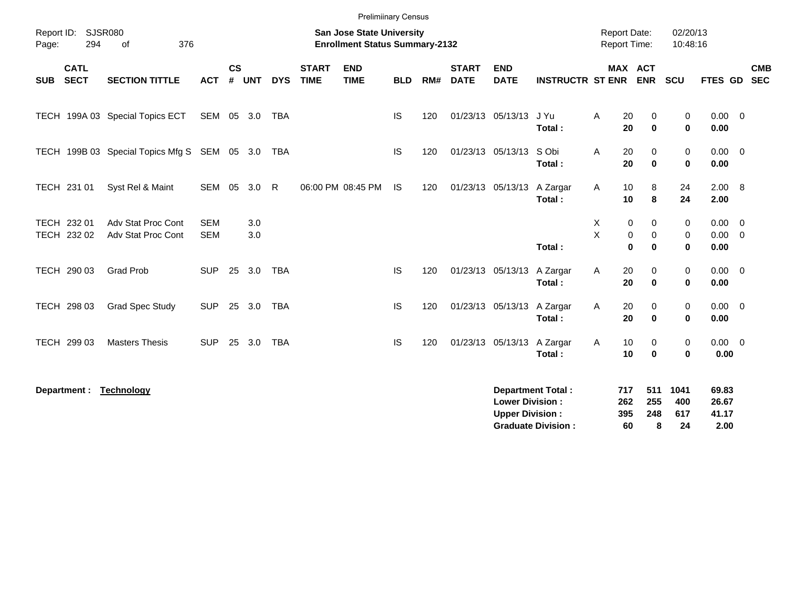|             |                            |                                              |                          |                |            |              |                             | <b>Prelimiinary Census</b>                                                |            |     |                             |                                                  |                                                       |                                     |                                                    |                            |                                 |                                            |                          |
|-------------|----------------------------|----------------------------------------------|--------------------------|----------------|------------|--------------|-----------------------------|---------------------------------------------------------------------------|------------|-----|-----------------------------|--------------------------------------------------|-------------------------------------------------------|-------------------------------------|----------------------------------------------------|----------------------------|---------------------------------|--------------------------------------------|--------------------------|
| Page:       | Report ID: SJSR080<br>294  | 376<br>of                                    |                          |                |            |              |                             | <b>San Jose State University</b><br><b>Enrollment Status Summary-2132</b> |            |     |                             |                                                  |                                                       | <b>Report Date:</b><br>Report Time: |                                                    | 02/20/13<br>10:48:16       |                                 |                                            |                          |
| <b>SUB</b>  | <b>CATL</b><br><b>SECT</b> | <b>SECTION TITTLE</b>                        | <b>ACT</b>               | <b>CS</b><br># | <b>UNT</b> | <b>DYS</b>   | <b>START</b><br><b>TIME</b> | <b>END</b><br><b>TIME</b>                                                 | <b>BLD</b> | RM# | <b>START</b><br><b>DATE</b> | <b>END</b><br><b>DATE</b>                        | <b>INSTRUCTR ST ENR</b>                               |                                     | MAX ACT<br><b>ENR</b>                              | SCU                        | <b>FTES GD</b>                  |                                            | <b>CMB</b><br><b>SEC</b> |
| <b>TECH</b> |                            | 199A 03 Special Topics ECT                   | SEM                      | 05             | 3.0        | <b>TBA</b>   |                             |                                                                           | IS         | 120 |                             | 01/23/13 05/13/13                                | J Yu<br>Total:                                        | 20<br>Α<br>20                       | $\mathbf 0$<br>$\bf{0}$                            | 0<br>$\mathbf 0$           | 0.00<br>0.00                    | $\overline{\mathbf{0}}$                    |                          |
|             |                            | TECH 199B 03 Special Topics Mfg S SEM 05 3.0 |                          |                |            | <b>TBA</b>   |                             |                                                                           | <b>IS</b>  | 120 |                             | 01/23/13 05/13/13                                | S Obi<br>Total:                                       | 20<br>Α<br>20                       | $\mathbf 0$<br>$\bf{0}$                            | $\mathbf 0$<br>$\mathbf 0$ | $0.00 \t 0$<br>0.00             |                                            |                          |
|             | TECH 231 01                | Syst Rel & Maint                             | SEM                      | 05             | 3.0        | $\mathsf{R}$ |                             | 06:00 PM 08:45 PM                                                         | IS.        | 120 |                             | 01/23/13 05/13/13                                | A Zargar<br>Total:                                    | Α<br>10<br>10                       | 8<br>8                                             | 24<br>24                   | 2.00<br>2.00                    | 8                                          |                          |
|             | TECH 232 01<br>TECH 232 02 | Adv Stat Proc Cont<br>Adv Stat Proc Cont     | <b>SEM</b><br><b>SEM</b> |                | 3.0<br>3.0 |              |                             |                                                                           |            |     |                             |                                                  | Total:                                                | Χ<br>X                              | 0<br>0<br>$\mathbf 0$<br>0<br>$\bf{0}$<br>$\bf{0}$ | 0<br>0<br>$\bf{0}$         | 0.00<br>0.00<br>0.00            | $\overline{\phantom{0}}$<br>$\overline{0}$ |                          |
|             | TECH 290 03                | <b>Grad Prob</b>                             | <b>SUP</b>               | 25             | 3.0        | <b>TBA</b>   |                             |                                                                           | <b>IS</b>  | 120 |                             | 01/23/13 05/13/13                                | A Zargar<br>Total:                                    | 20<br>Α<br>20                       | 0<br>$\mathbf 0$                                   | 0<br>$\bf{0}$              | $0.00 \t 0$<br>0.00             |                                            |                          |
|             | TECH 298 03                | <b>Grad Spec Study</b>                       | <b>SUP</b>               | 25             | 3.0        | <b>TBA</b>   |                             |                                                                           | IS         | 120 |                             | 01/23/13 05/13/13                                | A Zargar<br>Total:                                    | 20<br>Α<br>20                       | 0<br>$\mathbf 0$                                   | 0<br>$\bf{0}$              | 0.00<br>0.00                    | $\overline{\mathbf{0}}$                    |                          |
|             | TECH 299 03                | <b>Masters Thesis</b>                        | <b>SUP</b>               | 25             | 3.0        | <b>TBA</b>   |                             |                                                                           | IS         | 120 |                             | 01/23/13 05/13/13                                | A Zargar<br>Total:                                    | 10<br>A<br>10                       | 0<br>$\bf{0}$                                      | 0<br>$\bf{0}$              | $0.00 \t 0$<br>0.00             |                                            |                          |
|             | Department :               | <b>Technology</b>                            |                          |                |            |              |                             |                                                                           |            |     |                             | <b>Lower Division:</b><br><b>Upper Division:</b> | <b>Department Total:</b><br><b>Graduate Division:</b> | 717<br>262<br>395<br>60             | 511<br>255<br>248<br>8                             | 1041<br>400<br>617<br>24   | 69.83<br>26.67<br>41.17<br>2.00 |                                            |                          |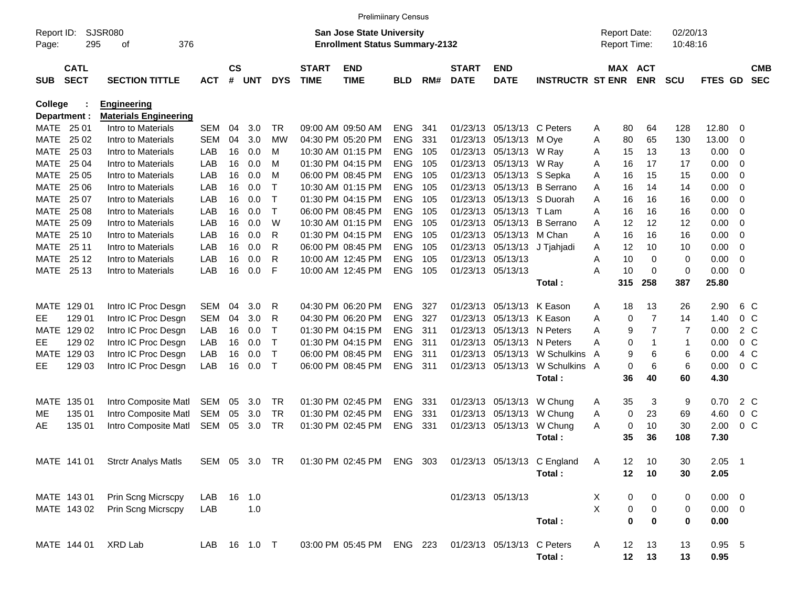|                         |                            |                                                    |               |                         |            |            |                             | <b>Prelimiinary Census</b>                                                |            |     |                             |                           |                             |                                            |             |                       |                      |             |                |                          |
|-------------------------|----------------------------|----------------------------------------------------|---------------|-------------------------|------------|------------|-----------------------------|---------------------------------------------------------------------------|------------|-----|-----------------------------|---------------------------|-----------------------------|--------------------------------------------|-------------|-----------------------|----------------------|-------------|----------------|--------------------------|
| Report ID:<br>Page:     | 295                        | SJSR080<br>376<br>οf                               |               |                         |            |            |                             | <b>San Jose State University</b><br><b>Enrollment Status Summary-2132</b> |            |     |                             |                           |                             | <b>Report Date:</b><br><b>Report Time:</b> |             |                       | 02/20/13<br>10:48:16 |             |                |                          |
| <b>SUB</b>              | <b>CATL</b><br><b>SECT</b> | <b>SECTION TITTLE</b>                              | <b>ACT</b>    | <b>CS</b><br>$\pmb{\#}$ | <b>UNT</b> | <b>DYS</b> | <b>START</b><br><b>TIME</b> | <b>END</b><br><b>TIME</b>                                                 | <b>BLD</b> | RM# | <b>START</b><br><b>DATE</b> | <b>END</b><br><b>DATE</b> | <b>INSTRUCTR ST ENR</b>     |                                            |             | MAX ACT<br><b>ENR</b> | <b>SCU</b>           | FTES GD     |                | <b>CMB</b><br><b>SEC</b> |
| College<br>Department : |                            | <b>Engineering</b><br><b>Materials Engineering</b> |               |                         |            |            |                             |                                                                           |            |     |                             |                           |                             |                                            |             |                       |                      |             |                |                          |
| MATE 25 01              |                            | Intro to Materials                                 | <b>SEM</b>    | 04                      | 3.0        | TR         |                             | 09:00 AM 09:50 AM                                                         | <b>ENG</b> | 341 | 01/23/13                    | 05/13/13                  | C Peters                    | A                                          | 80          | 64                    | 128                  | 12.80       | 0              |                          |
| MATE                    | 25 02                      | Intro to Materials                                 | <b>SEM</b>    | 04                      | 3.0        | MW         |                             | 04:30 PM 05:20 PM                                                         | <b>ENG</b> | 331 | 01/23/13                    | 05/13/13                  | M Ove                       | Α                                          | 80          | 65                    | 130                  | 13.00       | 0              |                          |
| MATE                    | 25 03                      | Intro to Materials                                 | LAB           | 16                      | 0.0        | M          |                             | 10:30 AM 01:15 PM                                                         | <b>ENG</b> | 105 | 01/23/13                    | 05/13/13                  | W Ray                       | Α                                          | 15          | 13                    | 13                   | 0.00        | 0              |                          |
| MATE                    | 25 04                      | Intro to Materials                                 | LAB           | 16                      | 0.0        | M          |                             | 01:30 PM 04:15 PM                                                         | <b>ENG</b> | 105 | 01/23/13                    | 05/13/13                  | W Ray                       | Α                                          | 16          | 17                    | 17                   | 0.00        | 0              |                          |
| MATE                    | 25 05                      | Intro to Materials                                 | LAB           | 16                      | 0.0        | M          |                             | 06:00 PM 08:45 PM                                                         | <b>ENG</b> | 105 | 01/23/13                    | 05/13/13                  | S Sepka                     | Α                                          | 16          | 15                    | 15                   | 0.00        | 0              |                          |
| MATE                    | 25 06                      | Intro to Materials                                 | LAB           | 16                      | 0.0        | т          |                             | 10:30 AM 01:15 PM                                                         | <b>ENG</b> | 105 | 01/23/13                    | 05/13/13                  | <b>B</b> Serrano            | A                                          | 16          | 14                    | 14                   | 0.00        | 0              |                          |
| MATE                    | 25 07                      | Intro to Materials                                 | LAB           | 16                      | 0.0        | т          |                             | 01:30 PM 04:15 PM                                                         | <b>ENG</b> | 105 | 01/23/13                    | 05/13/13                  | S Duorah                    | Α                                          | 16          | 16                    | 16                   | 0.00        | 0              |                          |
| MATE                    | 25 08                      | Intro to Materials                                 | LAB           | 16                      | 0.0        | Τ          |                             | 06:00 PM 08:45 PM                                                         | <b>ENG</b> | 105 | 01/23/13                    | 05/13/13                  | T Lam                       | Α                                          | 16          | 16                    | 16                   | 0.00        | 0              |                          |
| MATE                    | 25 09                      | Intro to Materials                                 | LAB           | 16                      | 0.0        | W          |                             | 10:30 AM 01:15 PM                                                         | <b>ENG</b> | 105 | 01/23/13                    | 05/13/13                  | <b>B</b> Serrano            | Α                                          | 12          | 12                    | 12                   | 0.00        | 0              |                          |
| MATE                    | 25 10                      | Intro to Materials                                 | LAB           | 16                      | 0.0        | R          |                             | 01:30 PM 04:15 PM                                                         | <b>ENG</b> | 105 | 01/23/13                    | 05/13/13                  | M Chan                      | Α                                          | 16          | 16                    | 16                   | 0.00        | 0              |                          |
| MATE                    | 25 11                      | Intro to Materials                                 | LAB           | 16                      | 0.0        | R          |                             | 06:00 PM 08:45 PM                                                         | <b>ENG</b> | 105 | 01/23/13                    | 05/13/13                  | J Tjahjadi                  | Α                                          | 12          | 10                    | 10                   | 0.00        | 0              |                          |
| MATE                    | 25 12                      | Intro to Materials                                 | LAB           | 16                      | 0.0        | R          |                             | 10:00 AM 12:45 PM                                                         | <b>ENG</b> | 105 | 01/23/13 05/13/13           |                           |                             | Α                                          | 10          | $\mathbf 0$           | 0                    | 0.00        | 0              |                          |
| MATE                    | 25 13                      | Intro to Materials                                 | LAB           | 16                      | 0.0        | F          |                             | 10:00 AM 12:45 PM                                                         | <b>ENG</b> | 105 | 01/23/13 05/13/13           |                           |                             | А                                          | 10          | 0                     | 0                    | 0.00        | 0              |                          |
|                         |                            |                                                    |               |                         |            |            |                             |                                                                           |            |     |                             |                           | Total:                      |                                            | 315         | 258                   | 387                  | 25.80       |                |                          |
| MATE                    | 129 01                     | Intro IC Proc Desgn                                | <b>SEM</b>    | 04                      | 3.0        | R          |                             | 04:30 PM 06:20 PM                                                         | <b>ENG</b> | 327 |                             | 01/23/13 05/13/13         | K Eason                     | Α                                          | 18          | 13                    | 26                   | 2.90        | 6 C            |                          |
| EE                      | 129 01                     | Intro IC Proc Desgn                                | <b>SEM</b>    | 04                      | 3.0        | R          |                             | 04:30 PM 06:20 PM                                                         | <b>ENG</b> | 327 | 01/23/13                    | 05/13/13                  | K Eason                     | Α                                          | 0           | $\overline{7}$        | 14                   | 1.40        | 0 <sup>o</sup> |                          |
| MATE                    | 129 02                     | Intro IC Proc Desgn                                | LAB           | 16                      | 0.0        | т          |                             | 01:30 PM 04:15 PM                                                         | <b>ENG</b> | 311 | 01/23/13                    | 05/13/13                  | N Peters                    | Α                                          | 9           | $\overline{7}$        | 7                    | 0.00        | 2 C            |                          |
| EE                      | 129 02                     | Intro IC Proc Desgn                                | LAB           | 16                      | 0.0        | т          |                             | 01:30 PM 04:15 PM                                                         | <b>ENG</b> | 311 | 01/23/13                    | 05/13/13                  | N Peters                    | А                                          | 0           | $\mathbf 1$           | $\mathbf 1$          | 0.00        | 0 <sup>o</sup> |                          |
| MATE                    | 129 03                     | Intro IC Proc Desgn                                | LAB           | 16                      | 0.0        | т          |                             | 06:00 PM 08:45 PM                                                         | ENG        | 311 | 01/23/13                    | 05/13/13                  | W Schulkins                 | A                                          | 9           | 6                     | 6                    | 0.00        | 4 C            |                          |
| EЕ                      | 129 03                     | Intro IC Proc Desgn                                | LAB           | 16                      | 0.0        | $\top$     |                             | 06:00 PM 08:45 PM                                                         | <b>ENG</b> | 311 |                             | 01/23/13 05/13/13         | W Schulkins                 | A                                          | 0           | 6                     | 6                    | 0.00        | 0 <sup>o</sup> |                          |
|                         |                            |                                                    |               |                         |            |            |                             |                                                                           |            |     |                             |                           | Total:                      |                                            | 36          | 40                    | 60                   | 4.30        |                |                          |
| MATE                    | 135 01                     | Intro Composite Matl                               | <b>SEM</b>    | 05                      | 3.0        | TR         |                             | 01:30 PM 02:45 PM                                                         | <b>ENG</b> | 331 | 01/23/13                    | 05/13/13                  | W Chung                     | A                                          | 35          | 3                     | 9                    | 0.70        | 2 C            |                          |
| MЕ                      | 135 01                     | Intro Composite Matl                               | <b>SEM</b>    | 05                      | 3.0        | <b>TR</b>  |                             | 01:30 PM 02:45 PM                                                         | <b>ENG</b> | 331 | 01/23/13                    | 05/13/13                  | W Chung                     | Α                                          | 0           | 23                    | 69                   | 4.60        | 0 <sup>o</sup> |                          |
| AE                      | 135 01                     | Intro Composite Matl                               | <b>SEM</b>    | 05                      | 3.0        | <b>TR</b>  |                             | 01:30 PM 02:45 PM                                                         | ENG        | 331 |                             | 01/23/13 05/13/13         | W Chung                     | A                                          | 0           | 10                    | 30                   | 2.00        | 0 <sup>o</sup> |                          |
|                         |                            |                                                    |               |                         |            |            |                             |                                                                           |            |     |                             |                           | Total:                      |                                            | 35          | 36                    | 108                  | 7.30        |                |                          |
|                         |                            | MATE 141 01 Strctr Analys Matls                    | SEM 05 3.0 TR |                         |            |            |                             | 01:30 PM 02:45 PM ENG 303                                                 |            |     |                             |                           | 01/23/13 05/13/13 C England | Α                                          | 12          | 10                    | $30\,$               | $2.05$ 1    |                |                          |
|                         |                            |                                                    |               |                         |            |            |                             |                                                                           |            |     |                             |                           | Total:                      |                                            | 12          | 10                    | 30                   | 2.05        |                |                          |
|                         | MATE 143 01                | Prin Scng Micrscpy                                 | LAB           | 16                      | 1.0        |            |                             |                                                                           |            |     |                             | 01/23/13 05/13/13         |                             | X                                          | 0           | $\boldsymbol{0}$      | 0                    | $0.00 \t 0$ |                |                          |
|                         | MATE 143 02                | Prin Scng Micrscpy                                 | LAB           |                         | 1.0        |            |                             |                                                                           |            |     |                             |                           |                             | X                                          | $\pmb{0}$   | $\boldsymbol{0}$      | 0                    | $0.00 \t 0$ |                |                          |
|                         |                            |                                                    |               |                         |            |            |                             |                                                                           |            |     |                             |                           | Total:                      |                                            | $\mathbf 0$ | $\mathbf 0$           | 0                    | 0.00        |                |                          |
|                         | MATE 144 01                | XRD Lab                                            | LAB           |                         | 16 1.0 T   |            |                             | 03:00 PM 05:45 PM                                                         | ENG 223    |     |                             | 01/23/13 05/13/13         | C Peters                    | A                                          | 12          | 13                    | 13                   | $0.95$ 5    |                |                          |
|                         |                            |                                                    |               |                         |            |            |                             |                                                                           |            |     |                             |                           | Total:                      |                                            | 12          | 13                    | 13                   | 0.95        |                |                          |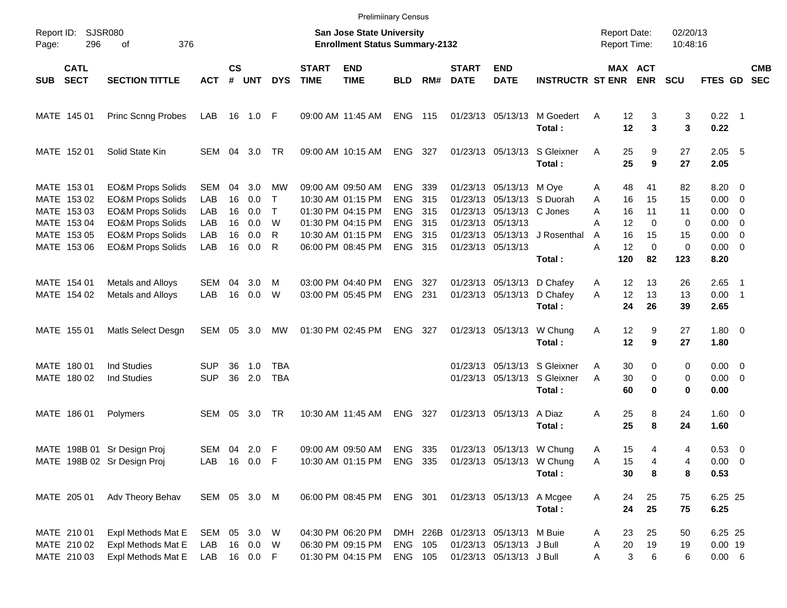|                                                            |                                                                                                                              |                          |                      |                                      |                             |                             |                                                                                  | <b>Prelimiinary Census</b>                    |                          |                             |                                                                                           |                                                                        |                     |                                                |                               |                                                         |                          |
|------------------------------------------------------------|------------------------------------------------------------------------------------------------------------------------------|--------------------------|----------------------|--------------------------------------|-----------------------------|-----------------------------|----------------------------------------------------------------------------------|-----------------------------------------------|--------------------------|-----------------------------|-------------------------------------------------------------------------------------------|------------------------------------------------------------------------|---------------------|------------------------------------------------|-------------------------------|---------------------------------------------------------|--------------------------|
| Report ID:<br>296<br>Page:                                 | SJSR080<br>376<br>οf                                                                                                         |                          |                      |                                      |                             |                             | <b>San Jose State University</b><br><b>Enrollment Status Summary-2132</b>        |                                               |                          |                             |                                                                                           |                                                                        | <b>Report Date:</b> | <b>Report Time:</b>                            | 02/20/13<br>10:48:16          |                                                         |                          |
| <b>CATL</b><br><b>SECT</b><br><b>SUB</b>                   | <b>SECTION TITTLE</b>                                                                                                        | <b>ACT</b>               | <b>CS</b><br>#       | <b>UNT</b>                           | <b>DYS</b>                  | <b>START</b><br><b>TIME</b> | <b>END</b><br><b>TIME</b>                                                        | <b>BLD</b>                                    | RM#                      | <b>START</b><br><b>DATE</b> | <b>END</b><br><b>DATE</b>                                                                 | <b>INSTRUCTR ST ENR</b>                                                |                     | MAX ACT<br><b>ENR</b>                          | <b>SCU</b>                    | <b>FTES GD</b>                                          | <b>CMB</b><br><b>SEC</b> |
| MATE 145 01                                                | Princ Scnng Probes                                                                                                           | LAB                      |                      | 16 1.0 F                             |                             |                             | 09:00 AM 11:45 AM                                                                | <b>ENG</b>                                    | 115                      |                             | 01/23/13 05/13/13                                                                         | M Goedert<br>Total:                                                    | Α                   | 12<br>3<br>12<br>3                             | 3<br>3                        | $0.22$ 1<br>0.22                                        |                          |
| MATE 152 01                                                | Solid State Kin                                                                                                              | SEM 04                   |                      | 3.0                                  | TR                          |                             | 09:00 AM 10:15 AM                                                                | <b>ENG</b>                                    | - 327                    |                             |                                                                                           | 01/23/13 05/13/13 S Gleixner<br>Total:                                 | Α                   | 25<br>9<br>25<br>9                             | 27<br>27                      | $2.05$ 5<br>2.05                                        |                          |
| MATE 153 01<br>MATE 153 02<br>MATE 153 03<br>MATE 153 04   | <b>EO&amp;M Props Solids</b><br><b>EO&amp;M Props Solids</b><br><b>EO&amp;M Props Solids</b><br><b>EO&amp;M Props Solids</b> | SEM<br>LAB<br>LAB<br>LAB | 04<br>16<br>16<br>16 | 3.0<br>0.0<br>0.0<br>0.0             | МW<br>$\top$<br>$\top$<br>W |                             | 09:00 AM 09:50 AM<br>10:30 AM 01:15 PM<br>01:30 PM 04:15 PM<br>01:30 PM 04:15 PM | ENG<br><b>ENG</b><br><b>ENG</b><br><b>ENG</b> | 339<br>315<br>315<br>315 |                             | 01/23/13 05/13/13 M Oye<br>01/23/13 05/13/13 C Jones<br>01/23/13 05/13/13                 | 01/23/13 05/13/13 S Duorah                                             | Α<br>A<br>Α<br>Α    | 48<br>41<br>15<br>16<br>11<br>16<br>12<br>0    | 82<br>15<br>11<br>$\mathbf 0$ | $8.20 \ 0$<br>$0.00 \t 0$<br>$0.00 \t 0$<br>$0.00 \t 0$ |                          |
| MATE 153 05<br>MATE 153 06                                 | <b>EO&amp;M Props Solids</b><br><b>EO&amp;M Props Solids</b>                                                                 | LAB<br>LAB               | 16<br>16             | 0.0<br>0.0                           | R<br>R                      |                             | 10:30 AM 01:15 PM<br>06:00 PM 08:45 PM                                           | <b>ENG</b><br><b>ENG</b>                      | 315<br>315               |                             | 01/23/13 05/13/13                                                                         | 01/23/13 05/13/13 J Rosenthal<br>Total:                                | A<br>Α<br>120       | 16<br>15<br>12<br>0<br>82                      | 15<br>$\mathbf 0$<br>123      | $0.00 \ 0$<br>$0.00 \t 0$<br>8.20                       |                          |
| MATE 154 01<br>MATE 154 02                                 | Metals and Alloys<br>Metals and Alloys                                                                                       | SEM<br>LAB               | 04<br>16             | 3.0<br>0.0                           | M<br>W                      |                             | 03:00 PM 04:40 PM<br>03:00 PM 05:45 PM                                           | <b>ENG</b><br><b>ENG</b>                      | 327<br>231               |                             |                                                                                           | 01/23/13 05/13/13 D Chafev<br>01/23/13 05/13/13 D Chafey<br>Total:     | A<br>A              | 12<br>13<br>13<br>12<br>24<br>26               | 26<br>13<br>39                | $2.65$ 1<br>$0.00$ 1<br>2.65                            |                          |
| MATE 155 01                                                | Matls Select Desgn                                                                                                           | SEM                      |                      | 05 3.0                               | МW                          |                             | 01:30 PM 02:45 PM                                                                | <b>ENG</b>                                    | 327                      |                             | 01/23/13 05/13/13                                                                         | W Chung<br>Total:                                                      | Α                   | 12<br>9<br>12<br>9                             | 27<br>27                      | $1.80 \ 0$<br>1.80                                      |                          |
| MATE 180 01<br>MATE 180 02                                 | <b>Ind Studies</b><br>Ind Studies                                                                                            | SUP<br><b>SUP</b>        | 36<br>36             | 1.0<br>2.0                           | TBA<br><b>TBA</b>           |                             |                                                                                  |                                               |                          |                             |                                                                                           | 01/23/13 05/13/13 S Gleixner<br>01/23/13 05/13/13 S Gleixner<br>Total: | Α<br>A              | 30<br>0<br>$\mathbf 0$<br>30<br>60<br>$\bf{0}$ | 0<br>0<br>0                   | $0.00 \t 0$<br>$0.00 \t 0$<br>0.00                      |                          |
| MATE 186 01                                                | Polymers                                                                                                                     | SEM                      | 05                   | 3.0                                  | TR                          |                             | 10:30 AM 11:45 AM                                                                | <b>ENG</b>                                    | 327                      |                             | 01/23/13 05/13/13                                                                         | A Diaz<br>Total:                                                       | Α                   | 25<br>8<br>25<br>8                             | 24<br>24                      | $1.60 \ 0$<br>1.60                                      |                          |
| MATE 198B 01 Sr Design Proj<br>MATE 198B 02 Sr Design Proj |                                                                                                                              | SEM 04 2.0 F<br>LAB      |                      | 16  0.0  F                           |                             |                             | 09:00 AM 09:50 AM<br>10:30 AM 01:15 PM ENG 335 01/23/13 05/13/13 W Chung         | ENG 335                                       |                          |                             |                                                                                           | 01/23/13 05/13/13 W Chung<br>Total:                                    | A<br>Α              | 15<br>4<br>15<br>4<br>30<br>8                  | 4<br>4<br>8                   | 0.53 0<br>$0.00 \t 0$<br>0.53                           |                          |
| MATE 205 01                                                | Adv Theory Behav                                                                                                             | SEM 05 3.0 M             |                      |                                      |                             |                             | 06:00 PM 08:45 PM                                                                | ENG 301                                       |                          |                             | 01/23/13 05/13/13 A Mcgee                                                                 | Total:                                                                 | Α                   | 25<br>24<br>24<br>25                           | 75<br>75                      | 6.25 25<br>6.25                                         |                          |
| MATE 210 01<br>MATE 210 02<br>MATE 210 03                  | Expl Methods Mat E<br>Expl Methods Mat E<br>Expl Methods Mat E                                                               | SEM<br>LAB<br>LAB        |                      | 05 3.0 W<br>16  0.0  W<br>16  0.0  F |                             |                             | 04:30 PM 06:20 PM<br>06:30 PM 09:15 PM<br>01:30 PM 04:15 PM                      | <b>ENG</b><br>ENG 105                         | 105                      |                             | DMH 226B 01/23/13 05/13/13 M Buie<br>01/23/13 05/13/13 J Bull<br>01/23/13 05/13/13 J Bull |                                                                        | A<br>Α<br>Α         | 25<br>23<br>20<br>19<br>3<br>6                 | 50<br>19<br>6                 | 6.25 25<br>$0.00$ 19<br>$0.00\ 6$                       |                          |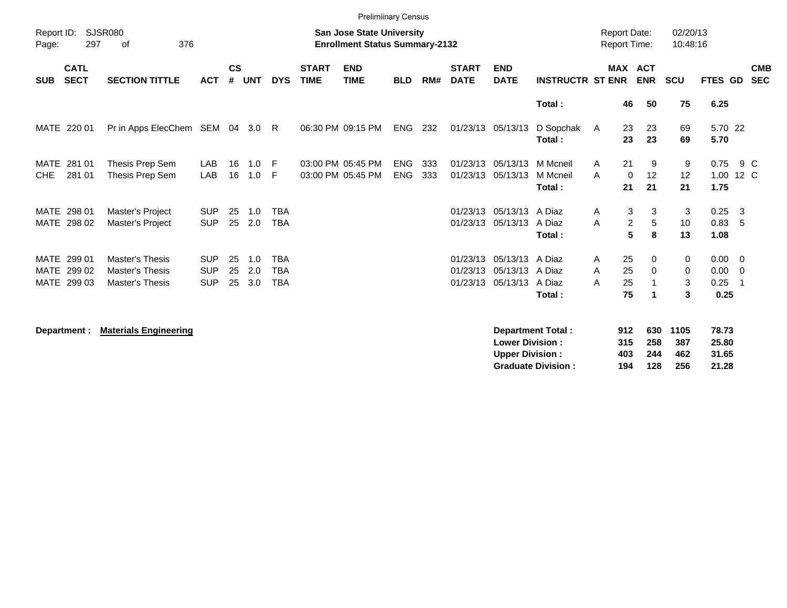|                     | <b>Prelimiinary Census</b>           |                                                                            |                                        |                |                   |                                        |                             |                                                                           |                          |            |                             |                                                    |                                      |                                            |                                         |                             |                                   |                                                          |                          |
|---------------------|--------------------------------------|----------------------------------------------------------------------------|----------------------------------------|----------------|-------------------|----------------------------------------|-----------------------------|---------------------------------------------------------------------------|--------------------------|------------|-----------------------------|----------------------------------------------------|--------------------------------------|--------------------------------------------|-----------------------------------------|-----------------------------|-----------------------------------|----------------------------------------------------------|--------------------------|
| Report ID:<br>Page: | 297                                  | <b>SJSR080</b><br>376<br>οf                                                |                                        |                |                   |                                        |                             | <b>San Jose State University</b><br><b>Enrollment Status Summary-2132</b> |                          |            |                             |                                                    |                                      | <b>Report Date:</b><br><b>Report Time:</b> |                                         | 02/20/13<br>10:48:16        |                                   |                                                          |                          |
| <b>SUB</b>          | <b>CATL</b><br><b>SECT</b>           | <b>SECTION TITTLE</b>                                                      | <b>ACT</b>                             | <b>CS</b><br># | <b>UNT</b>        | <b>DYS</b>                             | <b>START</b><br><b>TIME</b> | <b>END</b><br><b>TIME</b>                                                 | <b>BLD</b>               | RM#        | <b>START</b><br><b>DATE</b> | <b>END</b><br><b>DATE</b>                          | <b>INSTRUCTR ST ENR</b>              |                                            | <b>MAX ACT</b><br><b>ENR</b>            | <b>SCU</b>                  | FTES GD                           |                                                          | <b>CMB</b><br><b>SEC</b> |
|                     |                                      |                                                                            |                                        |                |                   |                                        |                             |                                                                           |                          |            |                             |                                                    | Total:                               | 46                                         | 50                                      | 75                          | 6.25                              |                                                          |                          |
|                     | MATE 220 01                          | Pr in Apps ElecChem SEM 04                                                 |                                        |                | 3.0 R             |                                        |                             | 06:30 PM 09:15 PM                                                         | ENG                      | 232        |                             | 01/23/13 05/13/13                                  | D Sopchak<br>Total:                  | 23<br>A<br>23                              | 23<br>23                                | 69<br>69                    | 5.70 22<br>5.70                   |                                                          |                          |
| MATE<br><b>CHE</b>  | 281 01<br>281 01                     | Thesis Prep Sem<br>Thesis Prep Sem                                         | LAB<br>LAB                             | 16<br>16       | 1.0<br>1.0        | - F<br>-F                              |                             | 03:00 PM 05:45 PM<br>03:00 PM 05:45 PM                                    | <b>ENG</b><br><b>ENG</b> | 333<br>333 |                             | 01/23/13 05/13/13<br>01/23/13 05/13/13             | M Mcneil<br>M Mcneil<br>Total:       | 21<br>A<br>A<br>21                         | 9<br>12<br>$\mathbf 0$<br>21            | 9<br>12<br>21               | 0.75<br>1.00<br>1.75              | 9 C<br>12 C                                              |                          |
|                     | MATE 298 01<br>MATE 298 02           | Master's Project<br>Master's Project                                       | <b>SUP</b><br><b>SUP</b>               | 25<br>25       | 1.0<br>2.0        | <b>TBA</b><br><b>TBA</b>               |                             |                                                                           |                          |            |                             | 01/23/13 05/13/13<br>01/23/13 05/13/13             | A Diaz<br>A Diaz<br>Total:           | Α<br>A                                     | 3<br>3<br>$\overline{2}$<br>5<br>5<br>8 | 3<br>10<br>13               | $0.25 \quad 3$<br>0.83, 5<br>1.08 |                                                          |                          |
| MATE                | MATE 299 01<br>299 02<br>MATE 299 03 | <b>Master's Thesis</b><br><b>Master's Thesis</b><br><b>Master's Thesis</b> | <b>SUP</b><br><b>SUP</b><br><b>SUP</b> | 25<br>25<br>25 | 1.0<br>2.0<br>3.0 | <b>TBA</b><br><b>TBA</b><br><b>TBA</b> |                             |                                                                           |                          |            | 01/23/13                    | 01/23/13 05/13/13<br>05/13/13<br>01/23/13 05/13/13 | A Diaz<br>A Diaz<br>A Diaz<br>Total: | 25<br>A<br>25<br>A<br>25<br>A<br>75        | $\Omega$<br>0                           | $\mathbf{0}$<br>0<br>3<br>3 | 0.00<br>0.00<br>0.25<br>0.25      | $\overline{\mathbf{0}}$<br>$\overline{\mathbf{0}}$<br>-1 |                          |
|                     | Department :                         | <b>Materials Engineering</b>                                               |                                        |                |                   |                                        |                             |                                                                           |                          |            |                             | <b>Lower Division:</b>                             | <b>Department Total:</b>             | 912<br>315                                 | 630<br>258                              | 1105<br>387                 | 78.73<br>25.80                    |                                                          |                          |

**Upper Division : 403 244 462 31.65 Graduate Division : 194 128 256 21.28**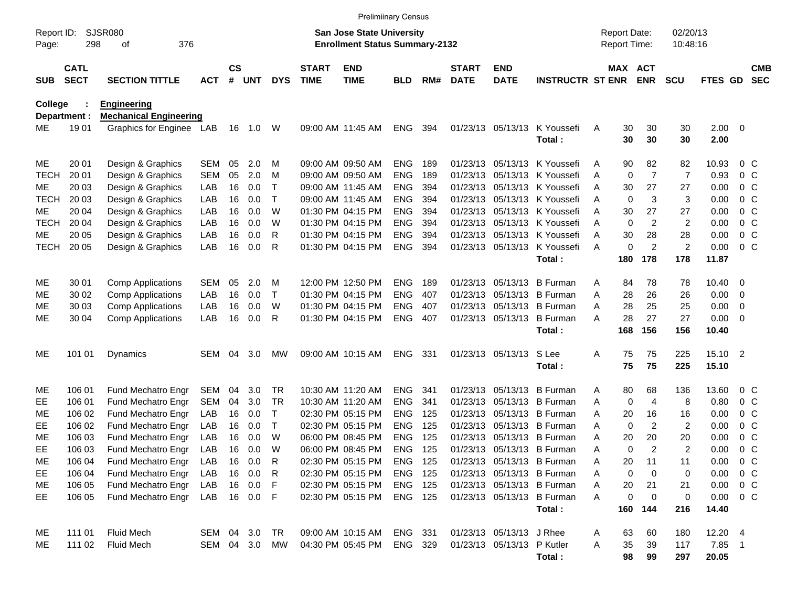|                     |                            |                               |            |                    |            |            |                             | <b>Prelimiinary Census</b>                                                |                |     |                             |                            |                              |   |                                     |                |                      |                     |                         |                          |
|---------------------|----------------------------|-------------------------------|------------|--------------------|------------|------------|-----------------------------|---------------------------------------------------------------------------|----------------|-----|-----------------------------|----------------------------|------------------------------|---|-------------------------------------|----------------|----------------------|---------------------|-------------------------|--------------------------|
| Report ID:<br>Page: | 298                        | <b>SJSR080</b><br>376<br>οf   |            |                    |            |            |                             | <b>San Jose State University</b><br><b>Enrollment Status Summary-2132</b> |                |     |                             |                            |                              |   | <b>Report Date:</b><br>Report Time: |                | 02/20/13<br>10:48:16 |                     |                         |                          |
| <b>SUB</b>          | <b>CATL</b><br><b>SECT</b> | <b>SECTION TITTLE</b>         | <b>ACT</b> | $\mathsf{cs}$<br># | <b>UNT</b> | <b>DYS</b> | <b>START</b><br><b>TIME</b> | <b>END</b><br><b>TIME</b>                                                 | <b>BLD</b>     | RM# | <b>START</b><br><b>DATE</b> | <b>END</b><br><b>DATE</b>  | <b>INSTRUCTR ST ENR</b>      |   | MAX ACT                             | <b>ENR</b>     | <b>SCU</b>           | FTES GD             |                         | <b>CMB</b><br><b>SEC</b> |
| <b>College</b>      |                            | <b>Engineering</b>            |            |                    |            |            |                             |                                                                           |                |     |                             |                            |                              |   |                                     |                |                      |                     |                         |                          |
| Department :        |                            | <b>Mechanical Engineering</b> |            |                    |            |            |                             |                                                                           |                |     |                             |                            |                              |   |                                     |                |                      |                     |                         |                          |
| ME                  | 1901                       | Graphics for Enginee LAB      |            |                    | 16  1.0  W |            |                             | 09:00 AM 11:45 AM                                                         | <b>ENG</b>     | 394 |                             | 01/23/13 05/13/13          | K Youssefi<br>Total:         | Α | 30<br>30                            | 30<br>30       | 30<br>30             | $2.00 \t 0$<br>2.00 |                         |                          |
| ME                  | 20 01                      | Design & Graphics             | <b>SEM</b> | 05                 | 2.0        | м          |                             | 09:00 AM 09:50 AM                                                         | ENG            | 189 | 01/23/13                    | 05/13/13                   | K Youssefi                   | Α | 90                                  | 82             | 82                   | 10.93               | $0\,$ C                 |                          |
| <b>TECH</b>         | 20 01                      | Design & Graphics             | <b>SEM</b> | 05                 | 2.0        | M          |                             | 09:00 AM 09:50 AM                                                         | <b>ENG</b>     | 189 | 01/23/13                    |                            | 05/13/13 K Youssefi          | Α | $\mathbf 0$                         | $\overline{7}$ | $\overline{7}$       | 0.93                | 0 <sup>o</sup>          |                          |
| ME                  | 20 03                      | Design & Graphics             | LAB        | 16                 | 0.0        | т          |                             | 09:00 AM 11:45 AM                                                         | <b>ENG</b>     | 394 | 01/23/13                    |                            | 05/13/13 K Youssefi          | A | 30                                  | 27             | 27                   | 0.00                | 0 <sup>o</sup>          |                          |
| <b>TECH</b>         | 20 03                      | Design & Graphics             | LAB        | 16                 | 0.0        | Т          |                             | 09:00 AM 11:45 AM                                                         | <b>ENG</b>     | 394 | 01/23/13                    |                            | 05/13/13 K Youssefi          | A | 0                                   | 3              | 3                    | 0.00                | 0 <sup>o</sup>          |                          |
| ME                  | 20 04                      | Design & Graphics             | LAB        | 16                 | 0.0        | W          |                             | 01:30 PM 04:15 PM                                                         | <b>ENG</b>     | 394 | 01/23/13                    |                            | 05/13/13 K Youssefi          | A | 30                                  | 27             | 27                   | 0.00                | 0 <sup>o</sup>          |                          |
| <b>TECH</b>         | 20 04                      | Design & Graphics             | LAB        | 16                 | 0.0        | W          |                             | 01:30 PM 04:15 PM                                                         | <b>ENG</b>     | 394 | 01/23/13                    |                            | 05/13/13 K Youssefi          | A | $\mathbf 0$                         | 2              | 2                    | 0.00                | 0 <sup>o</sup>          |                          |
| ME                  | 20 05                      | Design & Graphics             | LAB        | 16                 | 0.0        | R          |                             | 01:30 PM 04:15 PM                                                         | <b>ENG</b>     | 394 | 01/23/13                    |                            | 05/13/13 K Youssefi          | A | 30                                  | 28             | 28                   | 0.00                | 0 <sup>o</sup>          |                          |
| <b>TECH</b>         | 20 05                      | Design & Graphics             | LAB        | 16                 | 0.0        | R          |                             | 01:30 PM 04:15 PM                                                         | <b>ENG</b>     | 394 |                             |                            | 01/23/13 05/13/13 K Youssefi | A | 0                                   | $\overline{2}$ | 2                    | 0.00                | 0 <sup>o</sup>          |                          |
|                     |                            |                               |            |                    |            |            |                             |                                                                           |                |     |                             |                            | Total:                       |   | 180                                 | 178            | 178                  | 11.87               |                         |                          |
| ME                  | 30 01                      | <b>Comp Applications</b>      | <b>SEM</b> | 05                 | 2.0        | м          |                             | 12:00 PM 12:50 PM                                                         | <b>ENG</b>     | 189 | 01/23/13                    | 05/13/13                   | <b>B</b> Furman              | A | 84                                  | 78             | 78                   | 10.40               | $\overline{0}$          |                          |
| ME                  | 30 02                      | <b>Comp Applications</b>      | LAB        | 16                 | 0.0        | T          |                             | 01:30 PM 04:15 PM                                                         | <b>ENG</b>     | 407 | 01/23/13                    | 05/13/13                   | <b>B</b> Furman              | A | 28                                  | 26             | 26                   | 0.00                | $\overline{\mathbf{0}}$ |                          |
| ME                  | 30 03                      | <b>Comp Applications</b>      | LAB        | 16                 | 0.0        | W          |                             | 01:30 PM 04:15 PM                                                         | <b>ENG</b>     | 407 | 01/23/13                    | 05/13/13                   | <b>B</b> Furman              | A | 28                                  | 25             | 25                   | 0.00                | 0                       |                          |
| ME                  | 30 04                      | <b>Comp Applications</b>      | LAB        | 16                 | 0.0        | R          |                             | 01:30 PM 04:15 PM                                                         | <b>ENG</b>     | 407 |                             | 01/23/13 05/13/13          | <b>B</b> Furman              | А | 28                                  | 27             | 27                   | 0.00                | $\overline{\mathbf{0}}$ |                          |
|                     |                            |                               |            |                    |            |            |                             |                                                                           |                |     |                             |                            | Total:                       |   | 168                                 | 156            | 156                  | 10.40               |                         |                          |
| ME                  | 101 01                     | Dynamics                      | SEM        | 04                 | 3.0        | MW         |                             | 09:00 AM 10:15 AM                                                         | <b>ENG</b>     | 331 |                             | 01/23/13 05/13/13          | S Lee                        | Α | 75                                  | 75             | 225                  | 15.10 2             |                         |                          |
|                     |                            |                               |            |                    |            |            |                             |                                                                           |                |     |                             |                            | Total:                       |   | 75                                  | 75             | 225                  | 15.10               |                         |                          |
| ME                  | 106 01                     | Fund Mechatro Engr            | SEM        | 04                 | 3.0        | TR.        |                             | 10:30 AM 11:20 AM                                                         | <b>ENG</b>     | 341 | 01/23/13                    | 05/13/13                   | <b>B</b> Furman              | A | 80                                  | 68             | 136                  | 13.60               | $0\,$ C                 |                          |
| EE                  | 106 01                     | Fund Mechatro Engr            | <b>SEM</b> | 04                 | 3.0        | TR         |                             | 10:30 AM 11:20 AM                                                         | <b>ENG</b>     | 341 | 01/23/13                    | 05/13/13                   | <b>B</b> Furman              | A | $\mathbf 0$                         | 4              | 8                    | 0.80                | 0 <sup>o</sup>          |                          |
| ME                  | 106 02                     | Fund Mechatro Engr            | LAB        | 16                 | 0.0        | т          |                             | 02:30 PM 05:15 PM                                                         | <b>ENG</b>     | 125 | 01/23/13                    | 05/13/13                   | <b>B</b> Furman              | A | 20                                  | 16             | 16                   | 0.00                | 0 <sup>o</sup>          |                          |
| EE                  | 106 02                     | Fund Mechatro Engr            | LAB        | 16                 | 0.0        | T          |                             | 02:30 PM 05:15 PM                                                         | <b>ENG</b>     | 125 | 01/23/13                    | 05/13/13                   | B Furman                     | A | 0                                   | $\overline{c}$ | 2                    | 0.00                | 0 <sup>o</sup>          |                          |
| МE                  | 106 03                     | Fund Mechatro Engr            | LAB        | 16                 | 0.0        | W          |                             | 06:00 PM 08:45 PM                                                         | <b>ENG</b>     | 125 | 01/23/13                    | 05/13/13                   | <b>B</b> Furman              | A | 20                                  | 20             | 20                   | 0.00                | 0 <sup>o</sup>          |                          |
| EE                  | 106 03                     | Fund Mechatro Engr            | LAB        | 16                 | 0.0        | W          |                             | 06:00 PM 08:45 PM                                                         | <b>ENG</b>     | 125 |                             |                            | 01/23/13 05/13/13 B Furman   | A | 0                                   | $\overline{2}$ | $\overline{2}$       | 0.00                | 0 <sup>o</sup>          |                          |
| ME                  | 106 04                     | Fund Mechatro Engr            | LAB        |                    | 16 0.0     | R          |                             | 02:30 PM 05:15 PM                                                         | ENG            | 125 |                             |                            | 01/23/13 05/13/13 B Furman   | Α | 20                                  | 11             | 11                   | 0.00                | $0\,$ C                 |                          |
| EE                  | 106 04                     | Fund Mechatro Engr            | LAB        |                    | 16 0.0     | R          |                             | 02:30 PM 05:15 PM                                                         | ENG            | 125 |                             |                            | 01/23/13 05/13/13 B Furman   | A | 0                                   | 0              | 0                    | 0.00                | 0 <sup>o</sup>          |                          |
| ME                  | 106 05                     | Fund Mechatro Engr            | LAB        |                    | 16 0.0     | F          |                             | 02:30 PM 05:15 PM                                                         | <b>ENG 125</b> |     |                             |                            | 01/23/13 05/13/13 B Furman   | A | 20                                  | 21             | 21                   | 0.00                | $0\,$ C                 |                          |
| EE                  | 106 05                     | Fund Mechatro Engr            | LAB        |                    | 16  0.0  F |            |                             | 02:30 PM 05:15 PM                                                         | <b>ENG 125</b> |     |                             |                            | 01/23/13 05/13/13 B Furman   | A | 0                                   | $\mathbf 0$    | 0                    | 0.00                | $0\,$ C                 |                          |
|                     |                            |                               |            |                    |            |            |                             |                                                                           |                |     |                             |                            | Total:                       |   |                                     | 160 144        | 216                  | 14.40               |                         |                          |
| ME                  | 111 01                     | <b>Fluid Mech</b>             | SEM 04 3.0 |                    |            | TR         |                             | 09:00 AM 10:15 AM                                                         | ENG 331        |     |                             | 01/23/13 05/13/13 J Rhee   |                              | A | 63                                  | 60             | 180                  | 12.20 4             |                         |                          |
| ME                  | 111 02                     | Fluid Mech                    | SEM 04 3.0 |                    |            | MW         |                             | 04:30 PM 05:45 PM                                                         | ENG 329        |     |                             | 01/23/13 05/13/13 P Kutler |                              | A | 35                                  | 39             | 117                  | 7.85 1              |                         |                          |
|                     |                            |                               |            |                    |            |            |                             |                                                                           |                |     |                             |                            | Total:                       |   | 98                                  | 99             | 297                  | 20.05               |                         |                          |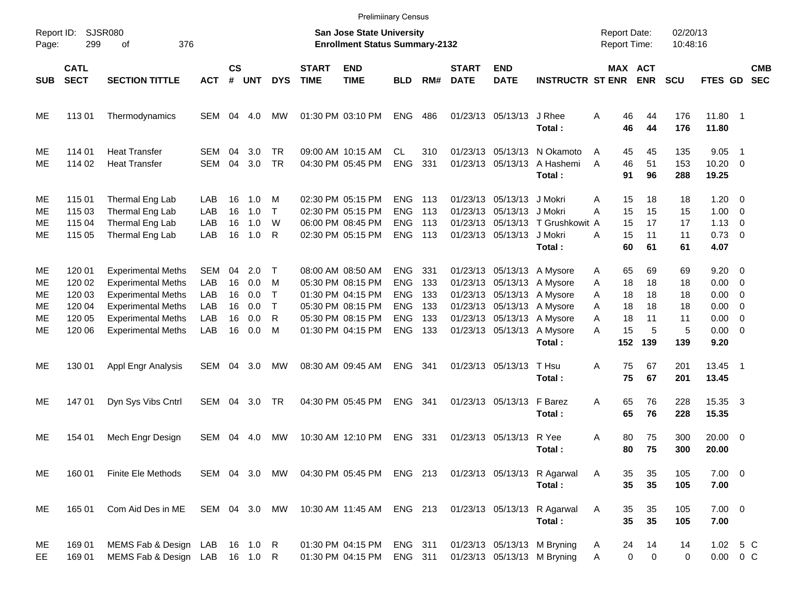|                                  |                                                          |                                                                                                                                                                            |                                               |                                  |                                        |                                                 |                             | <b>Prelimiinary Census</b>                                                                                                 |                                                                                  |                                        |                             |                                                                    |                                                                                                                                                                          |                                                                       |                                        |                                        |                                                                                               |                |                          |
|----------------------------------|----------------------------------------------------------|----------------------------------------------------------------------------------------------------------------------------------------------------------------------------|-----------------------------------------------|----------------------------------|----------------------------------------|-------------------------------------------------|-----------------------------|----------------------------------------------------------------------------------------------------------------------------|----------------------------------------------------------------------------------|----------------------------------------|-----------------------------|--------------------------------------------------------------------|--------------------------------------------------------------------------------------------------------------------------------------------------------------------------|-----------------------------------------------------------------------|----------------------------------------|----------------------------------------|-----------------------------------------------------------------------------------------------|----------------|--------------------------|
| Report ID:<br>Page:              | 299                                                      | <b>SJSR080</b><br>376<br>οf                                                                                                                                                |                                               |                                  |                                        |                                                 |                             | <b>San Jose State University</b><br><b>Enrollment Status Summary-2132</b>                                                  |                                                                                  |                                        |                             |                                                                    |                                                                                                                                                                          | <b>Report Date:</b><br><b>Report Time:</b>                            |                                        | 02/20/13<br>10:48:16                   |                                                                                               |                |                          |
| <b>SUB</b>                       | <b>CATL</b><br><b>SECT</b>                               | <b>SECTION TITTLE</b>                                                                                                                                                      | <b>ACT</b>                                    | $\mathsf{cs}$<br>#               | <b>UNT</b>                             | <b>DYS</b>                                      | <b>START</b><br><b>TIME</b> | <b>END</b><br><b>TIME</b>                                                                                                  | <b>BLD</b>                                                                       | RM#                                    | <b>START</b><br><b>DATE</b> | <b>END</b><br><b>DATE</b>                                          | <b>INSTRUCTR ST ENR</b>                                                                                                                                                  | MAX ACT                                                               | <b>ENR</b>                             | <b>SCU</b>                             | <b>FTES GD</b>                                                                                |                | <b>CMB</b><br><b>SEC</b> |
| ME                               | 11301                                                    | Thermodynamics                                                                                                                                                             | SEM                                           | 04                               | 4.0                                    | MW                                              |                             | 01:30 PM 03:10 PM                                                                                                          | <b>ENG</b>                                                                       | 486                                    |                             | 01/23/13 05/13/13                                                  | J Rhee<br>Total:                                                                                                                                                         | 46<br>A<br>46                                                         | 44<br>44                               | 176<br>176                             | 11.80 1<br>11.80                                                                              |                |                          |
| ME<br>ME                         | 114 01<br>114 02                                         | <b>Heat Transfer</b><br><b>Heat Transfer</b>                                                                                                                               | SEM<br>SEM                                    | 04<br>04                         | 3.0<br>3.0                             | <b>TR</b><br><b>TR</b>                          |                             | 09:00 AM 10:15 AM<br>04:30 PM 05:45 PM                                                                                     | <b>CL</b><br><b>ENG</b>                                                          | 310<br>331                             |                             | 01/23/13 05/13/13                                                  | 01/23/13 05/13/13 N Okamoto<br>A Hashemi<br>Total:                                                                                                                       | 45<br>A<br>46<br>A<br>91                                              | 45<br>51<br>96                         | 135<br>153<br>288                      | 9.05<br>$10.20 \t 0$<br>19.25                                                                 | $\overline{1}$ |                          |
| ME<br>ME<br>ME<br>ME             | 115 01<br>115 03<br>115 04<br>115 05                     | Thermal Eng Lab<br>Thermal Eng Lab<br>Thermal Eng Lab<br>Thermal Eng Lab                                                                                                   | LAB<br>LAB<br>LAB<br>LAB                      | 16<br>16<br>16<br>16             | 1.0<br>1.0<br>1.0<br>1.0               | M<br>$\top$<br>W<br>R                           |                             | 02:30 PM 05:15 PM<br>02:30 PM 05:15 PM<br>06:00 PM 08:45 PM<br>02:30 PM 05:15 PM                                           | ENG.<br><b>ENG</b><br><b>ENG</b><br><b>ENG</b>                                   | 113<br>113<br>113<br>113               | 01/23/13                    | 01/23/13 05/13/13 J Mokri<br>05/13/13 J Mokri<br>01/23/13 05/13/13 | 01/23/13 05/13/13 T Grushkowit A<br>J Mokri<br>Total:                                                                                                                    | 15<br>A<br>15<br>A<br>15<br>15<br>A<br>60                             | 18<br>15<br>17<br>11<br>61             | 18<br>15<br>17<br>11<br>61             | $1.20 \t 0$<br>$1.00 \t 0$<br>$1.13 \ 0$<br>$0.73 \quad 0$<br>4.07                            |                |                          |
| ME<br>ME<br>ME<br>ME<br>ME<br>ME | 120 01<br>120 02<br>120 03<br>120 04<br>120 05<br>120 06 | <b>Experimental Meths</b><br><b>Experimental Meths</b><br><b>Experimental Meths</b><br><b>Experimental Meths</b><br><b>Experimental Meths</b><br><b>Experimental Meths</b> | <b>SEM</b><br>LAB<br>LAB<br>LAB<br>LAB<br>LAB | 04<br>16<br>16<br>16<br>16<br>16 | 2.0<br>0.0<br>0.0<br>0.0<br>0.0<br>0.0 | $\top$<br>M<br>$\top$<br>$\mathsf{T}$<br>R<br>M |                             | 08:00 AM 08:50 AM<br>05:30 PM 08:15 PM<br>01:30 PM 04:15 PM<br>05:30 PM 08:15 PM<br>05:30 PM 08:15 PM<br>01:30 PM 04:15 PM | <b>ENG</b><br><b>ENG</b><br><b>ENG</b><br><b>ENG</b><br><b>ENG</b><br><b>ENG</b> | 331<br>133<br>133<br>133<br>133<br>133 |                             | 01/23/13 05/13/13                                                  | 01/23/13 05/13/13 A Mysore<br>01/23/13 05/13/13 A Mysore<br>01/23/13 05/13/13 A Mysore<br>01/23/13 05/13/13 A Mysore<br>01/23/13 05/13/13 A Mysore<br>A Mysore<br>Total: | 65<br>A<br>18<br>A<br>18<br>A<br>18<br>A<br>A<br>18<br>15<br>A<br>152 | 69<br>18<br>18<br>18<br>11<br>5<br>139 | 69<br>18<br>18<br>18<br>11<br>5<br>139 | $9.20 \ 0$<br>$0.00 \t 0$<br>$0.00 \t 0$<br>$0.00 \t 0$<br>$0.00 \t 0$<br>$0.00 \t 0$<br>9.20 |                |                          |
| ME                               | 130 01                                                   | Appl Engr Analysis                                                                                                                                                         | SEM                                           | 04                               | 3.0                                    | МW                                              |                             | 08:30 AM 09:45 AM                                                                                                          | <b>ENG</b>                                                                       | 341                                    |                             | 01/23/13 05/13/13                                                  | T Hsu<br>Total:                                                                                                                                                          | 75<br>A<br>75                                                         | 67<br>67                               | 201<br>201                             | 13.45 1<br>13.45                                                                              |                |                          |
| ME                               | 14701                                                    | Dyn Sys Vibs Cntrl                                                                                                                                                         | SEM                                           | 04                               | 3.0                                    | TR                                              |                             | 04:30 PM 05:45 PM                                                                                                          | <b>ENG</b>                                                                       | 341                                    |                             | 01/23/13 05/13/13 F Barez                                          | Total:                                                                                                                                                                   | 65<br>A<br>65                                                         | 76<br>76                               | 228<br>228                             | 15.35 3<br>15.35                                                                              |                |                          |
| ME                               | 154 01                                                   | Mech Engr Design                                                                                                                                                           | SEM                                           | 04                               | 4.0                                    | МW                                              |                             | 10:30 AM 12:10 PM                                                                                                          | <b>ENG</b>                                                                       | 331                                    |                             | 01/23/13 05/13/13 R Yee                                            | Total:                                                                                                                                                                   | 80<br>A<br>80                                                         | 75<br>75                               | 300<br>300                             | $20.00 \t 0$<br>20.00                                                                         |                |                          |
| ME                               | 160 01                                                   | Finite Ele Methods                                                                                                                                                         |                                               |                                  |                                        |                                                 |                             | SEM 04 3.0 MW 04:30 PM 05:45 PM                                                                                            |                                                                                  |                                        |                             |                                                                    | ENG 213 01/23/13 05/13/13 R Agarwal<br>Total:                                                                                                                            | 35<br>A<br>35                                                         | 35<br>35                               | 105<br>105                             | $7.00 \t 0$<br>7.00                                                                           |                |                          |
| ME                               | 165 01                                                   | Com Aid Des in ME                                                                                                                                                          | SEM 04 3.0 MW                                 |                                  |                                        |                                                 |                             | 10:30 AM 11:45 AM                                                                                                          | ENG 213                                                                          |                                        |                             |                                                                    | 01/23/13 05/13/13 R Agarwal<br>Total:                                                                                                                                    | 35<br>Α<br>35                                                         | 35<br>35                               | 105<br>105                             | $7.00 \t 0$<br>7.00                                                                           |                |                          |
| ME<br>EE.                        | 169 01<br>169 01                                         | MEMS Fab & Design LAB<br>MEMS Fab & Design LAB 16 1.0 R                                                                                                                    |                                               |                                  | 16  1.0  R                             |                                                 |                             | 01:30 PM 04:15 PM<br>01:30 PM 04:15 PM                                                                                     | ENG 311<br>ENG 311                                                               |                                        |                             |                                                                    | 01/23/13 05/13/13 M Bryning<br>01/23/13 05/13/13 M Bryning                                                                                                               | 24<br>A<br>0<br>Α                                                     | 14<br>0                                | 14<br>0                                | 1.02 5 C<br>$0.00 \t 0 C$                                                                     |                |                          |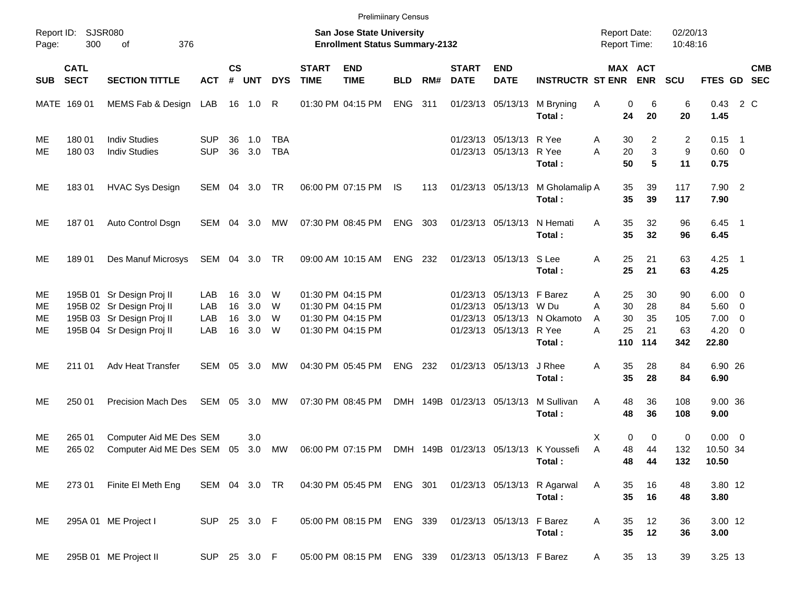|                      |                            |                                                                                                                  |                          |                      |                          |                          |                             | <b>Prelimiinary Census</b>                                                       |            |       |                             |                                                                                |                                                 |                                                 |                             |                              |                                                                  |            |
|----------------------|----------------------------|------------------------------------------------------------------------------------------------------------------|--------------------------|----------------------|--------------------------|--------------------------|-----------------------------|----------------------------------------------------------------------------------|------------|-------|-----------------------------|--------------------------------------------------------------------------------|-------------------------------------------------|-------------------------------------------------|-----------------------------|------------------------------|------------------------------------------------------------------|------------|
| Page:                | Report ID: SJSR080<br>300  | 376<br>of                                                                                                        |                          |                      |                          |                          |                             | <b>San Jose State University</b><br><b>Enrollment Status Summary-2132</b>        |            |       |                             |                                                                                |                                                 | <b>Report Date:</b><br><b>Report Time:</b>      |                             | 02/20/13<br>10:48:16         |                                                                  |            |
| <b>SUB</b>           | <b>CATL</b><br><b>SECT</b> | <b>SECTION TITTLE</b>                                                                                            | <b>ACT</b>               | $\mathsf{cs}$<br>#   | <b>UNT</b>               | <b>DYS</b>               | <b>START</b><br><b>TIME</b> | <b>END</b><br><b>TIME</b>                                                        | <b>BLD</b> | RM#   | <b>START</b><br><b>DATE</b> | <b>END</b><br><b>DATE</b>                                                      | <b>INSTRUCTR ST ENR</b>                         | MAX ACT                                         | <b>ENR</b>                  | <b>SCU</b>                   | FTES GD SEC                                                      | <b>CMB</b> |
|                      | MATE 169 01                | MEMS Fab & Design LAB                                                                                            |                          |                      | 16  1.0  R               |                          |                             | 01:30 PM 04:15 PM                                                                | ENG 311    |       |                             | 01/23/13 05/13/13                                                              | M Bryning<br>Total:                             | 0<br>Α<br>24                                    | 6<br>20                     | 6<br>20                      | 0.43 2 C<br>1.45                                                 |            |
| ME<br>МE             | 180 01<br>180 03           | <b>Indiv Studies</b><br><b>Indiv Studies</b>                                                                     | <b>SUP</b><br><b>SUP</b> | 36<br>36             | 1.0<br>3.0               | <b>TBA</b><br><b>TBA</b> |                             |                                                                                  |            |       |                             | 01/23/13 05/13/13 R Yee<br>01/23/13 05/13/13 R Yee                             | Total:                                          | 30<br>Α<br>A<br>20<br>50                        | $\overline{2}$<br>3<br>5    | 2<br>9<br>11                 | $0.15$ 1<br>$0.60 \quad 0$<br>0.75                               |            |
| ME                   | 18301                      | <b>HVAC Sys Design</b>                                                                                           | SEM 04 3.0 TR            |                      |                          |                          |                             | 06:00 PM 07:15 PM                                                                | IS.        | 113   |                             | 01/23/13 05/13/13                                                              | M Gholamalip A<br>Total:                        | 35<br>35                                        | 39<br>39                    | 117<br>117                   | $7.90$ 2<br>7.90                                                 |            |
| ME                   | 18701                      | Auto Control Dsgn                                                                                                | SEM 04 3.0               |                      |                          | МW                       |                             | 07:30 PM 08:45 PM                                                                | ENG        | - 303 |                             | 01/23/13 05/13/13                                                              | N Hemati<br>Total:                              | 35<br>A<br>35                                   | 32<br>32                    | 96<br>96                     | $6.45$ 1<br>6.45                                                 |            |
| ME                   | 18901                      | Des Manuf Microsys                                                                                               | SEM 04 3.0 TR            |                      |                          |                          |                             | 09:00 AM 10:15 AM                                                                | ENG 232    |       |                             | 01/23/13 05/13/13 S Lee                                                        | Total:                                          | A<br>25<br>25                                   | 21<br>21                    | 63<br>63                     | $4.25$ 1<br>4.25                                                 |            |
| МE<br>ME<br>ME<br>ME |                            | 195B 01 Sr Design Proj II<br>195B 02 Sr Design Proj II<br>195B 03 Sr Design Proj II<br>195B 04 Sr Design Proj II | LAB<br>LAB<br>LAB<br>LAB | 16<br>16<br>16<br>16 | 3.0<br>3.0<br>3.0<br>3.0 | W<br>W<br>W<br>W         |                             | 01:30 PM 04:15 PM<br>01:30 PM 04:15 PM<br>01:30 PM 04:15 PM<br>01:30 PM 04:15 PM |            |       |                             | 01/23/13 05/13/13 F Barez<br>01/23/13 05/13/13 W Du<br>01/23/13 05/13/13 R Yee | 01/23/13 05/13/13 N Okamoto<br>Total:           | 25<br>Α<br>A<br>30<br>30<br>A<br>25<br>A<br>110 | 30<br>28<br>35<br>21<br>114 | 90<br>84<br>105<br>63<br>342 | $6.00 \quad 0$<br>$5.60$ 0<br>$7.00 \t 0$<br>$4.20 \ 0$<br>22.80 |            |
| ME                   | 211 01                     | Adv Heat Transfer                                                                                                | SEM                      |                      | 05 3.0                   | МW                       |                             | 04:30 PM 05:45 PM                                                                | ENG 232    |       |                             | 01/23/13 05/13/13                                                              | J Rhee<br>Total:                                | 35<br>A<br>35                                   | 28<br>28                    | 84<br>84                     | 6.90 26<br>6.90                                                  |            |
| ME                   | 250 01                     | <b>Precision Mach Des</b>                                                                                        | SEM                      |                      | 05 3.0                   | МW                       |                             | 07:30 PM 08:45 PM                                                                |            |       | DMH 149B 01/23/13 05/13/13  |                                                                                | M Sullivan<br>Total:                            | 48<br>A<br>48                                   | 36<br>36                    | 108<br>108                   | 9.00 36<br>9.00                                                  |            |
| ME<br>ME             | 265 01<br>265 02           | Computer Aid ME Des SEM<br>Computer Aid ME Des SEM 05                                                            |                          |                      | 3.0<br>3.0               | MW                       |                             | 06:00 PM 07:15 PM                                                                |            |       |                             |                                                                                | DMH 149B 01/23/13 05/13/13 K Youssefi<br>Total: | 0<br>X<br>A<br>48<br>48                         | 0<br>44<br>44               | 0<br>132<br>132              | $0.00 \t 0$<br>10.50 34<br>10.50                                 |            |
| ME                   | 273 01                     | Finite El Meth Eng                                                                                               | SEM 04 3.0 TR            |                      |                          |                          |                             | 04:30 PM 05:45 PM ENG 301                                                        |            |       |                             |                                                                                | 01/23/13 05/13/13 R Agarwal<br>Total:           | A<br>35<br>35                                   | 16<br>16                    | 48<br>48                     | 3.80 12<br>3.80                                                  |            |
| ME                   |                            | 295A 01 ME Project I                                                                                             | SUP 25 3.0 F             |                      |                          |                          |                             | 05:00 PM 08:15 PM ENG 339                                                        |            |       |                             | 01/23/13 05/13/13 F Barez                                                      | Total:                                          | Α<br>35<br>35                                   | 12<br>12                    | 36<br>36                     | 3.00 12<br>3.00                                                  |            |
| ME                   |                            | 295B 01 ME Project II                                                                                            | SUP 25 3.0 F             |                      |                          |                          |                             | 05:00 PM 08:15 PM ENG 339                                                        |            |       |                             | 01/23/13 05/13/13 F Barez                                                      |                                                 | 35<br>A                                         | 13                          | 39                           | 3.25 13                                                          |            |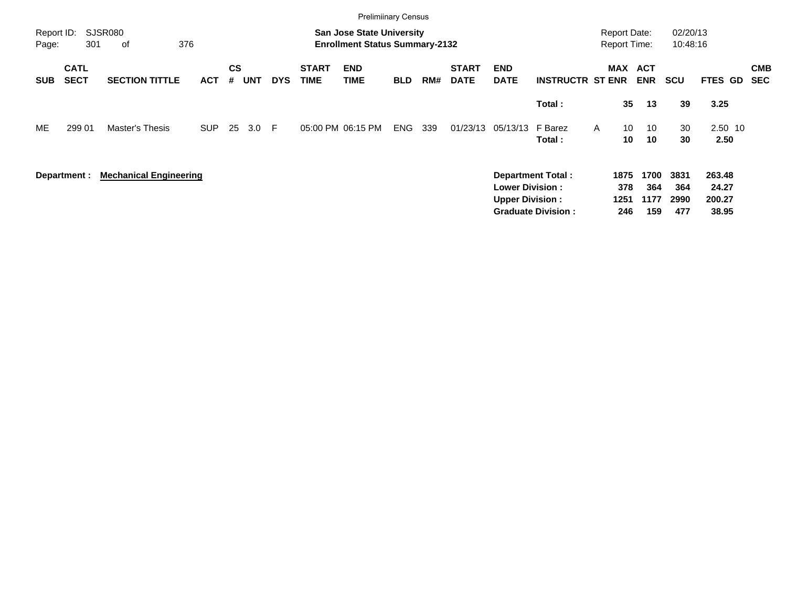|                     |                            |                               |            |                |            |            |                             | <b>Prelimiinary Census</b>                                                |            |     |                             |                                                  |                           |                                            |                     |                     |                      |                           |                          |
|---------------------|----------------------------|-------------------------------|------------|----------------|------------|------------|-----------------------------|---------------------------------------------------------------------------|------------|-----|-----------------------------|--------------------------------------------------|---------------------------|--------------------------------------------|---------------------|---------------------|----------------------|---------------------------|--------------------------|
| Report ID:<br>Page: | 301                        | SJSR080<br>376<br>of          |            |                |            |            |                             | <b>San Jose State University</b><br><b>Enrollment Status Summary-2132</b> |            |     |                             |                                                  |                           | <b>Report Date:</b><br><b>Report Time:</b> |                     |                     | 02/20/13<br>10:48:16 |                           |                          |
| <b>SUB</b>          | <b>CATL</b><br><b>SECT</b> | <b>SECTION TITTLE</b>         | <b>ACT</b> | <b>CS</b><br># | <b>UNT</b> | <b>DYS</b> | <b>START</b><br><b>TIME</b> | <b>END</b><br><b>TIME</b>                                                 | <b>BLD</b> | RM# | <b>START</b><br><b>DATE</b> | <b>END</b><br><b>DATE</b>                        | <b>INSTRUCTR ST ENR</b>   | MAX                                        |                     | ACT<br><b>ENR</b>   | <b>SCU</b>           | <b>FTES GD</b>            | <b>CMB</b><br><b>SEC</b> |
|                     |                            |                               |            |                |            |            |                             |                                                                           |            |     |                             |                                                  | Total:                    |                                            | 35                  | 13                  | 39                   | 3.25                      |                          |
| ME                  | 299 01                     | Master's Thesis               | <b>SUP</b> | 25             | 3.0        | -F         |                             | 05:00 PM 06:15 PM                                                         | ENG        | 339 | 01/23/13                    | 05/13/13                                         | F Barez<br>Total:         | $\mathsf{A}$                               | 10<br>10            | 10<br>10            | 30<br>30             | 2.50 10<br>2.50           |                          |
|                     | Department :               | <b>Mechanical Engineering</b> |            |                |            |            |                             |                                                                           |            |     |                             | <b>Lower Division:</b><br><b>Upper Division:</b> | <b>Department Total:</b>  |                                            | 1875<br>378<br>1251 | 1700<br>364<br>1177 | 3831<br>364<br>2990  | 263.48<br>24.27<br>200.27 |                          |
|                     |                            |                               |            |                |            |            |                             |                                                                           |            |     |                             |                                                  | <b>Graduate Division:</b> |                                            | 246                 | 159                 | 477                  | 38.95                     |                          |